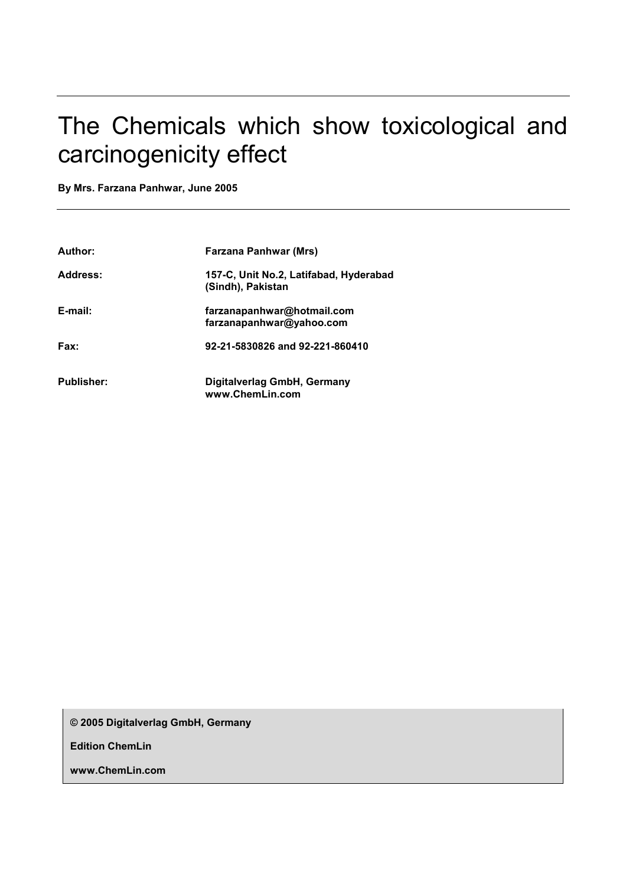# The Chemicals which show toxicological and carcinogenicity effect

**By Mrs. Farzana Panhwar, June 2005** 

| Author:           | <b>Farzana Panhwar (Mrs)</b>                                |
|-------------------|-------------------------------------------------------------|
| Address:          | 157-C, Unit No.2, Latifabad, Hyderabad<br>(Sindh), Pakistan |
| E-mail:           | farzanapanhwar@hotmail.com<br>farzanapanhwar@yahoo.com      |
| Fax:              | 92-21-5830826 and 92-221-860410                             |
| <b>Publisher:</b> | Digitalverlag GmbH, Germany<br>www.ChemLin.com              |

**© 2005 Digitalverlag GmbH, Germany** 

**Edition ChemLin** 

**www.ChemLin.com**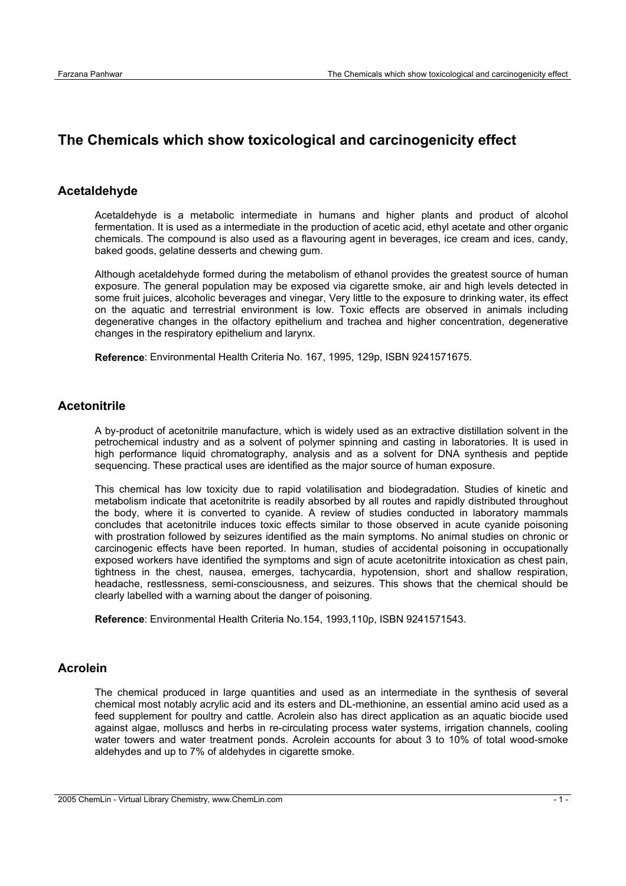## **The Chemicals which show toxicological and carcinogenicity effect**

#### **Acetaldehyde**

Acetaldehyde is a metabolic intermediate in humans and higher plants and product of alcohol fermentation. It is used as a intermediate in the production of acetic acid, ethyl acetate and other organic chemicals. The compound is also used as a flavouring agent in beverages, ice cream and ices, candy, baked goods, gelatine desserts and chewing gum.

Although acetaldehyde formed during the metabolism of ethanol provides the greatest source of human exposure. The general population may be exposed via cigarette smoke, air and high levels detected in some fruit juices, alcoholic beverages and vinegar, Very little to the exposure to drinking water, its effect on the aquatic and terrestrial environment is low. Toxic effects are observed in animals including degenerative changes in the olfactory epithelium and trachea and higher concentration, degenerative changes in the respiratory epithelium and larynx.

**Reference**: Environmental Health Criteria No. 167, 1995, 129p, ISBN 9241571675.

#### **Acetonitrile**

A by-product of acetonitrile manufacture, which is widely used as an extractive distillation solvent in the petrochemical industry and as a solvent of polymer spinning and casting in laboratories. It is used in high performance liquid chromatography, analysis and as a solvent for DNA synthesis and peptide sequencing. These practical uses are identified as the major source of human exposure.

This chemical has low toxicity due to rapid volatilisation and biodegradation. Studies of kinetic and metabolism indicate that acetonitrite is readily absorbed by all routes and rapidly distributed throughout the body, where it is converted to cyanide. A review of studies conducted in laboratory mammals concludes that acetonitrile induces toxic effects similar to those observed in acute cyanide poisoning with prostration followed by seizures identified as the main symptoms. No animal studies on chronic or carcinogenic effects have been reported. In human, studies of accidental poisoning in occupationally exposed workers have identified the symptoms and sign of acute acetonitrite intoxication as chest pain, tightness in the chest, nausea, emerges, tachycardia, hypotension, short and shallow respiration, headache, restlessness, semi-consciousness, and seizures. This shows that the chemical should be clearly labelled with a warning about the danger of poisoning.

**Reference**: Environmental Health Criteria No.154, 1993,110p, ISBN 9241571543.

#### **Acrolein**

The chemical produced in large quantities and used as an intermediate in the synthesis of several chemical most notably acrylic acid and its esters and DL-methionine, an essential amino acid used as a feed supplement for poultry and cattle. Acrolein also has direct application as an aquatic biocide used against algae, molluscs and herbs in re-circulating process water systems, irrigation channels, cooling water towers and water treatment ponds. Acrolein accounts for about 3 to 10% of total wood-smoke aldehydes and up to 7% of aldehydes in cigarette smoke.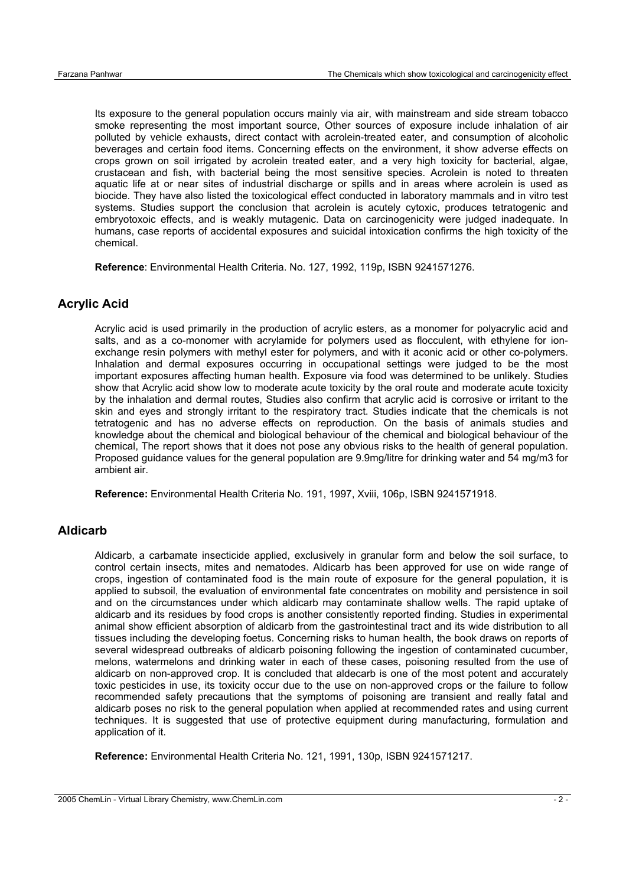Its exposure to the general population occurs mainly via air, with mainstream and side stream tobacco smoke representing the most important source, Other sources of exposure include inhalation of air polluted by vehicle exhausts, direct contact with acrolein-treated eater, and consumption of alcoholic beverages and certain food items. Concerning effects on the environment, it show adverse effects on crops grown on soil irrigated by acrolein treated eater, and a very high toxicity for bacterial, algae, crustacean and fish, with bacterial being the most sensitive species. Acrolein is noted to threaten aquatic life at or near sites of industrial discharge or spills and in areas where acrolein is used as biocide. They have also listed the toxicological effect conducted in laboratory mammals and in vitro test systems. Studies support the conclusion that acrolein is acutely cytoxic, produces tetratogenic and embryotoxoic effects, and is weakly mutagenic. Data on carcinogenicity were judged inadequate. In humans, case reports of accidental exposures and suicidal intoxication confirms the high toxicity of the chemical.

**Reference**: Environmental Health Criteria. No. 127, 1992, 119p, ISBN 9241571276.

## **Acrylic Acid**

Acrylic acid is used primarily in the production of acrylic esters, as a monomer for polyacrylic acid and salts, and as a co-monomer with acrylamide for polymers used as flocculent, with ethylene for ionexchange resin polymers with methyl ester for polymers, and with it aconic acid or other co-polymers. Inhalation and dermal exposures occurring in occupational settings were judged to be the most important exposures affecting human health. Exposure via food was determined to be unlikely. Studies show that Acrylic acid show low to moderate acute toxicity by the oral route and moderate acute toxicity by the inhalation and dermal routes, Studies also confirm that acrylic acid is corrosive or irritant to the skin and eyes and strongly irritant to the respiratory tract. Studies indicate that the chemicals is not tetratogenic and has no adverse effects on reproduction. On the basis of animals studies and knowledge about the chemical and biological behaviour of the chemical and biological behaviour of the chemical, The report shows that it does not pose any obvious risks to the health of general population. Proposed guidance values for the general population are 9.9mg/litre for drinking water and 54 mg/m3 for ambient air.

**Reference:** Environmental Health Criteria No. 191, 1997, Xviii, 106p, ISBN 9241571918.

#### **Aldicarb**

Aldicarb, a carbamate insecticide applied, exclusively in granular form and below the soil surface, to control certain insects, mites and nematodes. Aldicarb has been approved for use on wide range of crops, ingestion of contaminated food is the main route of exposure for the general population, it is applied to subsoil, the evaluation of environmental fate concentrates on mobility and persistence in soil and on the circumstances under which aldicarb may contaminate shallow wells. The rapid uptake of aldicarb and its residues by food crops is another consistently reported finding. Studies in experimental animal show efficient absorption of aldicarb from the gastrointestinal tract and its wide distribution to all tissues including the developing foetus. Concerning risks to human health, the book draws on reports of several widespread outbreaks of aldicarb poisoning following the ingestion of contaminated cucumber, melons, watermelons and drinking water in each of these cases, poisoning resulted from the use of aldicarb on non-approved crop. It is concluded that aldecarb is one of the most potent and accurately toxic pesticides in use, its toxicity occur due to the use on non-approved crops or the failure to follow recommended safety precautions that the symptoms of poisoning are transient and really fatal and aldicarb poses no risk to the general population when applied at recommended rates and using current techniques. It is suggested that use of protective equipment during manufacturing, formulation and application of it.

**Reference:** Environmental Health Criteria No. 121, 1991, 130p, ISBN 9241571217.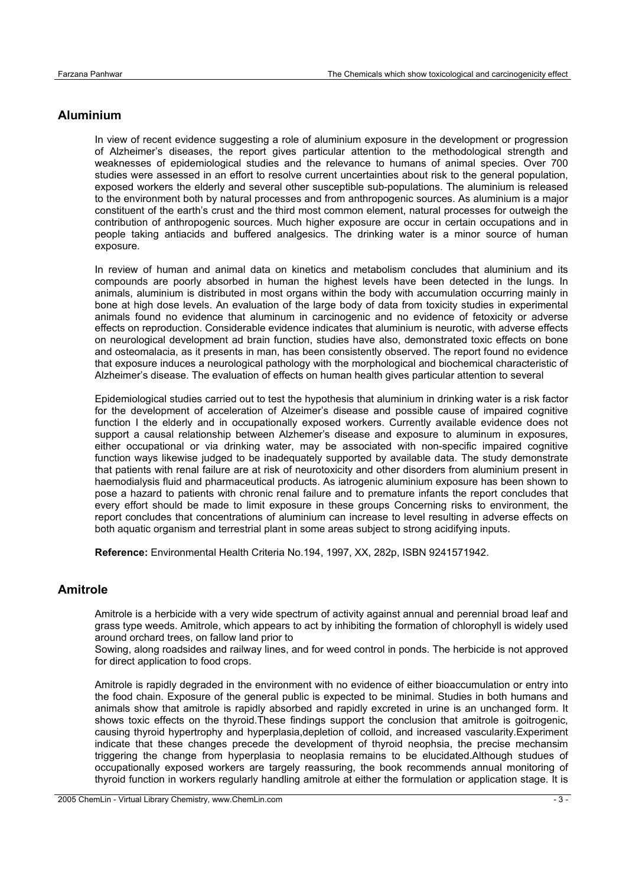## **Aluminium**

In view of recent evidence suggesting a role of aluminium exposure in the development or progression of Alzheimer's diseases, the report gives particular attention to the methodological strength and weaknesses of epidemiological studies and the relevance to humans of animal species. Over 700 studies were assessed in an effort to resolve current uncertainties about risk to the general population, exposed workers the elderly and several other susceptible sub-populations. The aluminium is released to the environment both by natural processes and from anthropogenic sources. As aluminium is a major constituent of the earth's crust and the third most common element, natural processes for outweigh the contribution of anthropogenic sources. Much higher exposure are occur in certain occupations and in people taking antiacids and buffered analgesics. The drinking water is a minor source of human exposure.

In review of human and animal data on kinetics and metabolism concludes that aluminium and its compounds are poorly absorbed in human the highest levels have been detected in the lungs. In animals, aluminium is distributed in most organs within the body with accumulation occurring mainly in bone at high dose levels. An evaluation of the large body of data from toxicity studies in experimental animals found no evidence that aluminum in carcinogenic and no evidence of fetoxicity or adverse effects on reproduction. Considerable evidence indicates that aluminium is neurotic, with adverse effects on neurological development ad brain function, studies have also, demonstrated toxic effects on bone and osteomalacia, as it presents in man, has been consistently observed. The report found no evidence that exposure induces a neurological pathology with the morphological and biochemical characteristic of Alzheimer's disease. The evaluation of effects on human health gives particular attention to several

Epidemiological studies carried out to test the hypothesis that aluminium in drinking water is a risk factor for the development of acceleration of Alzeimer's disease and possible cause of impaired cognitive function I the elderly and in occupationally exposed workers. Currently available evidence does not support a causal relationship between Alzhemer's disease and exposure to aluminum in exposures, either occupational or via drinking water, may be associated with non-specific impaired cognitive function ways likewise judged to be inadequately supported by available data. The study demonstrate that patients with renal failure are at risk of neurotoxicity and other disorders from aluminium present in haemodialysis fluid and pharmaceutical products. As iatrogenic aluminium exposure has been shown to pose a hazard to patients with chronic renal failure and to premature infants the report concludes that every effort should be made to limit exposure in these groups Concerning risks to environment, the report concludes that concentrations of aluminium can increase to level resulting in adverse effects on both aquatic organism and terrestrial plant in some areas subject to strong acidifying inputs.

**Reference:** Environmental Health Criteria No.194, 1997, XX, 282p, ISBN 9241571942.

## **Amitrole**

Amitrole is a herbicide with a very wide spectrum of activity against annual and perennial broad leaf and grass type weeds. Amitrole, which appears to act by inhibiting the formation of chlorophyll is widely used around orchard trees, on fallow land prior to

Sowing, along roadsides and railway lines, and for weed control in ponds. The herbicide is not approved for direct application to food crops.

Amitrole is rapidly degraded in the environment with no evidence of either bioaccumulation or entry into the food chain. Exposure of the general public is expected to be minimal. Studies in both humans and animals show that amitrole is rapidly absorbed and rapidly excreted in urine is an unchanged form. It shows toxic effects on the thyroid.These findings support the conclusion that amitrole is goitrogenic, causing thyroid hypertrophy and hyperplasia,depletion of colloid, and increased vascularity.Experiment indicate that these changes precede the development of thyroid neophsia, the precise mechansim triggering the change from hyperplasia to neoplasia remains to be elucidated.Although studues of occupationally exposed workers are targely reassuring, the book recommends annual monitoring of thyroid function in workers regularly handling amitrole at either the formulation or application stage. It is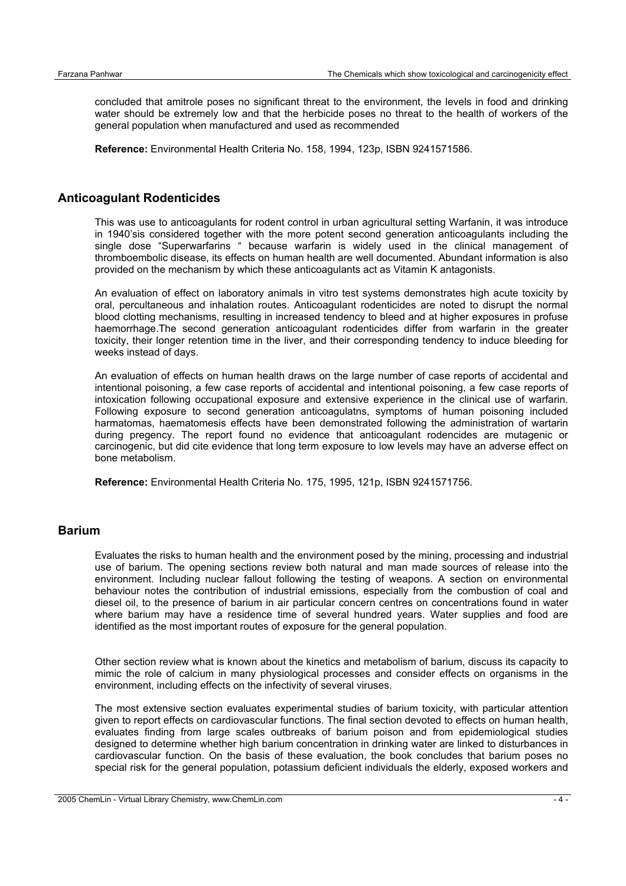concluded that amitrole poses no significant threat to the environment, the levels in food and drinking water should be extremely low and that the herbicide poses no threat to the health of workers of the general population when manufactured and used as recommended

**Reference:** Environmental Health Criteria No. 158, 1994, 123p, ISBN 9241571586.

## **Anticoagulant Rodenticides**

This was use to anticoagulants for rodent control in urban agricultural setting Warfanin, it was introduce in 1940'sis considered together with the more potent second generation anticoagulants including the single dose "Superwarfarins " because warfarin is widely used in the clinical management of thromboembolic disease, its effects on human health are well documented. Abundant information is also provided on the mechanism by which these anticoagulants act as Vitamin K antagonists.

An evaluation of effect on laboratory animals in vitro test systems demonstrates high acute toxicity by oral, percultaneous and inhalation routes. Anticoagulant rodenticides are noted to disrupt the normal blood clotting mechanisms, resulting in increased tendency to bleed and at higher exposures in profuse haemorrhage.The second generation anticoagulant rodenticides differ from warfarin in the greater toxicity, their longer retention time in the liver, and their corresponding tendency to induce bleeding for weeks instead of days.

An evaluation of effects on human health draws on the large number of case reports of accidental and intentional poisoning, a few case reports of accidental and intentional poisoning, a few case reports of intoxication following occupational exposure and extensive experience in the clinical use of warfarin. Following exposure to second generation anticoagulatns, symptoms of human poisoning included harmatomas, haematomesis effects have been demonstrated following the administration of wartarin during pregency. The report found no evidence that anticoagulant rodencides are mutagenic or carcinogenic, but did cite evidence that long term exposure to low levels may have an adverse effect on bone metabolism.

**Reference:** Environmental Health Criteria No. 175, 1995, 121p, ISBN 9241571756.

#### **Barium**

Evaluates the risks to human health and the environment posed by the mining, processing and industrial use of barium. The opening sections review both natural and man made sources of release into the environment. Including nuclear fallout following the testing of weapons. A section on environmental behaviour notes the contribution of industrial emissions, especially from the combustion of coal and diesel oil, to the presence of barium in air particular concern centres on concentrations found in water where barium may have a residence time of several hundred years. Water supplies and food are identified as the most important routes of exposure for the general population.

Other section review what is known about the kinetics and metabolism of barium, discuss its capacity to mimic the role of calcium in many physiological processes and consider effects on organisms in the environment, including effects on the infectivity of several viruses.

The most extensive section evaluates experimental studies of barium toxicity, with particular attention given to report effects on cardiovascular functions. The final section devoted to effects on human health, evaluates finding from large scales outbreaks of barium poison and from epidemiological studies designed to determine whether high barium concentration in drinking water are linked to disturbances in cardiovascular function. On the basis of these evaluation, the book concludes that barium poses no special risk for the general population, potassium deficient individuals the elderly, exposed workers and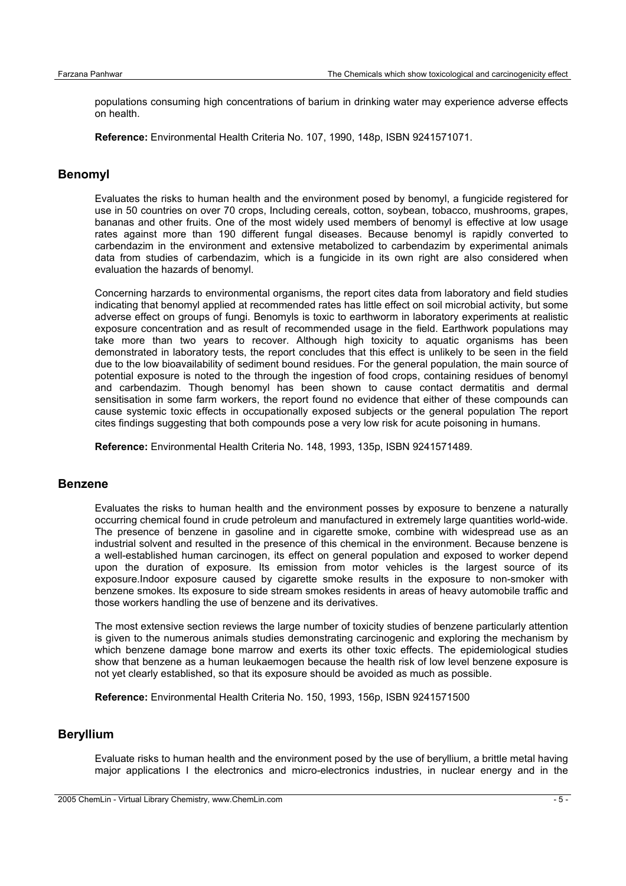populations consuming high concentrations of barium in drinking water may experience adverse effects on health.

**Reference:** Environmental Health Criteria No. 107, 1990, 148p, ISBN 9241571071.

#### **Benomyl**

Evaluates the risks to human health and the environment posed by benomyl, a fungicide registered for use in 50 countries on over 70 crops, Including cereals, cotton, soybean, tobacco, mushrooms, grapes, bananas and other fruits. One of the most widely used members of benomyl is effective at low usage rates against more than 190 different fungal diseases. Because benomyl is rapidly converted to carbendazim in the environment and extensive metabolized to carbendazim by experimental animals data from studies of carbendazim, which is a fungicide in its own right are also considered when evaluation the hazards of benomyl.

Concerning harzards to environmental organisms, the report cites data from laboratory and field studies indicating that benomyl applied at recommended rates has little effect on soil microbial activity, but some adverse effect on groups of fungi. Benomyls is toxic to earthworm in laboratory experiments at realistic exposure concentration and as result of recommended usage in the field. Earthwork populations may take more than two years to recover. Although high toxicity to aquatic organisms has been demonstrated in laboratory tests, the report concludes that this effect is unlikely to be seen in the field due to the low bioavailability of sediment bound residues. For the general population, the main source of potential exposure is noted to the through the ingestion of food crops, containing residues of benomyl and carbendazim. Though benomyl has been shown to cause contact dermatitis and dermal sensitisation in some farm workers, the report found no evidence that either of these compounds can cause systemic toxic effects in occupationally exposed subjects or the general population The report cites findings suggesting that both compounds pose a very low risk for acute poisoning in humans.

**Reference:** Environmental Health Criteria No. 148, 1993, 135p, ISBN 9241571489.

#### **Benzene**

Evaluates the risks to human health and the environment posses by exposure to benzene a naturally occurring chemical found in crude petroleum and manufactured in extremely large quantities world-wide. The presence of benzene in gasoline and in cigarette smoke, combine with widespread use as an industrial solvent and resulted in the presence of this chemical in the environment. Because benzene is a well-established human carcinogen, its effect on general population and exposed to worker depend upon the duration of exposure. Its emission from motor vehicles is the largest source of its exposure.Indoor exposure caused by cigarette smoke results in the exposure to non-smoker with benzene smokes. Its exposure to side stream smokes residents in areas of heavy automobile traffic and those workers handling the use of benzene and its derivatives.

The most extensive section reviews the large number of toxicity studies of benzene particularly attention is given to the numerous animals studies demonstrating carcinogenic and exploring the mechanism by which benzene damage bone marrow and exerts its other toxic effects. The epidemiological studies show that benzene as a human leukaemogen because the health risk of low level benzene exposure is not yet clearly established, so that its exposure should be avoided as much as possible.

**Reference:** Environmental Health Criteria No. 150, 1993, 156p, ISBN 9241571500

## **Beryllium**

Evaluate risks to human health and the environment posed by the use of beryllium, a brittle metal having major applications I the electronics and micro-electronics industries, in nuclear energy and in the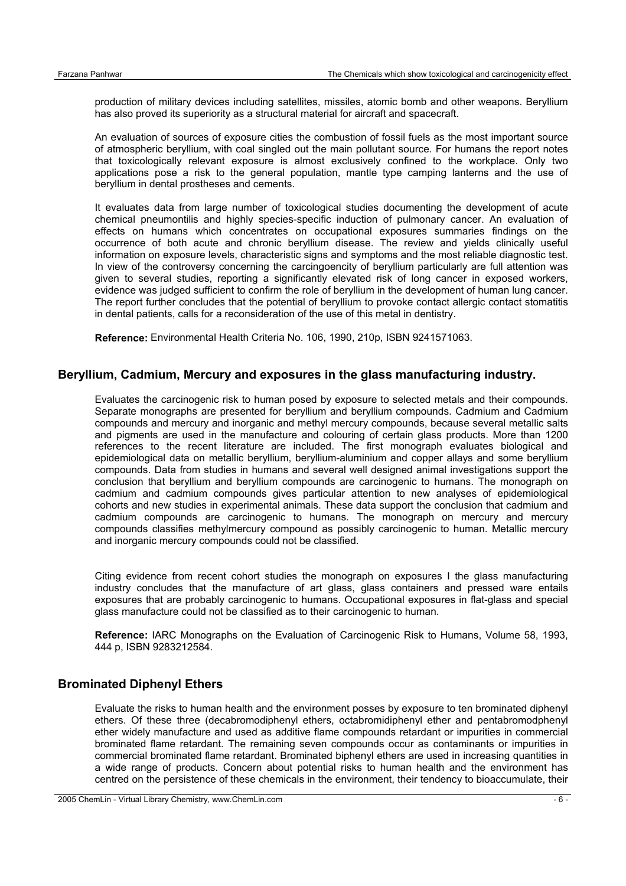production of military devices including satellites, missiles, atomic bomb and other weapons. Beryllium has also proved its superiority as a structural material for aircraft and spacecraft.

An evaluation of sources of exposure cities the combustion of fossil fuels as the most important source of atmospheric beryllium, with coal singled out the main pollutant source. For humans the report notes that toxicologically relevant exposure is almost exclusively confined to the workplace. Only two applications pose a risk to the general population, mantle type camping lanterns and the use of beryllium in dental prostheses and cements.

It evaluates data from large number of toxicological studies documenting the development of acute chemical pneumontilis and highly species-specific induction of pulmonary cancer. An evaluation of effects on humans which concentrates on occupational exposures summaries findings on the occurrence of both acute and chronic beryllium disease. The review and yields clinically useful information on exposure levels, characteristic signs and symptoms and the most reliable diagnostic test. In view of the controversy concerning the carcingoencity of beryllium particularly are full attention was given to several studies, reporting a significantly elevated risk of long cancer in exposed workers, evidence was judged sufficient to confirm the role of beryllium in the development of human lung cancer. The report further concludes that the potential of beryllium to provoke contact allergic contact stomatitis in dental patients, calls for a reconsideration of the use of this metal in dentistry.

**Reference:** Environmental Health Criteria No. 106, 1990, 210p, ISBN 9241571063.

#### **Beryllium, Cadmium, Mercury and exposures in the glass manufacturing industry.**

Evaluates the carcinogenic risk to human posed by exposure to selected metals and their compounds. Separate monographs are presented for beryllium and beryllium compounds. Cadmium and Cadmium compounds and mercury and inorganic and methyl mercury compounds, because several metallic salts and pigments are used in the manufacture and colouring of certain glass products. More than 1200 references to the recent literature are included. The first monograph evaluates biological and epidemiological data on metallic beryllium, beryllium-aluminium and copper allays and some beryllium compounds. Data from studies in humans and several well designed animal investigations support the conclusion that beryllium and beryllium compounds are carcinogenic to humans. The monograph on cadmium and cadmium compounds gives particular attention to new analyses of epidemiological cohorts and new studies in experimental animals. These data support the conclusion that cadmium and cadmium compounds are carcinogenic to humans. The monograph on mercury and mercury compounds classifies methylmercury compound as possibly carcinogenic to human. Metallic mercury and inorganic mercury compounds could not be classified.

Citing evidence from recent cohort studies the monograph on exposures I the glass manufacturing industry concludes that the manufacture of art glass, glass containers and pressed ware entails exposures that are probably carcinogenic to humans. Occupational exposures in flat-glass and special glass manufacture could not be classified as to their carcinogenic to human.

**Reference:** IARC Monographs on the Evaluation of Carcinogenic Risk to Humans, Volume 58, 1993, 444 p, ISBN 9283212584.

#### **Brominated Diphenyl Ethers**

Evaluate the risks to human health and the environment posses by exposure to ten brominated diphenyl ethers. Of these three (decabromodiphenyl ethers, octabromidiphenyl ether and pentabromodphenyl ether widely manufacture and used as additive flame compounds retardant or impurities in commercial brominated flame retardant. The remaining seven compounds occur as contaminants or impurities in commercial brominated flame retardant. Brominated biphenyl ethers are used in increasing quantities in a wide range of products. Concern about potential risks to human health and the environment has centred on the persistence of these chemicals in the environment, their tendency to bioaccumulate, their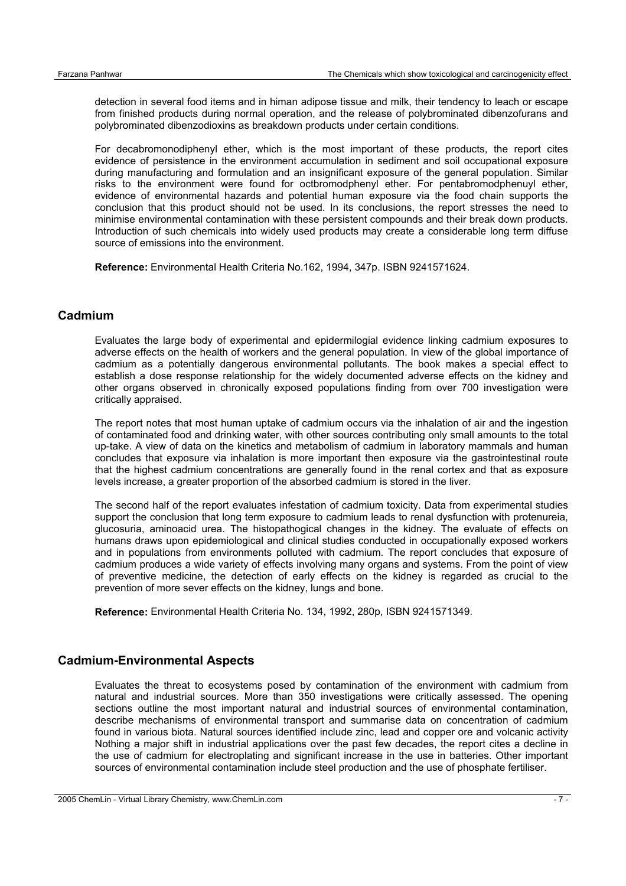detection in several food items and in himan adipose tissue and milk, their tendency to leach or escape from finished products during normal operation, and the release of polybrominated dibenzofurans and polybrominated dibenzodioxins as breakdown products under certain conditions.

For decabromonodiphenyl ether, which is the most important of these products, the report cites evidence of persistence in the environment accumulation in sediment and soil occupational exposure during manufacturing and formulation and an insignificant exposure of the general population. Similar risks to the environment were found for octbromodphenyl ether. For pentabromodphenuyl ether, evidence of environmental hazards and potential human exposure via the food chain supports the conclusion that this product should not be used. In its conclusions, the report stresses the need to minimise environmental contamination with these persistent compounds and their break down products. Introduction of such chemicals into widely used products may create a considerable long term diffuse source of emissions into the environment.

**Reference:** Environmental Health Criteria No.162, 1994, 347p. ISBN 9241571624.

## **Cadmium**

Evaluates the large body of experimental and epidermilogial evidence linking cadmium exposures to adverse effects on the health of workers and the general population. In view of the global importance of cadmium as a potentially dangerous environmental pollutants. The book makes a special effect to establish a dose response relationship for the widely documented adverse effects on the kidney and other organs observed in chronically exposed populations finding from over 700 investigation were critically appraised.

The report notes that most human uptake of cadmium occurs via the inhalation of air and the ingestion of contaminated food and drinking water, with other sources contributing only small amounts to the total up-take. A view of data on the kinetics and metabolism of cadmium in laboratory mammals and human concludes that exposure via inhalation is more important then exposure via the gastrointestinal route that the highest cadmium concentrations are generally found in the renal cortex and that as exposure levels increase, a greater proportion of the absorbed cadmium is stored in the liver.

The second half of the report evaluates infestation of cadmium toxicity. Data from experimental studies support the conclusion that long term exposure to cadmium leads to renal dysfunction with protenureia, glucosuria, aminoacid urea. The histopathogical changes in the kidney. The evaluate of effects on humans draws upon epidemiological and clinical studies conducted in occupationally exposed workers and in populations from environments polluted with cadmium. The report concludes that exposure of cadmium produces a wide variety of effects involving many organs and systems. From the point of view of preventive medicine, the detection of early effects on the kidney is regarded as crucial to the prevention of more sever effects on the kidney, lungs and bone.

**Reference:** Environmental Health Criteria No. 134, 1992, 280p, ISBN 9241571349.

#### **Cadmium-Environmental Aspects**

Evaluates the threat to ecosystems posed by contamination of the environment with cadmium from natural and industrial sources. More than 350 investigations were critically assessed. The opening sections outline the most important natural and industrial sources of environmental contamination, describe mechanisms of environmental transport and summarise data on concentration of cadmium found in various biota. Natural sources identified include zinc, lead and copper ore and volcanic activity Nothing a major shift in industrial applications over the past few decades, the report cites a decline in the use of cadmium for electroplating and significant increase in the use in batteries. Other important sources of environmental contamination include steel production and the use of phosphate fertiliser.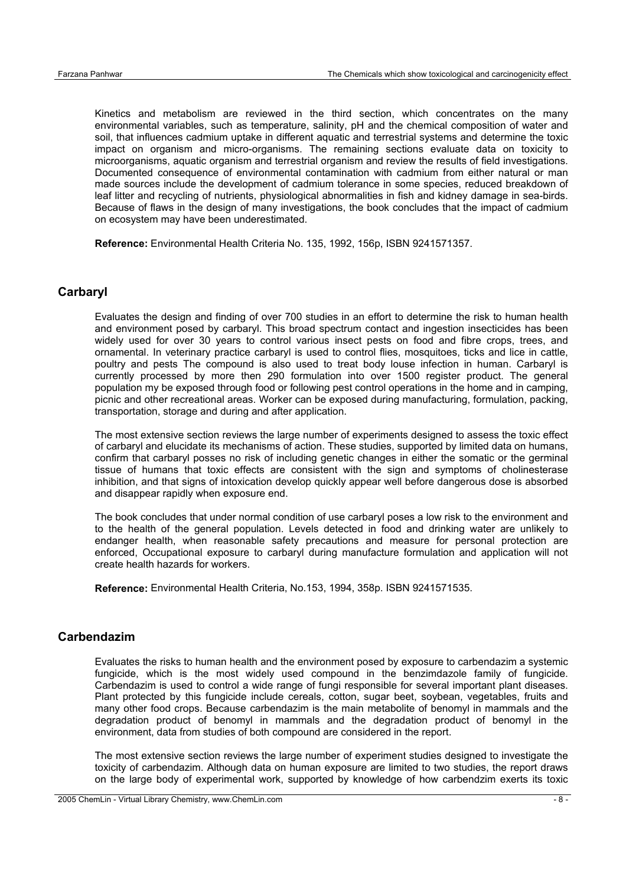Kinetics and metabolism are reviewed in the third section, which concentrates on the many environmental variables, such as temperature, salinity, pH and the chemical composition of water and soil, that influences cadmium uptake in different aquatic and terrestrial systems and determine the toxic impact on organism and micro-organisms. The remaining sections evaluate data on toxicity to microorganisms, aquatic organism and terrestrial organism and review the results of field investigations. Documented consequence of environmental contamination with cadmium from either natural or man made sources include the development of cadmium tolerance in some species, reduced breakdown of leaf litter and recycling of nutrients, physiological abnormalities in fish and kidney damage in sea-birds. Because of flaws in the design of many investigations, the book concludes that the impact of cadmium on ecosystem may have been underestimated.

**Reference:** Environmental Health Criteria No. 135, 1992, 156p, ISBN 9241571357.

#### **Carbaryl**

Evaluates the design and finding of over 700 studies in an effort to determine the risk to human health and environment posed by carbaryl. This broad spectrum contact and ingestion insecticides has been widely used for over 30 years to control various insect pests on food and fibre crops, trees, and ornamental. In veterinary practice carbaryl is used to control flies, mosquitoes, ticks and lice in cattle, poultry and pests The compound is also used to treat body louse infection in human. Carbaryl is currently processed by more then 290 formulation into over 1500 register product. The general population my be exposed through food or following pest control operations in the home and in camping, picnic and other recreational areas. Worker can be exposed during manufacturing, formulation, packing, transportation, storage and during and after application.

The most extensive section reviews the large number of experiments designed to assess the toxic effect of carbaryl and elucidate its mechanisms of action. These studies, supported by limited data on humans, confirm that carbaryl posses no risk of including genetic changes in either the somatic or the germinal tissue of humans that toxic effects are consistent with the sign and symptoms of cholinesterase inhibition, and that signs of intoxication develop quickly appear well before dangerous dose is absorbed and disappear rapidly when exposure end.

The book concludes that under normal condition of use carbaryl poses a low risk to the environment and to the health of the general population. Levels detected in food and drinking water are unlikely to endanger health, when reasonable safety precautions and measure for personal protection are enforced, Occupational exposure to carbaryl during manufacture formulation and application will not create health hazards for workers.

**Reference:** Environmental Health Criteria, No.153, 1994, 358p. ISBN 9241571535.

#### **Carbendazim**

Evaluates the risks to human health and the environment posed by exposure to carbendazim a systemic fungicide, which is the most widely used compound in the benzimdazole family of fungicide. Carbendazim is used to control a wide range of fungi responsible for several important plant diseases. Plant protected by this fungicide include cereals, cotton, sugar beet, soybean, vegetables, fruits and many other food crops. Because carbendazim is the main metabolite of benomyl in mammals and the degradation product of benomyl in mammals and the degradation product of benomyl in the environment, data from studies of both compound are considered in the report.

The most extensive section reviews the large number of experiment studies designed to investigate the toxicity of carbendazim. Although data on human exposure are limited to two studies, the report draws on the large body of experimental work, supported by knowledge of how carbendzim exerts its toxic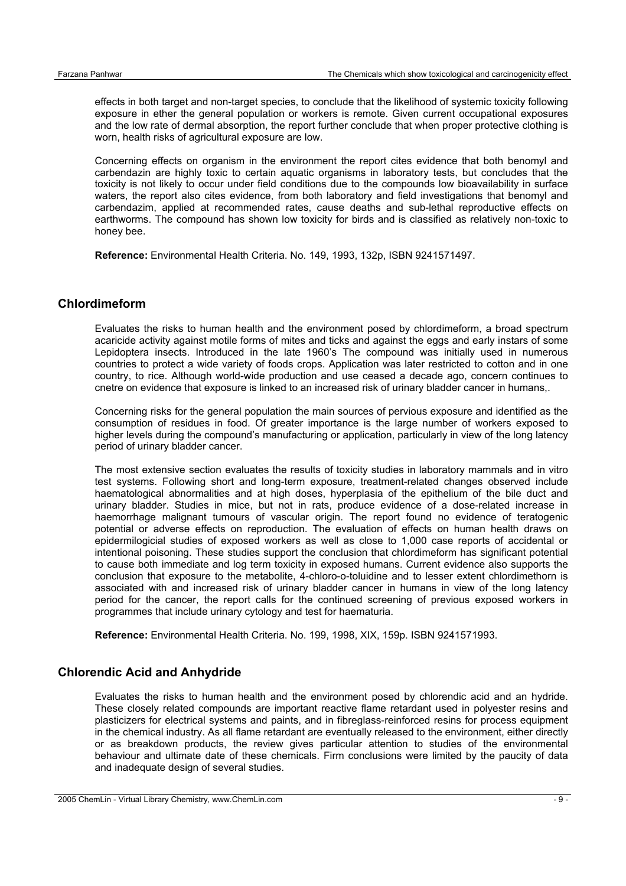effects in both target and non-target species, to conclude that the likelihood of systemic toxicity following exposure in ether the general population or workers is remote. Given current occupational exposures and the low rate of dermal absorption, the report further conclude that when proper protective clothing is worn, health risks of agricultural exposure are low.

Concerning effects on organism in the environment the report cites evidence that both benomyl and carbendazin are highly toxic to certain aquatic organisms in laboratory tests, but concludes that the toxicity is not likely to occur under field conditions due to the compounds low bioavailability in surface waters, the report also cites evidence, from both laboratory and field investigations that benomyl and carbendazim, applied at recommended rates, cause deaths and sub-lethal reproductive effects on earthworms. The compound has shown low toxicity for birds and is classified as relatively non-toxic to honey bee.

**Reference:** Environmental Health Criteria. No. 149, 1993, 132p, ISBN 9241571497.

#### **Chlordimeform**

Evaluates the risks to human health and the environment posed by chlordimeform, a broad spectrum acaricide activity against motile forms of mites and ticks and against the eggs and early instars of some Lepidoptera insects. Introduced in the late 1960's The compound was initially used in numerous countries to protect a wide variety of foods crops. Application was later restricted to cotton and in one country, to rice. Although world-wide production and use ceased a decade ago, concern continues to cnetre on evidence that exposure is linked to an increased risk of urinary bladder cancer in humans,.

Concerning risks for the general population the main sources of pervious exposure and identified as the consumption of residues in food. Of greater importance is the large number of workers exposed to higher levels during the compound's manufacturing or application, particularly in view of the long latency period of urinary bladder cancer.

The most extensive section evaluates the results of toxicity studies in laboratory mammals and in vitro test systems. Following short and long-term exposure, treatment-related changes observed include haematological abnormalities and at high doses, hyperplasia of the epithelium of the bile duct and urinary bladder. Studies in mice, but not in rats, produce evidence of a dose-related increase in haemorrhage malignant tumours of vascular origin. The report found no evidence of teratogenic potential or adverse effects on reproduction. The evaluation of effects on human health draws on epidermilogicial studies of exposed workers as well as close to 1,000 case reports of accidental or intentional poisoning. These studies support the conclusion that chlordimeform has significant potential to cause both immediate and log term toxicity in exposed humans. Current evidence also supports the conclusion that exposure to the metabolite, 4-chloro-o-toluidine and to lesser extent chlordimethorn is associated with and increased risk of urinary bladder cancer in humans in view of the long latency period for the cancer, the report calls for the continued screening of previous exposed workers in programmes that include urinary cytology and test for haematuria.

**Reference:** Environmental Health Criteria. No. 199, 1998, XIX, 159p. ISBN 9241571993.

## **Chlorendic Acid and Anhydride**

Evaluates the risks to human health and the environment posed by chlorendic acid and an hydride. These closely related compounds are important reactive flame retardant used in polyester resins and plasticizers for electrical systems and paints, and in fibreglass-reinforced resins for process equipment in the chemical industry. As all flame retardant are eventually released to the environment, either directly or as breakdown products, the review gives particular attention to studies of the environmental behaviour and ultimate date of these chemicals. Firm conclusions were limited by the paucity of data and inadequate design of several studies.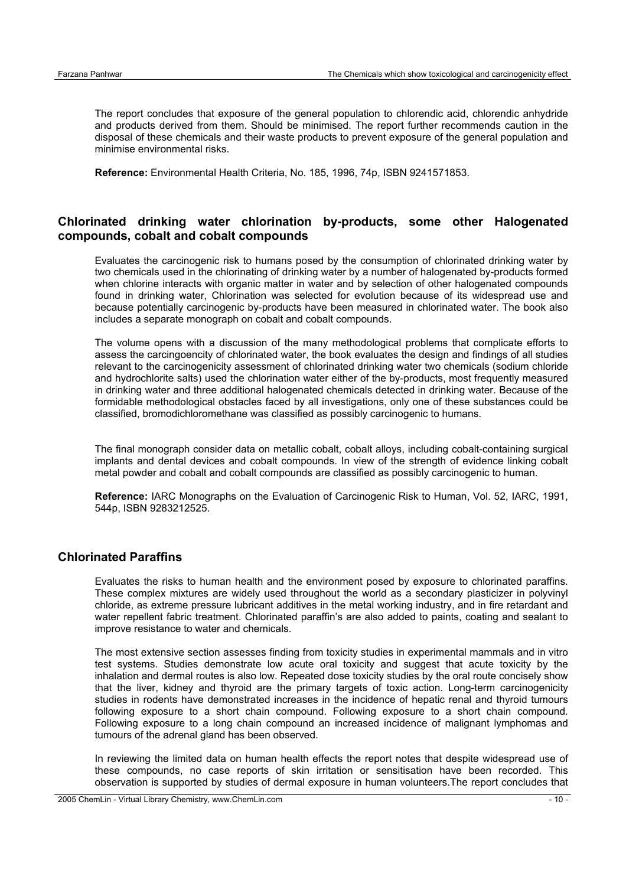The report concludes that exposure of the general population to chlorendic acid, chlorendic anhydride and products derived from them. Should be minimised. The report further recommends caution in the disposal of these chemicals and their waste products to prevent exposure of the general population and minimise environmental risks.

**Reference:** Environmental Health Criteria, No. 185, 1996, 74p, ISBN 9241571853.

## **Chlorinated drinking water chlorination by-products, some other Halogenated compounds, cobalt and cobalt compounds**

Evaluates the carcinogenic risk to humans posed by the consumption of chlorinated drinking water by two chemicals used in the chlorinating of drinking water by a number of halogenated by-products formed when chlorine interacts with organic matter in water and by selection of other halogenated compounds found in drinking water, Chlorination was selected for evolution because of its widespread use and because potentially carcinogenic by-products have been measured in chlorinated water. The book also includes a separate monograph on cobalt and cobalt compounds.

The volume opens with a discussion of the many methodological problems that complicate efforts to assess the carcingoencity of chlorinated water, the book evaluates the design and findings of all studies relevant to the carcinogenicity assessment of chlorinated drinking water two chemicals (sodium chloride and hydrochlorite salts) used the chlorination water either of the by-products, most frequently measured in drinking water and three additional halogenated chemicals detected in drinking water. Because of the formidable methodological obstacles faced by all investigations, only one of these substances could be classified, bromodichloromethane was classified as possibly carcinogenic to humans.

The final monograph consider data on metallic cobalt, cobalt alloys, including cobalt-containing surgical implants and dental devices and cobalt compounds. In view of the strength of evidence linking cobalt metal powder and cobalt and cobalt compounds are classified as possibly carcinogenic to human.

**Reference:** IARC Monographs on the Evaluation of Carcinogenic Risk to Human, Vol. 52, IARC, 1991, 544p, ISBN 9283212525.

#### **Chlorinated Paraffins**

Evaluates the risks to human health and the environment posed by exposure to chlorinated paraffins. These complex mixtures are widely used throughout the world as a secondary plasticizer in polyvinyl chloride, as extreme pressure lubricant additives in the metal working industry, and in fire retardant and water repellent fabric treatment. Chlorinated paraffin's are also added to paints, coating and sealant to improve resistance to water and chemicals.

The most extensive section assesses finding from toxicity studies in experimental mammals and in vitro test systems. Studies demonstrate low acute oral toxicity and suggest that acute toxicity by the inhalation and dermal routes is also low. Repeated dose toxicity studies by the oral route concisely show that the liver, kidney and thyroid are the primary targets of toxic action. Long-term carcinogenicity studies in rodents have demonstrated increases in the incidence of hepatic renal and thyroid tumours following exposure to a short chain compound. Following exposure to a short chain compound. Following exposure to a long chain compound an increased incidence of malignant lymphomas and tumours of the adrenal gland has been observed.

In reviewing the limited data on human health effects the report notes that despite widespread use of these compounds, no case reports of skin irritation or sensitisation have been recorded. This observation is supported by studies of dermal exposure in human volunteers.The report concludes that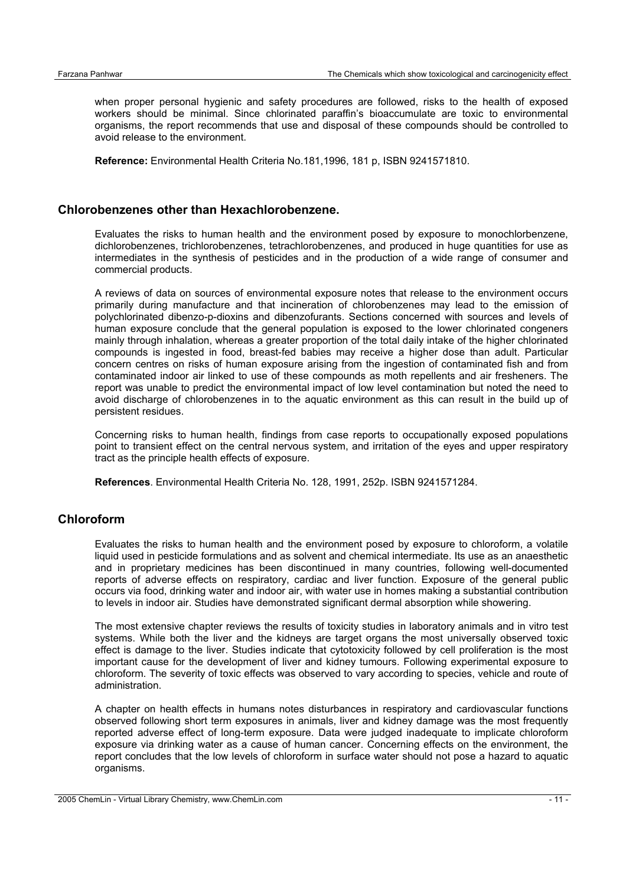when proper personal hygienic and safety procedures are followed, risks to the health of exposed workers should be minimal. Since chlorinated paraffin's bioaccumulate are toxic to environmental organisms, the report recommends that use and disposal of these compounds should be controlled to avoid release to the environment.

**Reference:** Environmental Health Criteria No.181,1996, 181 p, ISBN 9241571810.

#### **Chlorobenzenes other than Hexachlorobenzene.**

Evaluates the risks to human health and the environment posed by exposure to monochlorbenzene, dichlorobenzenes, trichlorobenzenes, tetrachlorobenzenes, and produced in huge quantities for use as intermediates in the synthesis of pesticides and in the production of a wide range of consumer and commercial products.

A reviews of data on sources of environmental exposure notes that release to the environment occurs primarily during manufacture and that incineration of chlorobenzenes may lead to the emission of polychlorinated dibenzo-p-dioxins and dibenzofurants. Sections concerned with sources and levels of human exposure conclude that the general population is exposed to the lower chlorinated congeners mainly through inhalation, whereas a greater proportion of the total daily intake of the higher chlorinated compounds is ingested in food, breast-fed babies may receive a higher dose than adult. Particular concern centres on risks of human exposure arising from the ingestion of contaminated fish and from contaminated indoor air linked to use of these compounds as moth repellents and air fresheners. The report was unable to predict the environmental impact of low level contamination but noted the need to avoid discharge of chlorobenzenes in to the aquatic environment as this can result in the build up of persistent residues.

Concerning risks to human health, findings from case reports to occupationally exposed populations point to transient effect on the central nervous system, and irritation of the eyes and upper respiratory tract as the principle health effects of exposure.

**References**. Environmental Health Criteria No. 128, 1991, 252p. ISBN 9241571284.

#### **Chloroform**

Evaluates the risks to human health and the environment posed by exposure to chloroform, a volatile liquid used in pesticide formulations and as solvent and chemical intermediate. Its use as an anaesthetic and in proprietary medicines has been discontinued in many countries, following well-documented reports of adverse effects on respiratory, cardiac and liver function. Exposure of the general public occurs via food, drinking water and indoor air, with water use in homes making a substantial contribution to levels in indoor air. Studies have demonstrated significant dermal absorption while showering.

The most extensive chapter reviews the results of toxicity studies in laboratory animals and in vitro test systems. While both the liver and the kidneys are target organs the most universally observed toxic effect is damage to the liver. Studies indicate that cytotoxicity followed by cell proliferation is the most important cause for the development of liver and kidney tumours. Following experimental exposure to chloroform. The severity of toxic effects was observed to vary according to species, vehicle and route of administration.

A chapter on health effects in humans notes disturbances in respiratory and cardiovascular functions observed following short term exposures in animals, liver and kidney damage was the most frequently reported adverse effect of long-term exposure. Data were judged inadequate to implicate chloroform exposure via drinking water as a cause of human cancer. Concerning effects on the environment, the report concludes that the low levels of chloroform in surface water should not pose a hazard to aquatic organisms.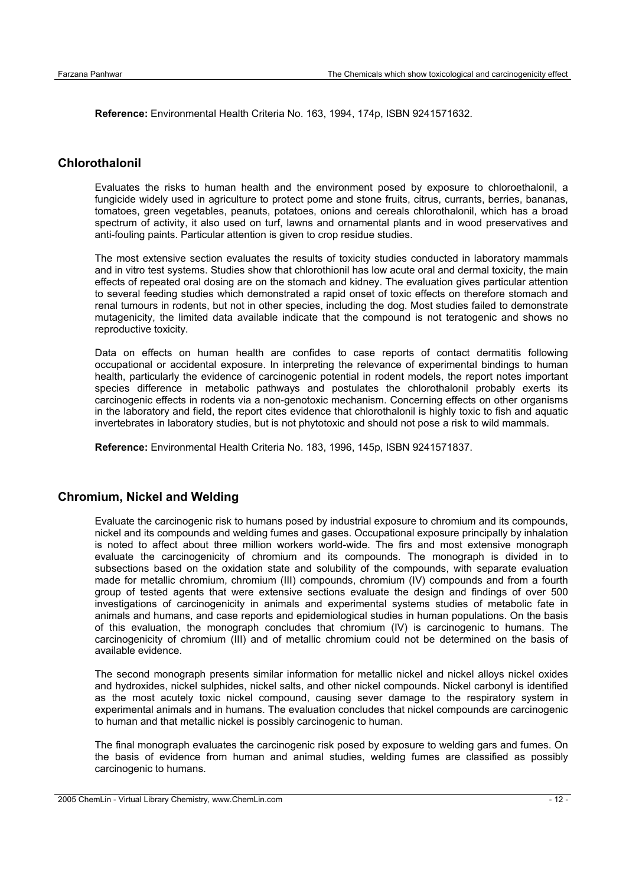**Reference:** Environmental Health Criteria No. 163, 1994, 174p, ISBN 9241571632.

## **Chlorothalonil**

Evaluates the risks to human health and the environment posed by exposure to chloroethalonil, a fungicide widely used in agriculture to protect pome and stone fruits, citrus, currants, berries, bananas, tomatoes, green vegetables, peanuts, potatoes, onions and cereals chlorothalonil, which has a broad spectrum of activity, it also used on turf, lawns and ornamental plants and in wood preservatives and anti-fouling paints. Particular attention is given to crop residue studies.

The most extensive section evaluates the results of toxicity studies conducted in laboratory mammals and in vitro test systems. Studies show that chlorothionil has low acute oral and dermal toxicity, the main effects of repeated oral dosing are on the stomach and kidney. The evaluation gives particular attention to several feeding studies which demonstrated a rapid onset of toxic effects on therefore stomach and renal tumours in rodents, but not in other species, including the dog. Most studies failed to demonstrate mutagenicity, the limited data available indicate that the compound is not teratogenic and shows no reproductive toxicity.

Data on effects on human health are confides to case reports of contact dermatitis following occupational or accidental exposure. In interpreting the relevance of experimental bindings to human health, particularly the evidence of carcinogenic potential in rodent models, the report notes important species difference in metabolic pathways and postulates the chlorothalonil probably exerts its carcinogenic effects in rodents via a non-genotoxic mechanism. Concerning effects on other organisms in the laboratory and field, the report cites evidence that chlorothalonil is highly toxic to fish and aquatic invertebrates in laboratory studies, but is not phytotoxic and should not pose a risk to wild mammals.

**Reference:** Environmental Health Criteria No. 183, 1996, 145p, ISBN 9241571837.

#### **Chromium, Nickel and Welding**

Evaluate the carcinogenic risk to humans posed by industrial exposure to chromium and its compounds, nickel and its compounds and welding fumes and gases. Occupational exposure principally by inhalation is noted to affect about three million workers world-wide. The firs and most extensive monograph evaluate the carcinogenicity of chromium and its compounds. The monograph is divided in to subsections based on the oxidation state and solubility of the compounds, with separate evaluation made for metallic chromium, chromium (III) compounds, chromium (IV) compounds and from a fourth group of tested agents that were extensive sections evaluate the design and findings of over 500 investigations of carcinogenicity in animals and experimental systems studies of metabolic fate in animals and humans, and case reports and epidemiological studies in human populations. On the basis of this evaluation, the monograph concludes that chromium (IV) is carcinogenic to humans. The carcinogenicity of chromium (III) and of metallic chromium could not be determined on the basis of available evidence.

The second monograph presents similar information for metallic nickel and nickel alloys nickel oxides and hydroxides, nickel sulphides, nickel salts, and other nickel compounds. Nickel carbonyl is identified as the most acutely toxic nickel compound, causing sever damage to the respiratory system in experimental animals and in humans. The evaluation concludes that nickel compounds are carcinogenic to human and that metallic nickel is possibly carcinogenic to human.

The final monograph evaluates the carcinogenic risk posed by exposure to welding gars and fumes. On the basis of evidence from human and animal studies, welding fumes are classified as possibly carcinogenic to humans.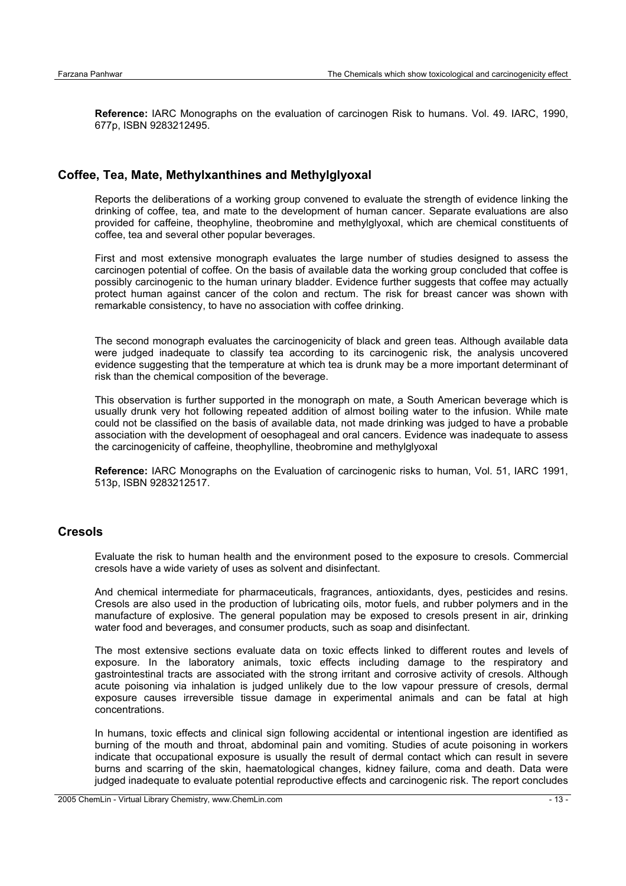**Reference:** IARC Monographs on the evaluation of carcinogen Risk to humans. Vol. 49. IARC, 1990, 677p, ISBN 9283212495.

#### **Coffee, Tea, Mate, Methylxanthines and Methylglyoxal**

Reports the deliberations of a working group convened to evaluate the strength of evidence linking the drinking of coffee, tea, and mate to the development of human cancer. Separate evaluations are also provided for caffeine, theophyline, theobromine and methylglyoxal, which are chemical constituents of coffee, tea and several other popular beverages.

First and most extensive monograph evaluates the large number of studies designed to assess the carcinogen potential of coffee. On the basis of available data the working group concluded that coffee is possibly carcinogenic to the human urinary bladder. Evidence further suggests that coffee may actually protect human against cancer of the colon and rectum. The risk for breast cancer was shown with remarkable consistency, to have no association with coffee drinking.

The second monograph evaluates the carcinogenicity of black and green teas. Although available data were judged inadequate to classify tea according to its carcinogenic risk, the analysis uncovered evidence suggesting that the temperature at which tea is drunk may be a more important determinant of risk than the chemical composition of the beverage.

This observation is further supported in the monograph on mate, a South American beverage which is usually drunk very hot following repeated addition of almost boiling water to the infusion. While mate could not be classified on the basis of available data, not made drinking was judged to have a probable association with the development of oesophageal and oral cancers. Evidence was inadequate to assess the carcinogenicity of caffeine, theophylline, theobromine and methylglyoxal

**Reference:** IARC Monographs on the Evaluation of carcinogenic risks to human, Vol. 51, IARC 1991, 513p, ISBN 9283212517.

#### **Cresols**

Evaluate the risk to human health and the environment posed to the exposure to cresols. Commercial cresols have a wide variety of uses as solvent and disinfectant.

And chemical intermediate for pharmaceuticals, fragrances, antioxidants, dyes, pesticides and resins. Cresols are also used in the production of lubricating oils, motor fuels, and rubber polymers and in the manufacture of explosive. The general population may be exposed to cresols present in air, drinking water food and beverages, and consumer products, such as soap and disinfectant.

The most extensive sections evaluate data on toxic effects linked to different routes and levels of exposure. In the laboratory animals, toxic effects including damage to the respiratory and gastrointestinal tracts are associated with the strong irritant and corrosive activity of cresols. Although acute poisoning via inhalation is judged unlikely due to the low vapour pressure of cresols, dermal exposure causes irreversible tissue damage in experimental animals and can be fatal at high concentrations.

In humans, toxic effects and clinical sign following accidental or intentional ingestion are identified as burning of the mouth and throat, abdominal pain and vomiting. Studies of acute poisoning in workers indicate that occupational exposure is usually the result of dermal contact which can result in severe burns and scarring of the skin, haematological changes, kidney failure, coma and death. Data were judged inadequate to evaluate potential reproductive effects and carcinogenic risk. The report concludes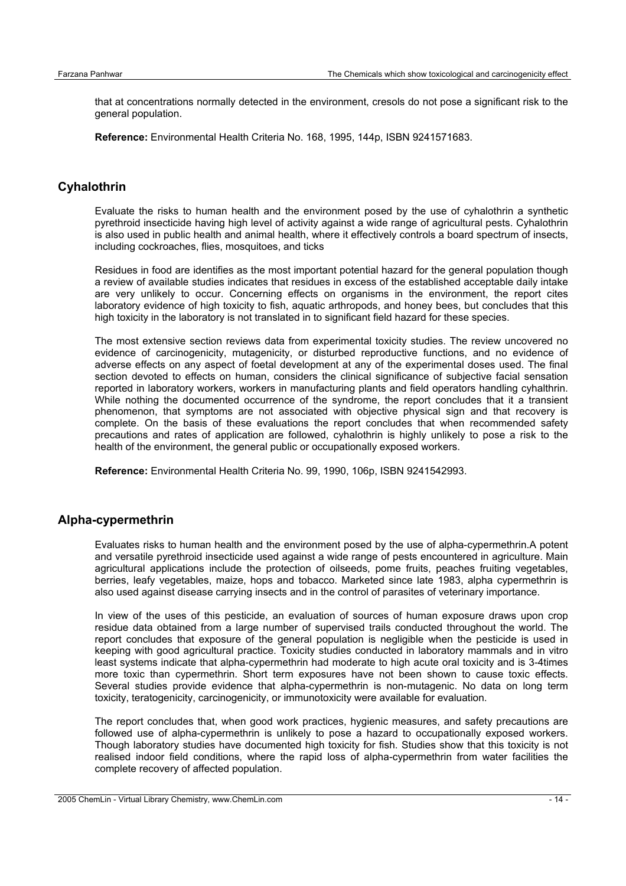that at concentrations normally detected in the environment, cresols do not pose a significant risk to the general population.

**Reference:** Environmental Health Criteria No. 168, 1995, 144p, ISBN 9241571683.

## **Cyhalothrin**

Evaluate the risks to human health and the environment posed by the use of cyhalothrin a synthetic pyrethroid insecticide having high level of activity against a wide range of agricultural pests. Cyhalothrin is also used in public health and animal health, where it effectively controls a board spectrum of insects, including cockroaches, flies, mosquitoes, and ticks

Residues in food are identifies as the most important potential hazard for the general population though a review of available studies indicates that residues in excess of the established acceptable daily intake are very unlikely to occur. Concerning effects on organisms in the environment, the report cites laboratory evidence of high toxicity to fish, aquatic arthropods, and honey bees, but concludes that this high toxicity in the laboratory is not translated in to significant field hazard for these species.

The most extensive section reviews data from experimental toxicity studies. The review uncovered no evidence of carcinogenicity, mutagenicity, or disturbed reproductive functions, and no evidence of adverse effects on any aspect of foetal development at any of the experimental doses used. The final section devoted to effects on human, considers the clinical significance of subjective facial sensation reported in laboratory workers, workers in manufacturing plants and field operators handling cyhalthrin. While nothing the documented occurrence of the syndrome, the report concludes that it a transient phenomenon, that symptoms are not associated with objective physical sign and that recovery is complete. On the basis of these evaluations the report concludes that when recommended safety precautions and rates of application are followed, cyhalothrin is highly unlikely to pose a risk to the health of the environment, the general public or occupationally exposed workers.

**Reference:** Environmental Health Criteria No. 99, 1990, 106p, ISBN 9241542993.

#### **Alpha-cypermethrin**

Evaluates risks to human health and the environment posed by the use of alpha-cypermethrin.A potent and versatile pyrethroid insecticide used against a wide range of pests encountered in agriculture. Main agricultural applications include the protection of oilseeds, pome fruits, peaches fruiting vegetables, berries, leafy vegetables, maize, hops and tobacco. Marketed since late 1983, alpha cypermethrin is also used against disease carrying insects and in the control of parasites of veterinary importance.

In view of the uses of this pesticide, an evaluation of sources of human exposure draws upon crop residue data obtained from a large number of supervised trails conducted throughout the world. The report concludes that exposure of the general population is negligible when the pesticide is used in keeping with good agricultural practice. Toxicity studies conducted in laboratory mammals and in vitro least systems indicate that alpha-cypermethrin had moderate to high acute oral toxicity and is 3-4times more toxic than cypermethrin. Short term exposures have not been shown to cause toxic effects. Several studies provide evidence that alpha-cypermethrin is non-mutagenic. No data on long term toxicity, teratogenicity, carcinogenicity, or immunotoxicity were available for evaluation.

The report concludes that, when good work practices, hygienic measures, and safety precautions are followed use of alpha-cypermethrin is unlikely to pose a hazard to occupationally exposed workers. Though laboratory studies have documented high toxicity for fish. Studies show that this toxicity is not realised indoor field conditions, where the rapid loss of alpha-cypermethrin from water facilities the complete recovery of affected population.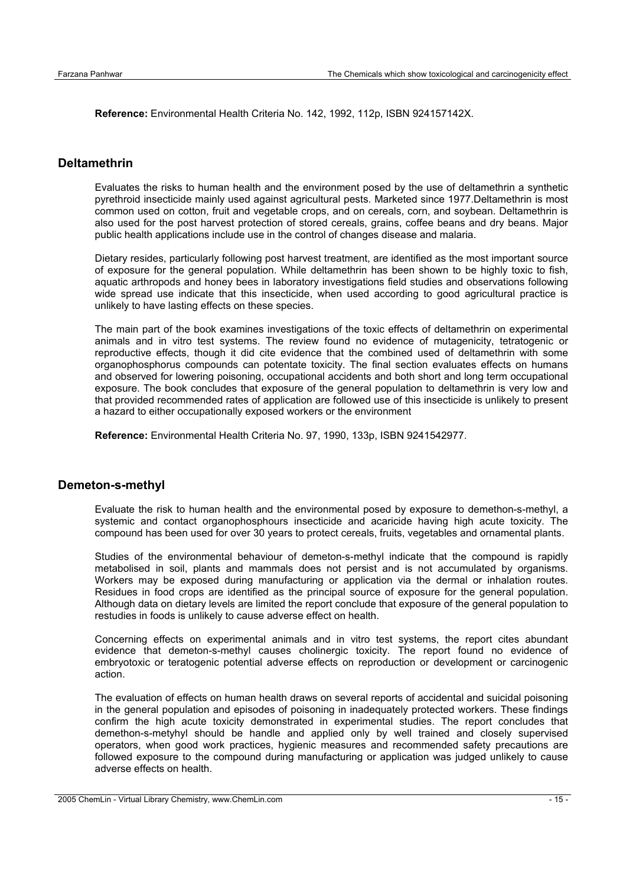**Reference:** Environmental Health Criteria No. 142, 1992, 112p, ISBN 924157142X.

#### **Deltamethrin**

Evaluates the risks to human health and the environment posed by the use of deltamethrin a synthetic pyrethroid insecticide mainly used against agricultural pests. Marketed since 1977.Deltamethrin is most common used on cotton, fruit and vegetable crops, and on cereals, corn, and soybean. Deltamethrin is also used for the post harvest protection of stored cereals, grains, coffee beans and dry beans. Major public health applications include use in the control of changes disease and malaria.

Dietary resides, particularly following post harvest treatment, are identified as the most important source of exposure for the general population. While deltamethrin has been shown to be highly toxic to fish, aquatic arthropods and honey bees in laboratory investigations field studies and observations following wide spread use indicate that this insecticide, when used according to good agricultural practice is unlikely to have lasting effects on these species.

The main part of the book examines investigations of the toxic effects of deltamethrin on experimental animals and in vitro test systems. The review found no evidence of mutagenicity, tetratogenic or reproductive effects, though it did cite evidence that the combined used of deltamethrin with some organophosphorus compounds can potentate toxicity. The final section evaluates effects on humans and observed for lowering poisoning, occupational accidents and both short and long term occupational exposure. The book concludes that exposure of the general population to deltamethrin is very low and that provided recommended rates of application are followed use of this insecticide is unlikely to present a hazard to either occupationally exposed workers or the environment

**Reference:** Environmental Health Criteria No. 97, 1990, 133p, ISBN 9241542977.

#### **Demeton-s-methyl**

Evaluate the risk to human health and the environmental posed by exposure to demethon-s-methyl, a systemic and contact organophosphours insecticide and acaricide having high acute toxicity. The compound has been used for over 30 years to protect cereals, fruits, vegetables and ornamental plants.

Studies of the environmental behaviour of demeton-s-methyl indicate that the compound is rapidly metabolised in soil, plants and mammals does not persist and is not accumulated by organisms. Workers may be exposed during manufacturing or application via the dermal or inhalation routes. Residues in food crops are identified as the principal source of exposure for the general population. Although data on dietary levels are limited the report conclude that exposure of the general population to restudies in foods is unlikely to cause adverse effect on health.

Concerning effects on experimental animals and in vitro test systems, the report cites abundant evidence that demeton-s-methyl causes cholinergic toxicity. The report found no evidence of embryotoxic or teratogenic potential adverse effects on reproduction or development or carcinogenic action.

The evaluation of effects on human health draws on several reports of accidental and suicidal poisoning in the general population and episodes of poisoning in inadequately protected workers. These findings confirm the high acute toxicity demonstrated in experimental studies. The report concludes that demethon-s-metyhyl should be handle and applied only by well trained and closely supervised operators, when good work practices, hygienic measures and recommended safety precautions are followed exposure to the compound during manufacturing or application was judged unlikely to cause adverse effects on health.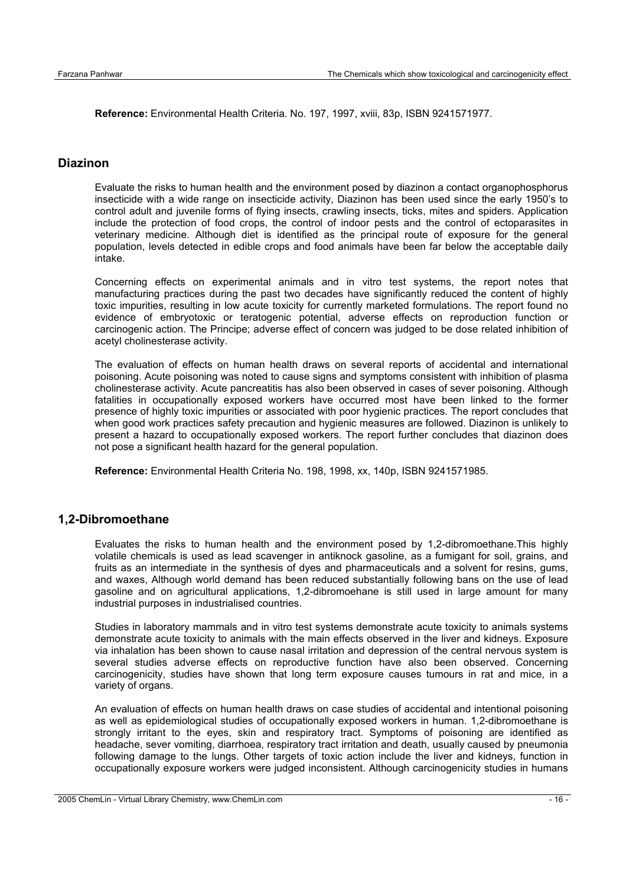**Reference:** Environmental Health Criteria. No. 197, 1997, xviii, 83p, ISBN 9241571977.

#### **Diazinon**

Evaluate the risks to human health and the environment posed by diazinon a contact organophosphorus insecticide with a wide range on insecticide activity, Diazinon has been used since the early 1950's to control adult and juvenile forms of flying insects, crawling insects, ticks, mites and spiders. Application include the protection of food crops, the control of indoor pests and the control of ectoparasites in veterinary medicine. Although diet is identified as the principal route of exposure for the general population, levels detected in edible crops and food animals have been far below the acceptable daily intake.

Concerning effects on experimental animals and in vitro test systems, the report notes that manufacturing practices during the past two decades have significantly reduced the content of highly toxic impurities, resulting in low acute toxicity for currently marketed formulations. The report found no evidence of embryotoxic or teratogenic potential, adverse effects on reproduction function or carcinogenic action. The Principe; adverse effect of concern was judged to be dose related inhibition of acetyl cholinesterase activity.

The evaluation of effects on human health draws on several reports of accidental and international poisoning. Acute poisoning was noted to cause signs and symptoms consistent with inhibition of plasma cholinesterase activity. Acute pancreatitis has also been observed in cases of sever poisoning. Although fatalities in occupationally exposed workers have occurred most have been linked to the former presence of highly toxic impurities or associated with poor hygienic practices. The report concludes that when good work practices safety precaution and hygienic measures are followed. Diazinon is unlikely to present a hazard to occupationally exposed workers. The report further concludes that diazinon does not pose a significant health hazard for the general population.

**Reference:** Environmental Health Criteria No. 198, 1998, xx, 140p, ISBN 9241571985.

#### **1,2-Dibromoethane**

Evaluates the risks to human health and the environment posed by 1,2-dibromoethane.This highly volatile chemicals is used as lead scavenger in antiknock gasoline, as a fumigant for soil, grains, and fruits as an intermediate in the synthesis of dyes and pharmaceuticals and a solvent for resins, gums, and waxes, Although world demand has been reduced substantially following bans on the use of lead gasoline and on agricultural applications, 1,2-dibromoehane is still used in large amount for many industrial purposes in industrialised countries.

Studies in laboratory mammals and in vitro test systems demonstrate acute toxicity to animals systems demonstrate acute toxicity to animals with the main effects observed in the liver and kidneys. Exposure via inhalation has been shown to cause nasal irritation and depression of the central nervous system is several studies adverse effects on reproductive function have also been observed. Concerning carcinogenicity, studies have shown that long term exposure causes tumours in rat and mice, in a variety of organs.

An evaluation of effects on human health draws on case studies of accidental and intentional poisoning as well as epidemiological studies of occupationally exposed workers in human. 1,2-dibromoethane is strongly irritant to the eyes, skin and respiratory tract. Symptoms of poisoning are identified as headache, sever vomiting, diarrhoea, respiratory tract irritation and death, usually caused by pneumonia following damage to the lungs. Other targets of toxic action include the liver and kidneys, function in occupationally exposure workers were judged inconsistent. Although carcinogenicity studies in humans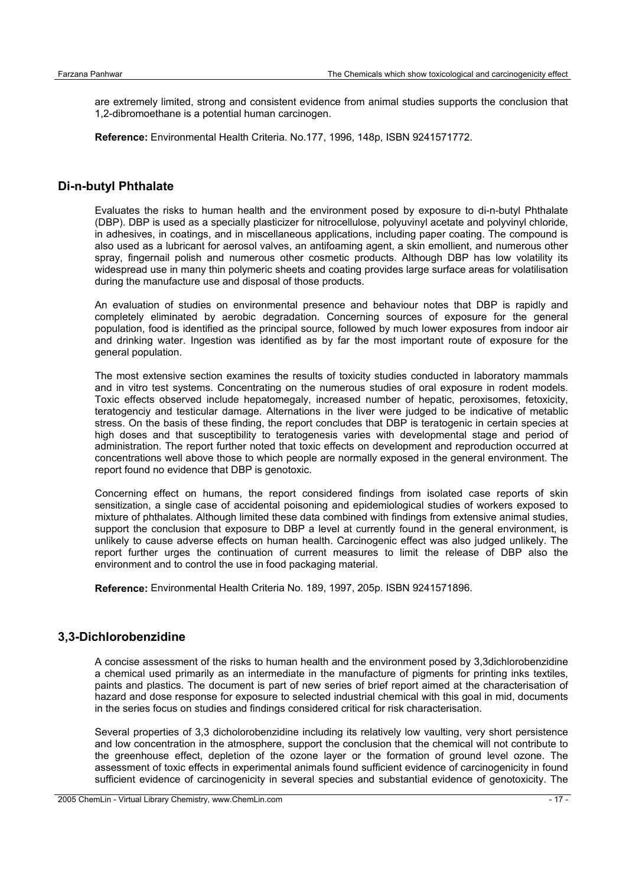are extremely limited, strong and consistent evidence from animal studies supports the conclusion that 1,2-dibromoethane is a potential human carcinogen.

**Reference:** Environmental Health Criteria. No.177, 1996, 148p, ISBN 9241571772.

## **Di-n-butyl Phthalate**

Evaluates the risks to human health and the environment posed by exposure to di-n-butyl Phthalate (DBP). DBP is used as a specially plasticizer for nitrocellulose, polyuvinyl acetate and polyvinyl chloride, in adhesives, in coatings, and in miscellaneous applications, including paper coating. The compound is also used as a lubricant for aerosol valves, an antifoaming agent, a skin emollient, and numerous other spray, fingernail polish and numerous other cosmetic products. Although DBP has low volatility its widespread use in many thin polymeric sheets and coating provides large surface areas for volatilisation during the manufacture use and disposal of those products.

An evaluation of studies on environmental presence and behaviour notes that DBP is rapidly and completely eliminated by aerobic degradation. Concerning sources of exposure for the general population, food is identified as the principal source, followed by much lower exposures from indoor air and drinking water. Ingestion was identified as by far the most important route of exposure for the general population.

The most extensive section examines the results of toxicity studies conducted in laboratory mammals and in vitro test systems. Concentrating on the numerous studies of oral exposure in rodent models. Toxic effects observed include hepatomegaly, increased number of hepatic, peroxisomes, fetoxicity, teratogenciy and testicular damage. Alternations in the liver were judged to be indicative of metablic stress. On the basis of these finding, the report concludes that DBP is teratogenic in certain species at high doses and that susceptibility to teratogenesis varies with developmental stage and period of administration. The report further noted that toxic effects on development and reproduction occurred at concentrations well above those to which people are normally exposed in the general environment. The report found no evidence that DBP is genotoxic.

Concerning effect on humans, the report considered findings from isolated case reports of skin sensitization, a single case of accidental poisoning and epidemiological studies of workers exposed to mixture of phthalates. Although limited these data combined with findings from extensive animal studies, support the conclusion that exposure to DBP a level at currently found in the general environment, is unlikely to cause adverse effects on human health. Carcinogenic effect was also judged unlikely. The report further urges the continuation of current measures to limit the release of DBP also the environment and to control the use in food packaging material.

**Reference:** Environmental Health Criteria No. 189, 1997, 205p. ISBN 9241571896.

#### **3,3-Dichlorobenzidine**

A concise assessment of the risks to human health and the environment posed by 3,3dichlorobenzidine a chemical used primarily as an intermediate in the manufacture of pigments for printing inks textiles, paints and plastics. The document is part of new series of brief report aimed at the characterisation of hazard and dose response for exposure to selected industrial chemical with this goal in mid, documents in the series focus on studies and findings considered critical for risk characterisation.

Several properties of 3,3 dicholorobenzidine including its relatively low vaulting, very short persistence and low concentration in the atmosphere, support the conclusion that the chemical will not contribute to the greenhouse effect, depletion of the ozone layer or the formation of ground level ozone. The assessment of toxic effects in experimental animals found sufficient evidence of carcinogenicity in found sufficient evidence of carcinogenicity in several species and substantial evidence of genotoxicity. The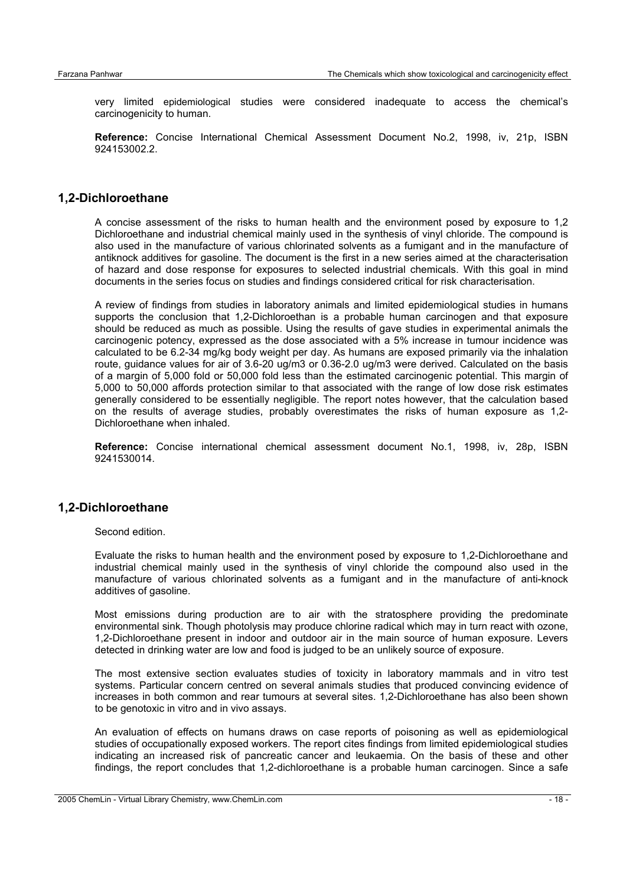very limited epidemiological studies were considered inadequate to access the chemical's carcinogenicity to human.

**Reference:** Concise International Chemical Assessment Document No.2, 1998, iv, 21p, ISBN 924153002.2.

#### **1,2-Dichloroethane**

A concise assessment of the risks to human health and the environment posed by exposure to 1,2 Dichloroethane and industrial chemical mainly used in the synthesis of vinyl chloride. The compound is also used in the manufacture of various chlorinated solvents as a fumigant and in the manufacture of antiknock additives for gasoline. The document is the first in a new series aimed at the characterisation of hazard and dose response for exposures to selected industrial chemicals. With this goal in mind documents in the series focus on studies and findings considered critical for risk characterisation.

A review of findings from studies in laboratory animals and limited epidemiological studies in humans supports the conclusion that 1,2-Dichloroethan is a probable human carcinogen and that exposure should be reduced as much as possible. Using the results of gave studies in experimental animals the carcinogenic potency, expressed as the dose associated with a 5% increase in tumour incidence was calculated to be 6.2-34 mg/kg body weight per day. As humans are exposed primarily via the inhalation route, guidance values for air of 3.6-20 ug/m3 or 0.36-2.0 ug/m3 were derived. Calculated on the basis of a margin of 5,000 fold or 50,000 fold less than the estimated carcinogenic potential. This margin of 5,000 to 50,000 affords protection similar to that associated with the range of low dose risk estimates generally considered to be essentially negligible. The report notes however, that the calculation based on the results of average studies, probably overestimates the risks of human exposure as 1,2- Dichloroethane when inhaled.

**Reference:** Concise international chemical assessment document No.1, 1998, iv, 28p, ISBN 9241530014.

#### **1,2-Dichloroethane**

Second edition.

Evaluate the risks to human health and the environment posed by exposure to 1,2-Dichloroethane and industrial chemical mainly used in the synthesis of vinyl chloride the compound also used in the manufacture of various chlorinated solvents as a fumigant and in the manufacture of anti-knock additives of gasoline.

Most emissions during production are to air with the stratosphere providing the predominate environmental sink. Though photolysis may produce chlorine radical which may in turn react with ozone, 1,2-Dichloroethane present in indoor and outdoor air in the main source of human exposure. Levers detected in drinking water are low and food is judged to be an unlikely source of exposure.

The most extensive section evaluates studies of toxicity in laboratory mammals and in vitro test systems. Particular concern centred on several animals studies that produced convincing evidence of increases in both common and rear tumours at several sites. 1,2-Dichloroethane has also been shown to be genotoxic in vitro and in vivo assays.

An evaluation of effects on humans draws on case reports of poisoning as well as epidemiological studies of occupationally exposed workers. The report cites findings from limited epidemiological studies indicating an increased risk of pancreatic cancer and leukaemia. On the basis of these and other findings, the report concludes that 1,2-dichloroethane is a probable human carcinogen. Since a safe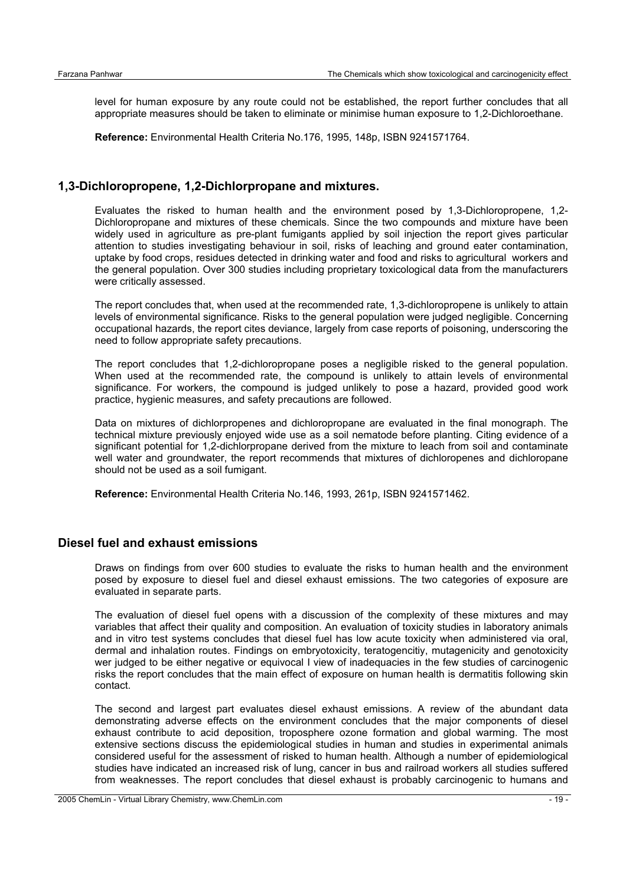level for human exposure by any route could not be established, the report further concludes that all appropriate measures should be taken to eliminate or minimise human exposure to 1,2-Dichloroethane.

**Reference:** Environmental Health Criteria No.176, 1995, 148p, ISBN 9241571764.

#### **1,3-Dichloropropene, 1,2-Dichlorpropane and mixtures.**

Evaluates the risked to human health and the environment posed by 1,3-Dichloropropene, 1,2- Dichloropropane and mixtures of these chemicals. Since the two compounds and mixture have been widely used in agriculture as pre-plant fumigants applied by soil injection the report gives particular attention to studies investigating behaviour in soil, risks of leaching and ground eater contamination, uptake by food crops, residues detected in drinking water and food and risks to agricultural workers and the general population. Over 300 studies including proprietary toxicological data from the manufacturers were critically assessed.

The report concludes that, when used at the recommended rate, 1,3-dichloropropene is unlikely to attain levels of environmental significance. Risks to the general population were judged negligible. Concerning occupational hazards, the report cites deviance, largely from case reports of poisoning, underscoring the need to follow appropriate safety precautions.

The report concludes that 1,2-dichloropropane poses a negligible risked to the general population. When used at the recommended rate, the compound is unlikely to attain levels of environmental significance. For workers, the compound is judged unlikely to pose a hazard, provided good work practice, hygienic measures, and safety precautions are followed.

Data on mixtures of dichlorpropenes and dichloropropane are evaluated in the final monograph. The technical mixture previously enjoyed wide use as a soil nematode before planting. Citing evidence of a significant potential for 1.2-dichlorpropane derived from the mixture to leach from soil and contaminate well water and groundwater, the report recommends that mixtures of dichloropenes and dichloropane should not be used as a soil fumigant.

**Reference:** Environmental Health Criteria No.146, 1993, 261p, ISBN 9241571462.

#### **Diesel fuel and exhaust emissions**

Draws on findings from over 600 studies to evaluate the risks to human health and the environment posed by exposure to diesel fuel and diesel exhaust emissions. The two categories of exposure are evaluated in separate parts.

The evaluation of diesel fuel opens with a discussion of the complexity of these mixtures and may variables that affect their quality and composition. An evaluation of toxicity studies in laboratory animals and in vitro test systems concludes that diesel fuel has low acute toxicity when administered via oral, dermal and inhalation routes. Findings on embryotoxicity, teratogencitiy, mutagenicity and genotoxicity wer judged to be either negative or equivocal I view of inadequacies in the few studies of carcinogenic risks the report concludes that the main effect of exposure on human health is dermatitis following skin contact.

The second and largest part evaluates diesel exhaust emissions. A review of the abundant data demonstrating adverse effects on the environment concludes that the major components of diesel exhaust contribute to acid deposition, troposphere ozone formation and global warming. The most extensive sections discuss the epidemiological studies in human and studies in experimental animals considered useful for the assessment of risked to human health. Although a number of epidemiological studies have indicated an increased risk of lung, cancer in bus and railroad workers all studies suffered from weaknesses. The report concludes that diesel exhaust is probably carcinogenic to humans and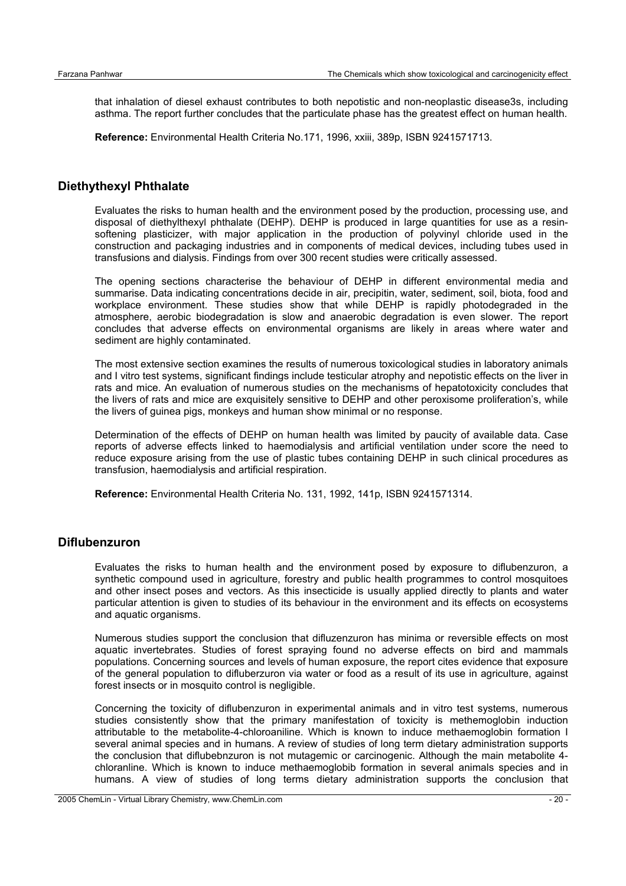that inhalation of diesel exhaust contributes to both nepotistic and non-neoplastic disease3s, including asthma. The report further concludes that the particulate phase has the greatest effect on human health.

**Reference:** Environmental Health Criteria No.171, 1996, xxiii, 389p, ISBN 9241571713.

#### **Diethythexyl Phthalate**

Evaluates the risks to human health and the environment posed by the production, processing use, and disposal of diethylthexyl phthalate (DEHP). DEHP is produced in large quantities for use as a resinsoftening plasticizer, with major application in the production of polyvinyl chloride used in the construction and packaging industries and in components of medical devices, including tubes used in transfusions and dialysis. Findings from over 300 recent studies were critically assessed.

The opening sections characterise the behaviour of DEHP in different environmental media and summarise. Data indicating concentrations decide in air, precipitin, water, sediment, soil, biota, food and workplace environment. These studies show that while DEHP is rapidly photodegraded in the atmosphere, aerobic biodegradation is slow and anaerobic degradation is even slower. The report concludes that adverse effects on environmental organisms are likely in areas where water and sediment are highly contaminated.

The most extensive section examines the results of numerous toxicological studies in laboratory animals and I vitro test systems, significant findings include testicular atrophy and nepotistic effects on the liver in rats and mice. An evaluation of numerous studies on the mechanisms of hepatotoxicity concludes that the livers of rats and mice are exquisitely sensitive to DEHP and other peroxisome proliferation's, while the livers of guinea pigs, monkeys and human show minimal or no response.

Determination of the effects of DEHP on human health was limited by paucity of available data. Case reports of adverse effects linked to haemodialysis and artificial ventilation under score the need to reduce exposure arising from the use of plastic tubes containing DEHP in such clinical procedures as transfusion, haemodialysis and artificial respiration.

**Reference:** Environmental Health Criteria No. 131, 1992, 141p, ISBN 9241571314.

#### **Diflubenzuron**

Evaluates the risks to human health and the environment posed by exposure to diflubenzuron, a synthetic compound used in agriculture, forestry and public health programmes to control mosquitoes and other insect poses and vectors. As this insecticide is usually applied directly to plants and water particular attention is given to studies of its behaviour in the environment and its effects on ecosystems and aquatic organisms.

Numerous studies support the conclusion that difluzenzuron has minima or reversible effects on most aquatic invertebrates. Studies of forest spraying found no adverse effects on bird and mammals populations. Concerning sources and levels of human exposure, the report cites evidence that exposure of the general population to difluberzuron via water or food as a result of its use in agriculture, against forest insects or in mosquito control is negligible.

Concerning the toxicity of diflubenzuron in experimental animals and in vitro test systems, numerous studies consistently show that the primary manifestation of toxicity is methemoglobin induction attributable to the metabolite-4-chloroaniline. Which is known to induce methaemoglobin formation I several animal species and in humans. A review of studies of long term dietary administration supports the conclusion that diflubebnzuron is not mutagemic or carcinogenic. Although the main metabolite 4 chloranline. Which is known to induce methaemoglobib formation in several animals species and in humans. A view of studies of long terms dietary administration supports the conclusion that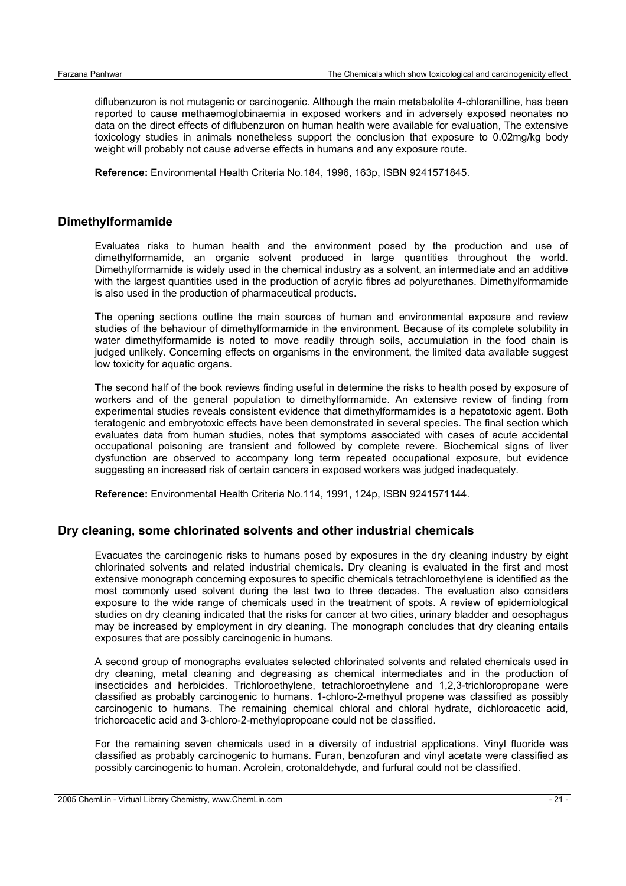diflubenzuron is not mutagenic or carcinogenic. Although the main metabalolite 4-chloranilline, has been reported to cause methaemoglobinaemia in exposed workers and in adversely exposed neonates no data on the direct effects of diflubenzuron on human health were available for evaluation, The extensive toxicology studies in animals nonetheless support the conclusion that exposure to 0.02mg/kg body weight will probably not cause adverse effects in humans and any exposure route.

**Reference:** Environmental Health Criteria No.184, 1996, 163p, ISBN 9241571845.

#### **Dimethylformamide**

Evaluates risks to human health and the environment posed by the production and use of dimethylformamide, an organic solvent produced in large quantities throughout the world. Dimethylformamide is widely used in the chemical industry as a solvent, an intermediate and an additive with the largest quantities used in the production of acrylic fibres ad polyurethanes. Dimethylformamide is also used in the production of pharmaceutical products.

The opening sections outline the main sources of human and environmental exposure and review studies of the behaviour of dimethylformamide in the environment. Because of its complete solubility in water dimethylformamide is noted to move readily through soils, accumulation in the food chain is judged unlikely. Concerning effects on organisms in the environment, the limited data available suggest low toxicity for aquatic organs.

The second half of the book reviews finding useful in determine the risks to health posed by exposure of workers and of the general population to dimethylformamide. An extensive review of finding from experimental studies reveals consistent evidence that dimethylformamides is a hepatotoxic agent. Both teratogenic and embryotoxic effects have been demonstrated in several species. The final section which evaluates data from human studies, notes that symptoms associated with cases of acute accidental occupational poisoning are transient and followed by complete revere. Biochemical signs of liver dysfunction are observed to accompany long term repeated occupational exposure, but evidence suggesting an increased risk of certain cancers in exposed workers was judged inadequately.

**Reference:** Environmental Health Criteria No.114, 1991, 124p, ISBN 9241571144.

## **Dry cleaning, some chlorinated solvents and other industrial chemicals**

Evacuates the carcinogenic risks to humans posed by exposures in the dry cleaning industry by eight chlorinated solvents and related industrial chemicals. Dry cleaning is evaluated in the first and most extensive monograph concerning exposures to specific chemicals tetrachloroethylene is identified as the most commonly used solvent during the last two to three decades. The evaluation also considers exposure to the wide range of chemicals used in the treatment of spots. A review of epidemiological studies on dry cleaning indicated that the risks for cancer at two cities, urinary bladder and oesophagus may be increased by employment in dry cleaning. The monograph concludes that dry cleaning entails exposures that are possibly carcinogenic in humans.

A second group of monographs evaluates selected chlorinated solvents and related chemicals used in dry cleaning, metal cleaning and degreasing as chemical intermediates and in the production of insecticides and herbicides. Trichloroethylene, tetrachloroethylene and 1,2,3-trichloropropane were classified as probably carcinogenic to humans. 1-chloro-2-methyul propene was classified as possibly carcinogenic to humans. The remaining chemical chloral and chloral hydrate, dichloroacetic acid, trichoroacetic acid and 3-chloro-2-methylopropoane could not be classified.

For the remaining seven chemicals used in a diversity of industrial applications. Vinyl fluoride was classified as probably carcinogenic to humans. Furan, benzofuran and vinyl acetate were classified as possibly carcinogenic to human. Acrolein, crotonaldehyde, and furfural could not be classified.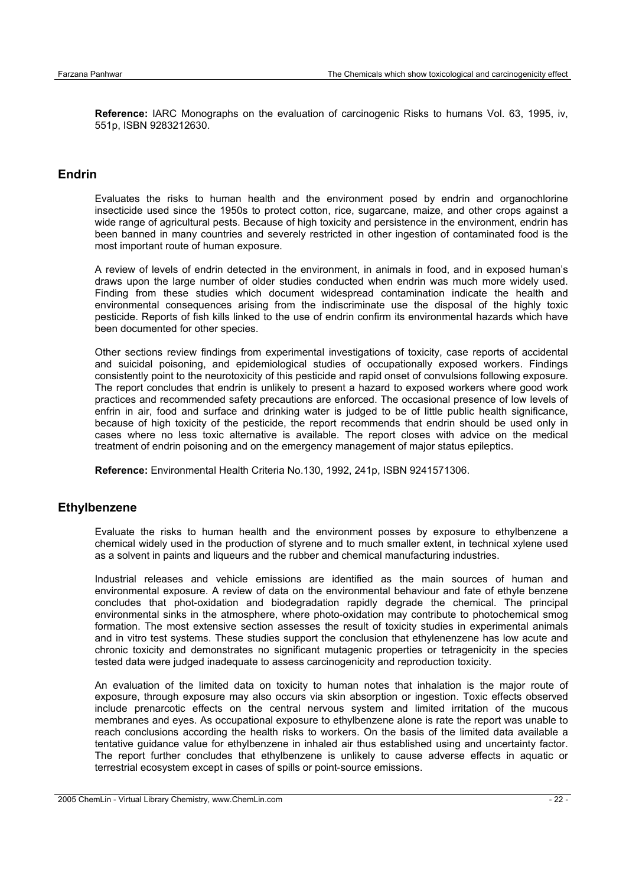**Reference:** IARC Monographs on the evaluation of carcinogenic Risks to humans Vol. 63, 1995, iv, 551p, ISBN 9283212630.

## **Endrin**

Evaluates the risks to human health and the environment posed by endrin and organochlorine insecticide used since the 1950s to protect cotton, rice, sugarcane, maize, and other crops against a wide range of agricultural pests. Because of high toxicity and persistence in the environment, endrin has been banned in many countries and severely restricted in other ingestion of contaminated food is the most important route of human exposure.

A review of levels of endrin detected in the environment, in animals in food, and in exposed human's draws upon the large number of older studies conducted when endrin was much more widely used. Finding from these studies which document widespread contamination indicate the health and environmental consequences arising from the indiscriminate use the disposal of the highly toxic pesticide. Reports of fish kills linked to the use of endrin confirm its environmental hazards which have been documented for other species.

Other sections review findings from experimental investigations of toxicity, case reports of accidental and suicidal poisoning, and epidemiological studies of occupationally exposed workers. Findings consistently point to the neurotoxicity of this pesticide and rapid onset of convulsions following exposure. The report concludes that endrin is unlikely to present a hazard to exposed workers where good work practices and recommended safety precautions are enforced. The occasional presence of low levels of enfrin in air, food and surface and drinking water is judged to be of little public health significance, because of high toxicity of the pesticide, the report recommends that endrin should be used only in cases where no less toxic alternative is available. The report closes with advice on the medical treatment of endrin poisoning and on the emergency management of major status epileptics.

**Reference:** Environmental Health Criteria No.130, 1992, 241p, ISBN 9241571306.

#### **Ethylbenzene**

Evaluate the risks to human health and the environment posses by exposure to ethylbenzene a chemical widely used in the production of styrene and to much smaller extent, in technical xylene used as a solvent in paints and liqueurs and the rubber and chemical manufacturing industries.

Industrial releases and vehicle emissions are identified as the main sources of human and environmental exposure. A review of data on the environmental behaviour and fate of ethyle benzene concludes that phot-oxidation and biodegradation rapidly degrade the chemical. The principal environmental sinks in the atmosphere, where photo-oxidation may contribute to photochemical smog formation. The most extensive section assesses the result of toxicity studies in experimental animals and in vitro test systems. These studies support the conclusion that ethylenenzene has low acute and chronic toxicity and demonstrates no significant mutagenic properties or tetragenicity in the species tested data were judged inadequate to assess carcinogenicity and reproduction toxicity.

An evaluation of the limited data on toxicity to human notes that inhalation is the major route of exposure, through exposure may also occurs via skin absorption or ingestion. Toxic effects observed include prenarcotic effects on the central nervous system and limited irritation of the mucous membranes and eyes. As occupational exposure to ethylbenzene alone is rate the report was unable to reach conclusions according the health risks to workers. On the basis of the limited data available a tentative guidance value for ethylbenzene in inhaled air thus established using and uncertainty factor. The report further concludes that ethylbenzene is unlikely to cause adverse effects in aquatic or terrestrial ecosystem except in cases of spills or point-source emissions.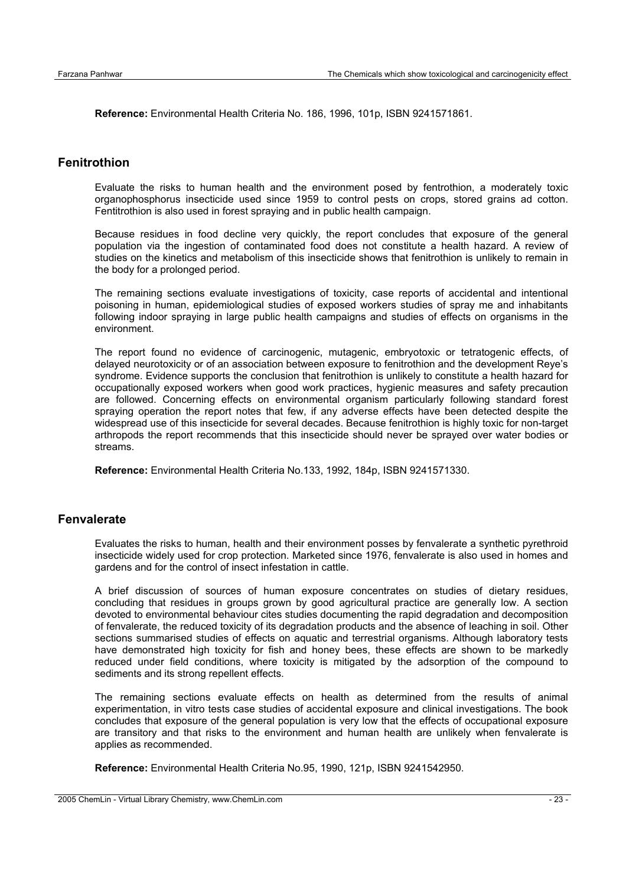**Reference:** Environmental Health Criteria No. 186, 1996, 101p, ISBN 9241571861.

## **Fenitrothion**

Evaluate the risks to human health and the environment posed by fentrothion, a moderately toxic organophosphorus insecticide used since 1959 to control pests on crops, stored grains ad cotton. Fentitrothion is also used in forest spraying and in public health campaign.

Because residues in food decline very quickly, the report concludes that exposure of the general population via the ingestion of contaminated food does not constitute a health hazard. A review of studies on the kinetics and metabolism of this insecticide shows that fenitrothion is unlikely to remain in the body for a prolonged period.

The remaining sections evaluate investigations of toxicity, case reports of accidental and intentional poisoning in human, epidemiological studies of exposed workers studies of spray me and inhabitants following indoor spraying in large public health campaigns and studies of effects on organisms in the environment.

The report found no evidence of carcinogenic, mutagenic, embryotoxic or tetratogenic effects, of delayed neurotoxicity or of an association between exposure to fenitrothion and the development Reye's syndrome. Evidence supports the conclusion that fenitrothion is unlikely to constitute a health hazard for occupationally exposed workers when good work practices, hygienic measures and safety precaution are followed. Concerning effects on environmental organism particularly following standard forest spraying operation the report notes that few, if any adverse effects have been detected despite the widespread use of this insecticide for several decades. Because fenitrothion is highly toxic for non-target arthropods the report recommends that this insecticide should never be sprayed over water bodies or streams.

**Reference:** Environmental Health Criteria No.133, 1992, 184p, ISBN 9241571330.

#### **Fenvalerate**

Evaluates the risks to human, health and their environment posses by fenvalerate a synthetic pyrethroid insecticide widely used for crop protection. Marketed since 1976, fenvalerate is also used in homes and gardens and for the control of insect infestation in cattle.

A brief discussion of sources of human exposure concentrates on studies of dietary residues, concluding that residues in groups grown by good agricultural practice are generally low. A section devoted to environmental behaviour cites studies documenting the rapid degradation and decomposition of fenvalerate, the reduced toxicity of its degradation products and the absence of leaching in soil. Other sections summarised studies of effects on aquatic and terrestrial organisms. Although laboratory tests have demonstrated high toxicity for fish and honey bees, these effects are shown to be markedly reduced under field conditions, where toxicity is mitigated by the adsorption of the compound to sediments and its strong repellent effects.

The remaining sections evaluate effects on health as determined from the results of animal experimentation, in vitro tests case studies of accidental exposure and clinical investigations. The book concludes that exposure of the general population is very low that the effects of occupational exposure are transitory and that risks to the environment and human health are unlikely when fenvalerate is applies as recommended.

**Reference:** Environmental Health Criteria No.95, 1990, 121p, ISBN 9241542950.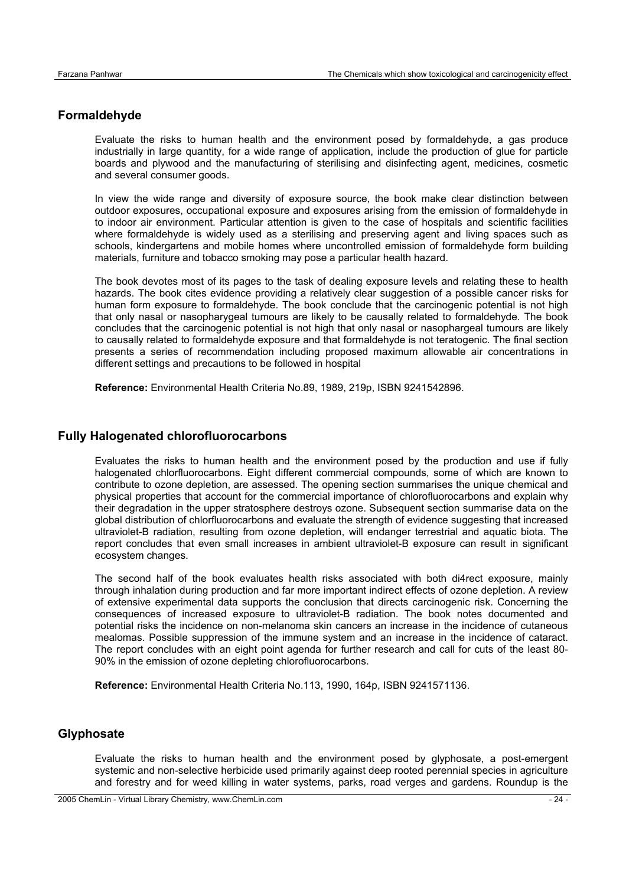## **Formaldehyde**

Evaluate the risks to human health and the environment posed by formaldehyde, a gas produce industrially in large quantity, for a wide range of application, include the production of glue for particle boards and plywood and the manufacturing of sterilising and disinfecting agent, medicines, cosmetic and several consumer goods.

In view the wide range and diversity of exposure source, the book make clear distinction between outdoor exposures, occupational exposure and exposures arising from the emission of formaldehyde in to indoor air environment. Particular attention is given to the case of hospitals and scientific facilities where formaldehyde is widely used as a sterilising and preserving agent and living spaces such as schools, kindergartens and mobile homes where uncontrolled emission of formaldehyde form building materials, furniture and tobacco smoking may pose a particular health hazard.

The book devotes most of its pages to the task of dealing exposure levels and relating these to health hazards. The book cites evidence providing a relatively clear suggestion of a possible cancer risks for human form exposure to formaldehyde. The book conclude that the carcinogenic potential is not high that only nasal or nasopharygeal tumours are likely to be causally related to formaldehyde. The book concludes that the carcinogenic potential is not high that only nasal or nasophargeal tumours are likely to causally related to formaldehyde exposure and that formaldehyde is not teratogenic. The final section presents a series of recommendation including proposed maximum allowable air concentrations in different settings and precautions to be followed in hospital

**Reference:** Environmental Health Criteria No.89, 1989, 219p, ISBN 9241542896.

#### **Fully Halogenated chlorofluorocarbons**

Evaluates the risks to human health and the environment posed by the production and use if fully halogenated chlorfluorocarbons. Eight different commercial compounds, some of which are known to contribute to ozone depletion, are assessed. The opening section summarises the unique chemical and physical properties that account for the commercial importance of chlorofluorocarbons and explain why their degradation in the upper stratosphere destroys ozone. Subsequent section summarise data on the global distribution of chlorfluorocarbons and evaluate the strength of evidence suggesting that increased ultraviolet-B radiation, resulting from ozone depletion, will endanger terrestrial and aquatic biota. The report concludes that even small increases in ambient ultraviolet-B exposure can result in significant ecosystem changes.

The second half of the book evaluates health risks associated with both di4rect exposure, mainly through inhalation during production and far more important indirect effects of ozone depletion. A review of extensive experimental data supports the conclusion that directs carcinogenic risk. Concerning the consequences of increased exposure to ultraviolet-B radiation. The book notes documented and potential risks the incidence on non-melanoma skin cancers an increase in the incidence of cutaneous mealomas. Possible suppression of the immune system and an increase in the incidence of cataract. The report concludes with an eight point agenda for further research and call for cuts of the least 80- 90% in the emission of ozone depleting chlorofluorocarbons.

**Reference:** Environmental Health Criteria No.113, 1990, 164p, ISBN 9241571136.

#### **Glyphosate**

Evaluate the risks to human health and the environment posed by glyphosate, a post-emergent systemic and non-selective herbicide used primarily against deep rooted perennial species in agriculture and forestry and for weed killing in water systems, parks, road verges and gardens. Roundup is the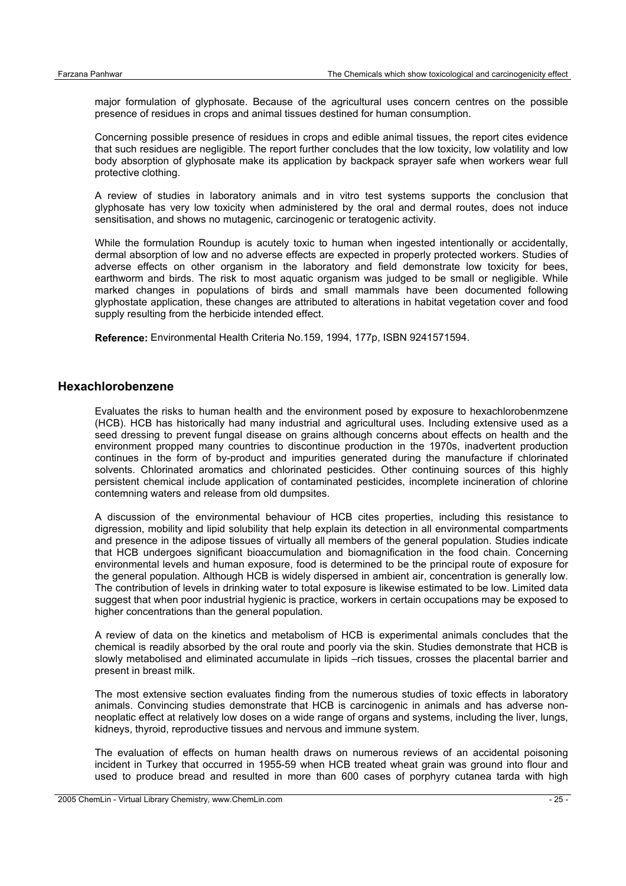major formulation of glyphosate. Because of the agricultural uses concern centres on the possible presence of residues in crops and animal tissues destined for human consumption.

Concerning possible presence of residues in crops and edible animal tissues, the report cites evidence that such residues are negligible. The report further concludes that the low toxicity, low volatility and low body absorption of glyphosate make its application by backpack sprayer safe when workers wear full protective clothing.

A review of studies in laboratory animals and in vitro test systems supports the conclusion that glyphosate has very low toxicity when administered by the oral and dermal routes, does not induce sensitisation, and shows no mutagenic, carcinogenic or teratogenic activity.

While the formulation Roundup is acutely toxic to human when ingested intentionally or accidentally, dermal absorption of low and no adverse effects are expected in properly protected workers. Studies of adverse effects on other organism in the laboratory and field demonstrate low toxicity for bees, earthworm and birds. The risk to most aquatic organism was judged to be small or negligible. While marked changes in populations of birds and small mammals have been documented following glyphostate application, these changes are attributed to alterations in habitat vegetation cover and food supply resulting from the herbicide intended effect.

**Reference:** Environmental Health Criteria No.159, 1994, 177p, ISBN 9241571594.

#### **Hexachlorobenzene**

Evaluates the risks to human health and the environment posed by exposure to hexachlorobenmzene (HCB). HCB has historically had many industrial and agricultural uses. Including extensive used as a seed dressing to prevent fungal disease on grains although concerns about effects on health and the environment propped many countries to discontinue production in the 1970s, inadvertent production continues in the form of by-product and impurities generated during the manufacture if chlorinated solvents. Chlorinated aromatics and chlorinated pesticides. Other continuing sources of this highly persistent chemical include application of contaminated pesticides, incomplete incineration of chlorine contemning waters and release from old dumpsites.

A discussion of the environmental behaviour of HCB cites properties, including this resistance to digression, mobility and lipid solubility that help explain its detection in all environmental compartments and presence in the adipose tissues of virtually all members of the general population. Studies indicate that HCB undergoes significant bioaccumulation and biomagnification in the food chain. Concerning environmental levels and human exposure, food is determined to be the principal route of exposure for the general population. Although HCB is widely dispersed in ambient air, concentration is generally low. The contribution of levels in drinking water to total exposure is likewise estimated to be low. Limited data suggest that when poor industrial hygienic is practice, workers in certain occupations may be exposed to higher concentrations than the general population.

A review of data on the kinetics and metabolism of HCB is experimental animals concludes that the chemical is readily absorbed by the oral route and poorly via the skin. Studies demonstrate that HCB is slowly metabolised and eliminated accumulate in lipids –rich tissues, crosses the placental barrier and present in breast milk.

The most extensive section evaluates finding from the numerous studies of toxic effects in laboratory animals. Convincing studies demonstrate that HCB is carcinogenic in animals and has adverse nonneoplatic effect at relatively low doses on a wide range of organs and systems, including the liver, lungs, kidneys, thyroid, reproductive tissues and nervous and immune system.

The evaluation of effects on human health draws on numerous reviews of an accidental poisoning incident in Turkey that occurred in 1955-59 when HCB treated wheat grain was ground into flour and used to produce bread and resulted in more than 600 cases of porphyry cutanea tarda with high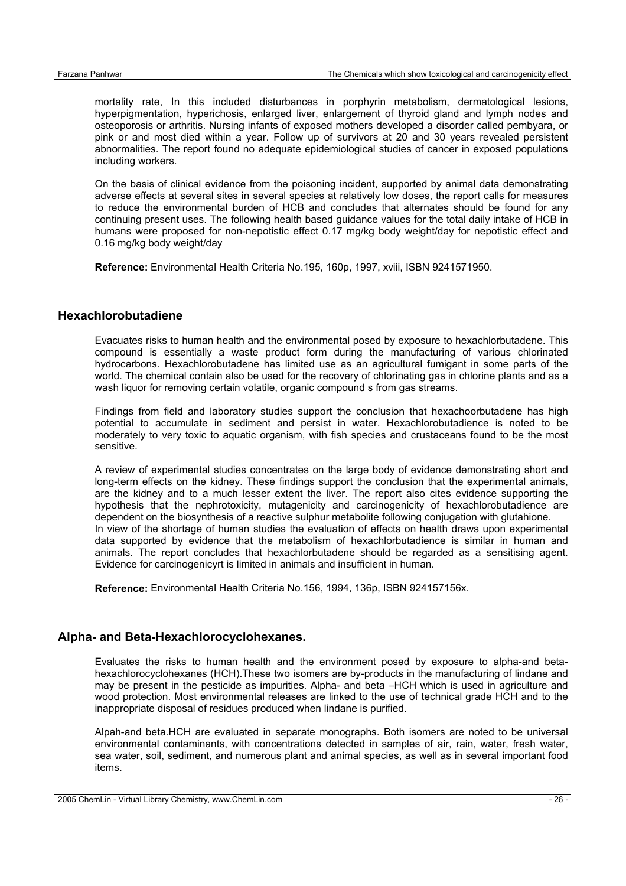mortality rate, In this included disturbances in porphyrin metabolism, dermatological lesions, hyperpigmentation, hyperichosis, enlarged liver, enlargement of thyroid gland and lymph nodes and osteoporosis or arthritis. Nursing infants of exposed mothers developed a disorder called pembyara, or pink or and most died within a year. Follow up of survivors at 20 and 30 years revealed persistent abnormalities. The report found no adequate epidemiological studies of cancer in exposed populations including workers.

On the basis of clinical evidence from the poisoning incident, supported by animal data demonstrating adverse effects at several sites in several species at relatively low doses, the report calls for measures to reduce the environmental burden of HCB and concludes that alternates should be found for any continuing present uses. The following health based guidance values for the total daily intake of HCB in humans were proposed for non-nepotistic effect 0.17 mg/kg body weight/day for nepotistic effect and 0.16 mg/kg body weight/day

**Reference:** Environmental Health Criteria No.195, 160p, 1997, xviii, ISBN 9241571950.

#### **Hexachlorobutadiene**

Evacuates risks to human health and the environmental posed by exposure to hexachlorbutadene. This compound is essentially a waste product form during the manufacturing of various chlorinated hydrocarbons. Hexachlorobutadene has limited use as an agricultural fumigant in some parts of the world. The chemical contain also be used for the recovery of chlorinating gas in chlorine plants and as a wash liquor for removing certain volatile, organic compound s from gas streams.

Findings from field and laboratory studies support the conclusion that hexachoorbutadene has high potential to accumulate in sediment and persist in water. Hexachlorobutadience is noted to be moderately to very toxic to aquatic organism, with fish species and crustaceans found to be the most sensitive.

A review of experimental studies concentrates on the large body of evidence demonstrating short and long-term effects on the kidney. These findings support the conclusion that the experimental animals, are the kidney and to a much lesser extent the liver. The report also cites evidence supporting the hypothesis that the nephrotoxicity, mutagenicity and carcinogenicity of hexachlorobutadience are dependent on the biosynthesis of a reactive sulphur metabolite following conjugation with glutahione. In view of the shortage of human studies the evaluation of effects on health draws upon experimental data supported by evidence that the metabolism of hexachlorbutadience is similar in human and animals. The report concludes that hexachlorbutadene should be regarded as a sensitising agent. Evidence for carcinogenicyrt is limited in animals and insufficient in human.

**Reference:** Environmental Health Criteria No.156, 1994, 136p, ISBN 924157156x.

#### **Alpha- and Beta-Hexachlorocyclohexanes.**

Evaluates the risks to human health and the environment posed by exposure to alpha-and betahexachlorocyclohexanes (HCH).These two isomers are by-products in the manufacturing of lindane and may be present in the pesticide as impurities. Alpha- and beta –HCH which is used in agriculture and wood protection. Most environmental releases are linked to the use of technical grade HCH and to the inappropriate disposal of residues produced when lindane is purified.

Alpah-and beta.HCH are evaluated in separate monographs. Both isomers are noted to be universal environmental contaminants, with concentrations detected in samples of air, rain, water, fresh water, sea water, soil, sediment, and numerous plant and animal species, as well as in several important food items.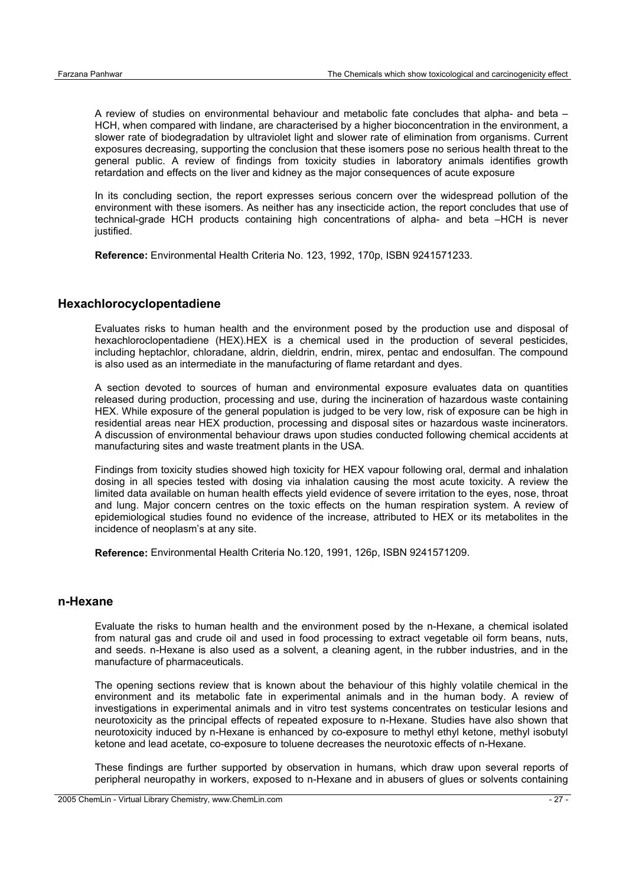A review of studies on environmental behaviour and metabolic fate concludes that alpha- and beta – HCH, when compared with lindane, are characterised by a higher bioconcentration in the environment, a slower rate of biodegradation by ultraviolet light and slower rate of elimination from organisms. Current exposures decreasing, supporting the conclusion that these isomers pose no serious health threat to the general public. A review of findings from toxicity studies in laboratory animals identifies growth retardation and effects on the liver and kidney as the major consequences of acute exposure

In its concluding section, the report expresses serious concern over the widespread pollution of the environment with these isomers. As neither has any insecticide action, the report concludes that use of technical-grade HCH products containing high concentrations of alpha- and beta –HCH is never justified.

**Reference:** Environmental Health Criteria No. 123, 1992, 170p, ISBN 9241571233.

#### **Hexachlorocyclopentadiene**

Evaluates risks to human health and the environment posed by the production use and disposal of hexachloroclopentadiene (HEX).HEX is a chemical used in the production of several pesticides, including heptachlor, chloradane, aldrin, dieldrin, endrin, mirex, pentac and endosulfan. The compound is also used as an intermediate in the manufacturing of flame retardant and dyes.

A section devoted to sources of human and environmental exposure evaluates data on quantities released during production, processing and use, during the incineration of hazardous waste containing HEX. While exposure of the general population is judged to be very low, risk of exposure can be high in residential areas near HEX production, processing and disposal sites or hazardous waste incinerators. A discussion of environmental behaviour draws upon studies conducted following chemical accidents at manufacturing sites and waste treatment plants in the USA.

Findings from toxicity studies showed high toxicity for HEX vapour following oral, dermal and inhalation dosing in all species tested with dosing via inhalation causing the most acute toxicity. A review the limited data available on human health effects yield evidence of severe irritation to the eyes, nose, throat and lung. Major concern centres on the toxic effects on the human respiration system. A review of epidemiological studies found no evidence of the increase, attributed to HEX or its metabolites in the incidence of neoplasm's at any site.

**Reference:** Environmental Health Criteria No.120, 1991, 126p, ISBN 9241571209.

#### **n-Hexane**

Evaluate the risks to human health and the environment posed by the n-Hexane, a chemical isolated from natural gas and crude oil and used in food processing to extract vegetable oil form beans, nuts, and seeds. n-Hexane is also used as a solvent, a cleaning agent, in the rubber industries, and in the manufacture of pharmaceuticals.

The opening sections review that is known about the behaviour of this highly volatile chemical in the environment and its metabolic fate in experimental animals and in the human body. A review of investigations in experimental animals and in vitro test systems concentrates on testicular lesions and neurotoxicity as the principal effects of repeated exposure to n-Hexane. Studies have also shown that neurotoxicity induced by n-Hexane is enhanced by co-exposure to methyl ethyl ketone, methyl isobutyl ketone and lead acetate, co-exposure to toluene decreases the neurotoxic effects of n-Hexane.

These findings are further supported by observation in humans, which draw upon several reports of peripheral neuropathy in workers, exposed to n-Hexane and in abusers of glues or solvents containing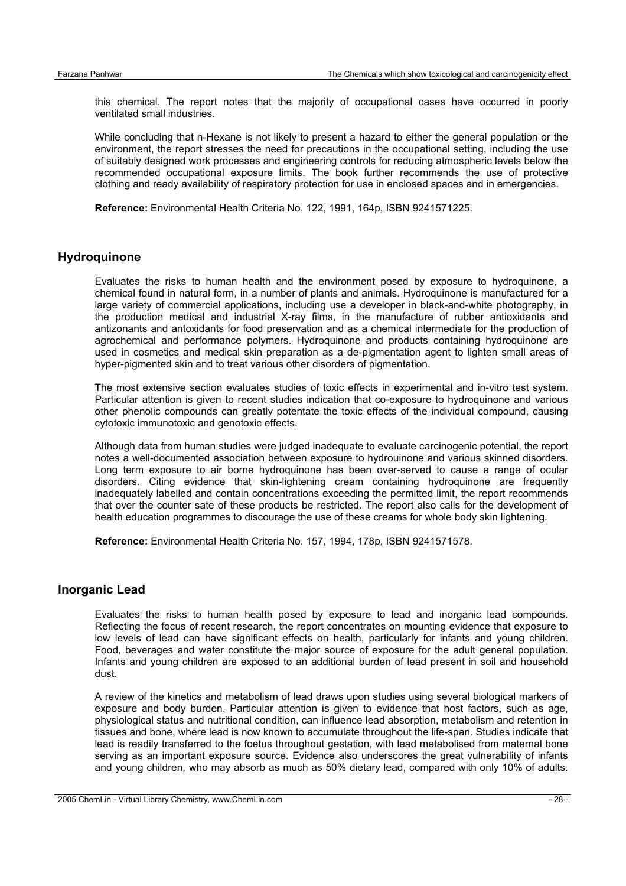this chemical. The report notes that the majority of occupational cases have occurred in poorly ventilated small industries.

While concluding that n-Hexane is not likely to present a hazard to either the general population or the environment, the report stresses the need for precautions in the occupational setting, including the use of suitably designed work processes and engineering controls for reducing atmospheric levels below the recommended occupational exposure limits. The book further recommends the use of protective clothing and ready availability of respiratory protection for use in enclosed spaces and in emergencies.

**Reference:** Environmental Health Criteria No. 122, 1991, 164p, ISBN 9241571225.

#### **Hydroquinone**

Evaluates the risks to human health and the environment posed by exposure to hydroquinone, a chemical found in natural form, in a number of plants and animals. Hydroquinone is manufactured for a large variety of commercial applications, including use a developer in black-and-white photography, in the production medical and industrial X-ray films, in the manufacture of rubber antioxidants and antizonants and antoxidants for food preservation and as a chemical intermediate for the production of agrochemical and performance polymers. Hydroquinone and products containing hydroquinone are used in cosmetics and medical skin preparation as a de-pigmentation agent to lighten small areas of hyper-pigmented skin and to treat various other disorders of pigmentation.

The most extensive section evaluates studies of toxic effects in experimental and in-vitro test system. Particular attention is given to recent studies indication that co-exposure to hydroquinone and various other phenolic compounds can greatly potentate the toxic effects of the individual compound, causing cytotoxic immunotoxic and genotoxic effects.

Although data from human studies were judged inadequate to evaluate carcinogenic potential, the report notes a well-documented association between exposure to hydrouinone and various skinned disorders. Long term exposure to air borne hydroquinone has been over-served to cause a range of ocular disorders. Citing evidence that skin-lightening cream containing hydroquinone are frequently inadequately labelled and contain concentrations exceeding the permitted limit, the report recommends that over the counter sate of these products be restricted. The report also calls for the development of health education programmes to discourage the use of these creams for whole body skin lightening.

**Reference:** Environmental Health Criteria No. 157, 1994, 178p, ISBN 9241571578.

#### **Inorganic Lead**

Evaluates the risks to human health posed by exposure to lead and inorganic lead compounds. Reflecting the focus of recent research, the report concentrates on mounting evidence that exposure to low levels of lead can have significant effects on health, particularly for infants and young children. Food, beverages and water constitute the major source of exposure for the adult general population. Infants and young children are exposed to an additional burden of lead present in soil and household dust.

A review of the kinetics and metabolism of lead draws upon studies using several biological markers of exposure and body burden. Particular attention is given to evidence that host factors, such as age, physiological status and nutritional condition, can influence lead absorption, metabolism and retention in tissues and bone, where lead is now known to accumulate throughout the life-span. Studies indicate that lead is readily transferred to the foetus throughout gestation, with lead metabolised from maternal bone serving as an important exposure source. Evidence also underscores the great vulnerability of infants and young children, who may absorb as much as 50% dietary lead, compared with only 10% of adults.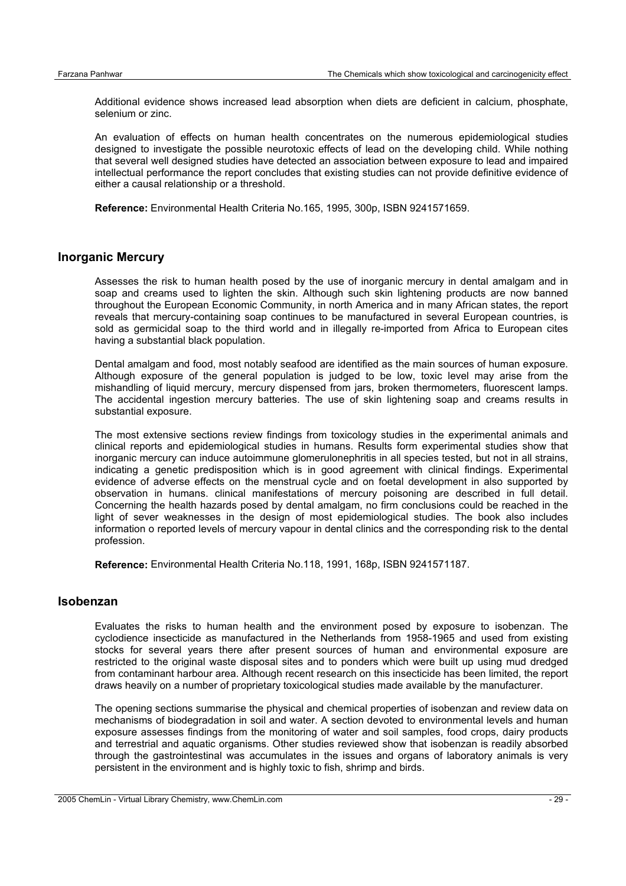Additional evidence shows increased lead absorption when diets are deficient in calcium, phosphate, selenium or zinc.

An evaluation of effects on human health concentrates on the numerous epidemiological studies designed to investigate the possible neurotoxic effects of lead on the developing child. While nothing that several well designed studies have detected an association between exposure to lead and impaired intellectual performance the report concludes that existing studies can not provide definitive evidence of either a causal relationship or a threshold.

**Reference:** Environmental Health Criteria No.165, 1995, 300p, ISBN 9241571659.

#### **Inorganic Mercury**

Assesses the risk to human health posed by the use of inorganic mercury in dental amalgam and in soap and creams used to lighten the skin. Although such skin lightening products are now banned throughout the European Economic Community, in north America and in many African states, the report reveals that mercury-containing soap continues to be manufactured in several European countries, is sold as germicidal soap to the third world and in illegally re-imported from Africa to European cites having a substantial black population.

Dental amalgam and food, most notably seafood are identified as the main sources of human exposure. Although exposure of the general population is judged to be low, toxic level may arise from the mishandling of liquid mercury, mercury dispensed from jars, broken thermometers, fluorescent lamps. The accidental ingestion mercury batteries. The use of skin lightening soap and creams results in substantial exposure.

The most extensive sections review findings from toxicology studies in the experimental animals and clinical reports and epidemiological studies in humans. Results form experimental studies show that inorganic mercury can induce autoimmune glomerulonephritis in all species tested, but not in all strains, indicating a genetic predisposition which is in good agreement with clinical findings. Experimental evidence of adverse effects on the menstrual cycle and on foetal development in also supported by observation in humans. clinical manifestations of mercury poisoning are described in full detail. Concerning the health hazards posed by dental amalgam, no firm conclusions could be reached in the light of sever weaknesses in the design of most epidemiological studies. The book also includes information o reported levels of mercury vapour in dental clinics and the corresponding risk to the dental profession.

**Reference:** Environmental Health Criteria No.118, 1991, 168p, ISBN 9241571187.

#### **Isobenzan**

Evaluates the risks to human health and the environment posed by exposure to isobenzan. The cyclodience insecticide as manufactured in the Netherlands from 1958-1965 and used from existing stocks for several years there after present sources of human and environmental exposure are restricted to the original waste disposal sites and to ponders which were built up using mud dredged from contaminant harbour area. Although recent research on this insecticide has been limited, the report draws heavily on a number of proprietary toxicological studies made available by the manufacturer.

The opening sections summarise the physical and chemical properties of isobenzan and review data on mechanisms of biodegradation in soil and water. A section devoted to environmental levels and human exposure assesses findings from the monitoring of water and soil samples, food crops, dairy products and terrestrial and aquatic organisms. Other studies reviewed show that isobenzan is readily absorbed through the gastrointestinal was accumulates in the issues and organs of laboratory animals is very persistent in the environment and is highly toxic to fish, shrimp and birds.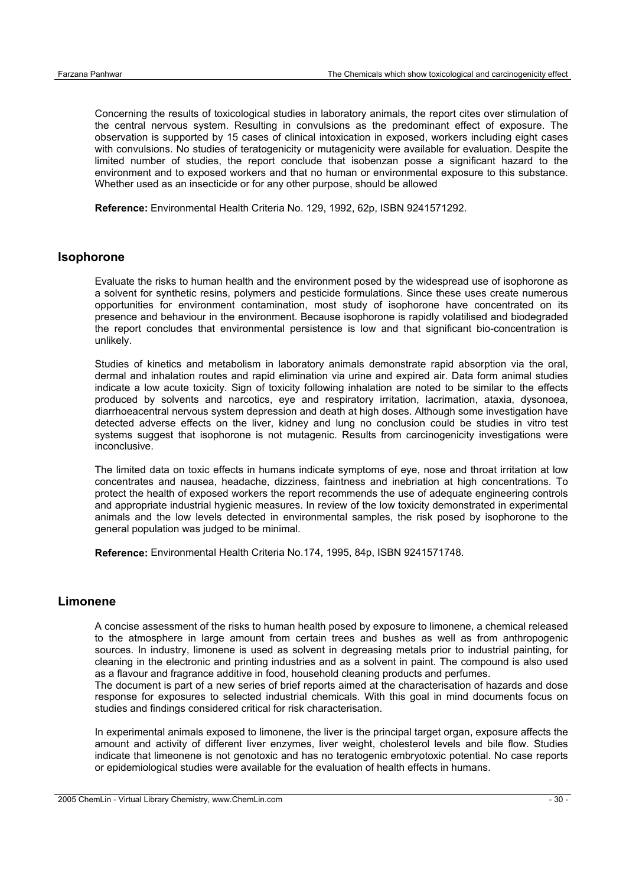Concerning the results of toxicological studies in laboratory animals, the report cites over stimulation of the central nervous system. Resulting in convulsions as the predominant effect of exposure. The observation is supported by 15 cases of clinical intoxication in exposed, workers including eight cases with convulsions. No studies of teratogenicity or mutagenicity were available for evaluation. Despite the limited number of studies, the report conclude that isobenzan posse a significant hazard to the environment and to exposed workers and that no human or environmental exposure to this substance. Whether used as an insecticide or for any other purpose, should be allowed

**Reference:** Environmental Health Criteria No. 129, 1992, 62p, ISBN 9241571292.

#### **Isophorone**

Evaluate the risks to human health and the environment posed by the widespread use of isophorone as a solvent for synthetic resins, polymers and pesticide formulations. Since these uses create numerous opportunities for environment contamination, most study of isophorone have concentrated on its presence and behaviour in the environment. Because isophorone is rapidly volatilised and biodegraded the report concludes that environmental persistence is low and that significant bio-concentration is unlikely.

Studies of kinetics and metabolism in laboratory animals demonstrate rapid absorption via the oral, dermal and inhalation routes and rapid elimination via urine and expired air. Data form animal studies indicate a low acute toxicity. Sign of toxicity following inhalation are noted to be similar to the effects produced by solvents and narcotics, eye and respiratory irritation, lacrimation, ataxia, dysonoea, diarrhoeacentral nervous system depression and death at high doses. Although some investigation have detected adverse effects on the liver, kidney and lung no conclusion could be studies in vitro test systems suggest that isophorone is not mutagenic. Results from carcinogenicity investigations were inconclusive.

The limited data on toxic effects in humans indicate symptoms of eye, nose and throat irritation at low concentrates and nausea, headache, dizziness, faintness and inebriation at high concentrations. To protect the health of exposed workers the report recommends the use of adequate engineering controls and appropriate industrial hygienic measures. In review of the low toxicity demonstrated in experimental animals and the low levels detected in environmental samples, the risk posed by isophorone to the general population was judged to be minimal.

**Reference:** Environmental Health Criteria No.174, 1995, 84p, ISBN 9241571748.

#### **Limonene**

A concise assessment of the risks to human health posed by exposure to limonene, a chemical released to the atmosphere in large amount from certain trees and bushes as well as from anthropogenic sources. In industry, limonene is used as solvent in degreasing metals prior to industrial painting, for cleaning in the electronic and printing industries and as a solvent in paint. The compound is also used as a flavour and fragrance additive in food, household cleaning products and perfumes.

The document is part of a new series of brief reports aimed at the characterisation of hazards and dose response for exposures to selected industrial chemicals. With this goal in mind documents focus on studies and findings considered critical for risk characterisation.

In experimental animals exposed to limonene, the liver is the principal target organ, exposure affects the amount and activity of different liver enzymes, liver weight, cholesterol levels and bile flow. Studies indicate that limeonene is not genotoxic and has no teratogenic embryotoxic potential. No case reports or epidemiological studies were available for the evaluation of health effects in humans.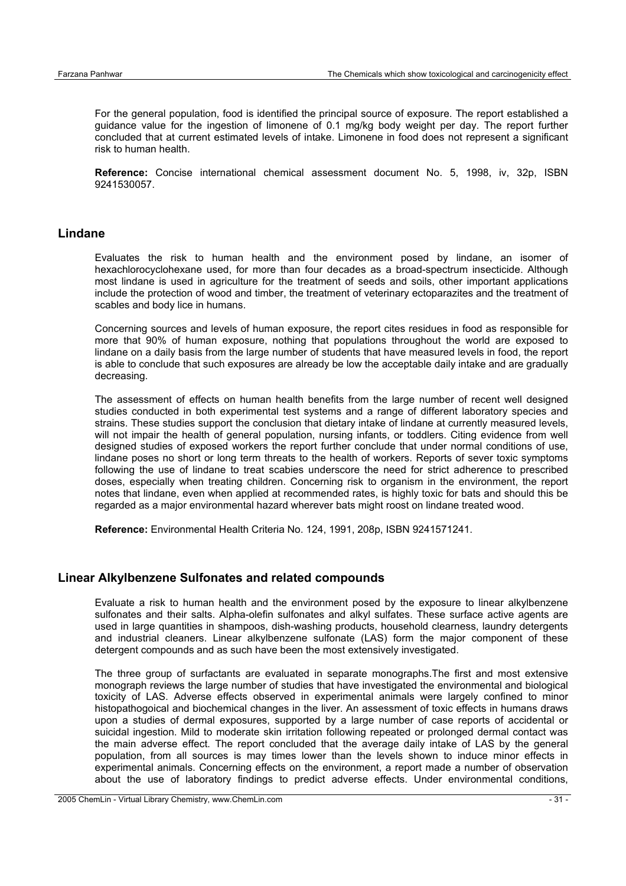For the general population, food is identified the principal source of exposure. The report established a guidance value for the ingestion of limonene of 0.1 mg/kg body weight per day. The report further concluded that at current estimated levels of intake. Limonene in food does not represent a significant risk to human health.

**Reference:** Concise international chemical assessment document No. 5, 1998, iv, 32p, ISBN 9241530057.

#### **Lindane**

Evaluates the risk to human health and the environment posed by lindane, an isomer of hexachlorocyclohexane used, for more than four decades as a broad-spectrum insecticide. Although most lindane is used in agriculture for the treatment of seeds and soils, other important applications include the protection of wood and timber, the treatment of veterinary ectoparazites and the treatment of scables and body lice in humans.

Concerning sources and levels of human exposure, the report cites residues in food as responsible for more that 90% of human exposure, nothing that populations throughout the world are exposed to lindane on a daily basis from the large number of students that have measured levels in food, the report is able to conclude that such exposures are already be low the acceptable daily intake and are gradually decreasing.

The assessment of effects on human health benefits from the large number of recent well designed studies conducted in both experimental test systems and a range of different laboratory species and strains. These studies support the conclusion that dietary intake of lindane at currently measured levels, will not impair the health of general population, nursing infants, or toddlers. Citing evidence from well designed studies of exposed workers the report further conclude that under normal conditions of use, lindane poses no short or long term threats to the health of workers. Reports of sever toxic symptoms following the use of lindane to treat scabies underscore the need for strict adherence to prescribed doses, especially when treating children. Concerning risk to organism in the environment, the report notes that lindane, even when applied at recommended rates, is highly toxic for bats and should this be regarded as a major environmental hazard wherever bats might roost on lindane treated wood.

**Reference:** Environmental Health Criteria No. 124, 1991, 208p, ISBN 9241571241.

#### **Linear Alkylbenzene Sulfonates and related compounds**

Evaluate a risk to human health and the environment posed by the exposure to linear alkylbenzene sulfonates and their salts. Alpha-olefin sulfonates and alkyl sulfates. These surface active agents are used in large quantities in shampoos, dish-washing products, household clearness, laundry detergents and industrial cleaners. Linear alkylbenzene sulfonate (LAS) form the major component of these detergent compounds and as such have been the most extensively investigated.

The three group of surfactants are evaluated in separate monographs.The first and most extensive monograph reviews the large number of studies that have investigated the environmental and biological toxicity of LAS. Adverse effects observed in experimental animals were largely confined to minor histopathogoical and biochemical changes in the liver. An assessment of toxic effects in humans draws upon a studies of dermal exposures, supported by a large number of case reports of accidental or suicidal ingestion. Mild to moderate skin irritation following repeated or prolonged dermal contact was the main adverse effect. The report concluded that the average daily intake of LAS by the general population, from all sources is may times lower than the levels shown to induce minor effects in experimental animals. Concerning effects on the environment, a report made a number of observation about the use of laboratory findings to predict adverse effects. Under environmental conditions,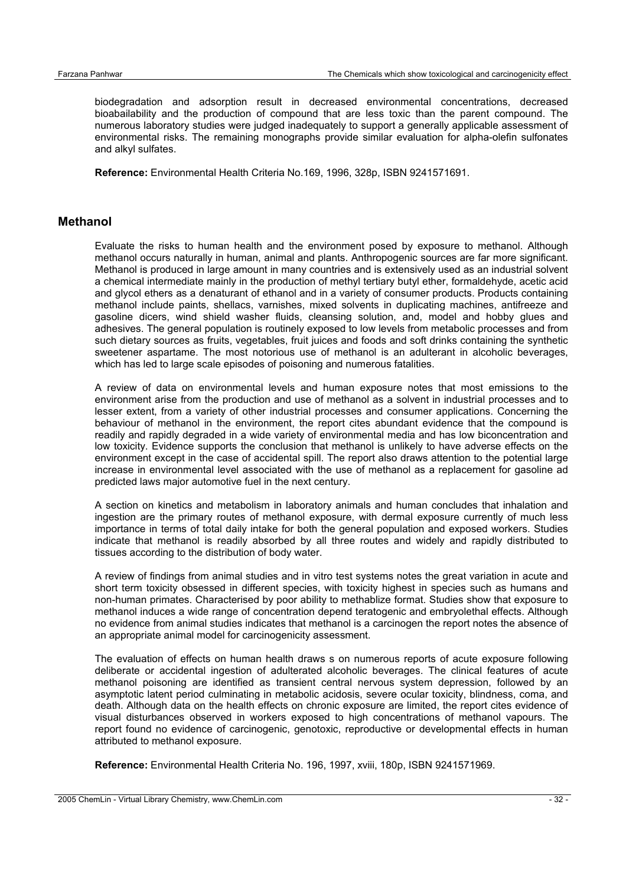biodegradation and adsorption result in decreased environmental concentrations, decreased bioabailability and the production of compound that are less toxic than the parent compound. The numerous laboratory studies were judged inadequately to support a generally applicable assessment of environmental risks. The remaining monographs provide similar evaluation for alpha-olefin sulfonates and alkyl sulfates.

**Reference:** Environmental Health Criteria No.169, 1996, 328p, ISBN 9241571691.

#### **Methanol**

Evaluate the risks to human health and the environment posed by exposure to methanol. Although methanol occurs naturally in human, animal and plants. Anthropogenic sources are far more significant. Methanol is produced in large amount in many countries and is extensively used as an industrial solvent a chemical intermediate mainly in the production of methyl tertiary butyl ether, formaldehyde, acetic acid and glycol ethers as a denaturant of ethanol and in a variety of consumer products. Products containing methanol include paints, shellacs, varnishes, mixed solvents in duplicating machines, antifreeze and gasoline dicers, wind shield washer fluids, cleansing solution, and, model and hobby glues and adhesives. The general population is routinely exposed to low levels from metabolic processes and from such dietary sources as fruits, vegetables, fruit juices and foods and soft drinks containing the synthetic sweetener aspartame. The most notorious use of methanol is an adulterant in alcoholic beverages, which has led to large scale episodes of poisoning and numerous fatalities.

A review of data on environmental levels and human exposure notes that most emissions to the environment arise from the production and use of methanol as a solvent in industrial processes and to lesser extent, from a variety of other industrial processes and consumer applications. Concerning the behaviour of methanol in the environment, the report cites abundant evidence that the compound is readily and rapidly degraded in a wide variety of environmental media and has low biconcentration and low toxicity. Evidence supports the conclusion that methanol is unlikely to have adverse effects on the environment except in the case of accidental spill. The report also draws attention to the potential large increase in environmental level associated with the use of methanol as a replacement for gasoline ad predicted laws major automotive fuel in the next century.

A section on kinetics and metabolism in laboratory animals and human concludes that inhalation and ingestion are the primary routes of methanol exposure, with dermal exposure currently of much less importance in terms of total daily intake for both the general population and exposed workers. Studies indicate that methanol is readily absorbed by all three routes and widely and rapidly distributed to tissues according to the distribution of body water.

A review of findings from animal studies and in vitro test systems notes the great variation in acute and short term toxicity obsessed in different species, with toxicity highest in species such as humans and non-human primates. Characterised by poor ability to methablize format. Studies show that exposure to methanol induces a wide range of concentration depend teratogenic and embryolethal effects. Although no evidence from animal studies indicates that methanol is a carcinogen the report notes the absence of an appropriate animal model for carcinogenicity assessment.

The evaluation of effects on human health draws s on numerous reports of acute exposure following deliberate or accidental ingestion of adulterated alcoholic beverages. The clinical features of acute methanol poisoning are identified as transient central nervous system depression, followed by an asymptotic latent period culminating in metabolic acidosis, severe ocular toxicity, blindness, coma, and death. Although data on the health effects on chronic exposure are limited, the report cites evidence of visual disturbances observed in workers exposed to high concentrations of methanol vapours. The report found no evidence of carcinogenic, genotoxic, reproductive or developmental effects in human attributed to methanol exposure.

**Reference:** Environmental Health Criteria No. 196, 1997, xviii, 180p, ISBN 9241571969.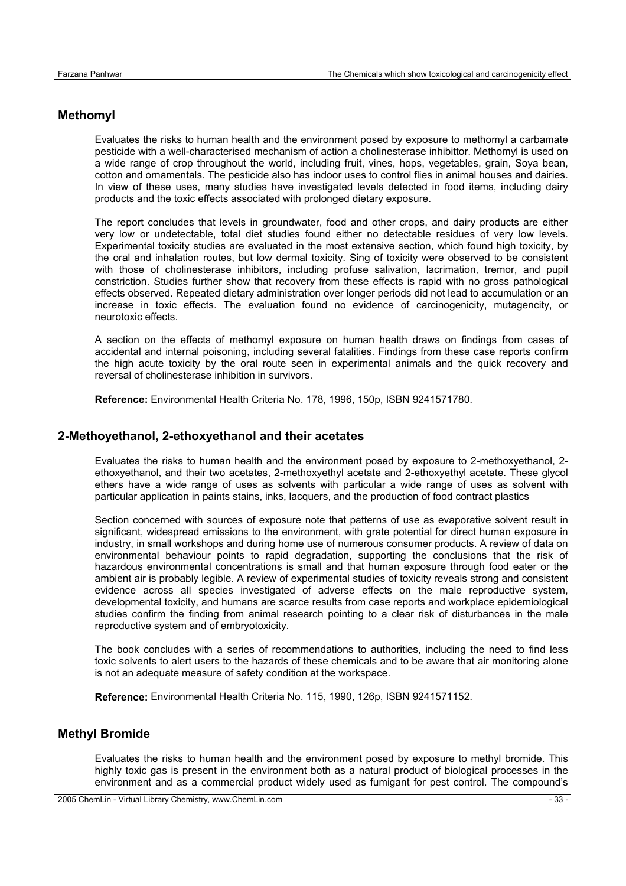## **Methomyl**

Evaluates the risks to human health and the environment posed by exposure to methomyl a carbamate pesticide with a well-characterised mechanism of action a cholinesterase inhibittor. Methomyl is used on a wide range of crop throughout the world, including fruit, vines, hops, vegetables, grain, Soya bean, cotton and ornamentals. The pesticide also has indoor uses to control flies in animal houses and dairies. In view of these uses, many studies have investigated levels detected in food items, including dairy products and the toxic effects associated with prolonged dietary exposure.

The report concludes that levels in groundwater, food and other crops, and dairy products are either very low or undetectable, total diet studies found either no detectable residues of very low levels. Experimental toxicity studies are evaluated in the most extensive section, which found high toxicity, by the oral and inhalation routes, but low dermal toxicity. Sing of toxicity were observed to be consistent with those of cholinesterase inhibitors, including profuse salivation, lacrimation, tremor, and pupil constriction. Studies further show that recovery from these effects is rapid with no gross pathological effects observed. Repeated dietary administration over longer periods did not lead to accumulation or an increase in toxic effects. The evaluation found no evidence of carcinogenicity, mutagencity, or neurotoxic effects.

A section on the effects of methomyl exposure on human health draws on findings from cases of accidental and internal poisoning, including several fatalities. Findings from these case reports confirm the high acute toxicity by the oral route seen in experimental animals and the quick recovery and reversal of cholinesterase inhibition in survivors.

**Reference:** Environmental Health Criteria No. 178, 1996, 150p, ISBN 9241571780.

## **2-Methoyethanol, 2-ethoxyethanol and their acetates**

Evaluates the risks to human health and the environment posed by exposure to 2-methoxyethanol, 2 ethoxyethanol, and their two acetates, 2-methoxyethyl acetate and 2-ethoxyethyl acetate. These glycol ethers have a wide range of uses as solvents with particular a wide range of uses as solvent with particular application in paints stains, inks, lacquers, and the production of food contract plastics

Section concerned with sources of exposure note that patterns of use as evaporative solvent result in significant, widespread emissions to the environment, with grate potential for direct human exposure in industry, in small workshops and during home use of numerous consumer products. A review of data on environmental behaviour points to rapid degradation, supporting the conclusions that the risk of hazardous environmental concentrations is small and that human exposure through food eater or the ambient air is probably legible. A review of experimental studies of toxicity reveals strong and consistent evidence across all species investigated of adverse effects on the male reproductive system, developmental toxicity, and humans are scarce results from case reports and workplace epidemiological studies confirm the finding from animal research pointing to a clear risk of disturbances in the male reproductive system and of embryotoxicity.

The book concludes with a series of recommendations to authorities, including the need to find less toxic solvents to alert users to the hazards of these chemicals and to be aware that air monitoring alone is not an adequate measure of safety condition at the workspace.

**Reference:** Environmental Health Criteria No. 115, 1990, 126p, ISBN 9241571152.

## **Methyl Bromide**

Evaluates the risks to human health and the environment posed by exposure to methyl bromide. This highly toxic gas is present in the environment both as a natural product of biological processes in the environment and as a commercial product widely used as fumigant for pest control. The compound's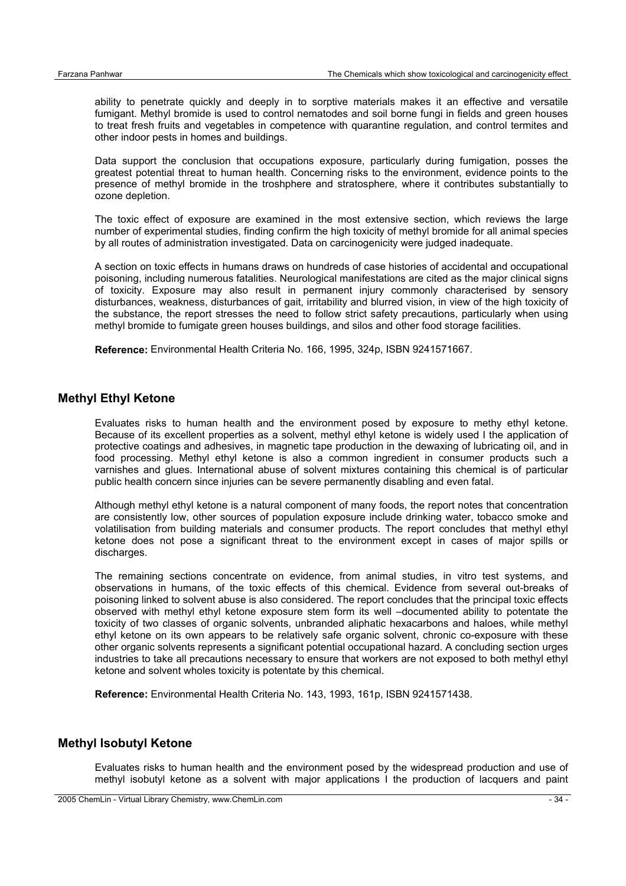ability to penetrate quickly and deeply in to sorptive materials makes it an effective and versatile fumigant. Methyl bromide is used to control nematodes and soil borne fungi in fields and green houses to treat fresh fruits and vegetables in competence with quarantine regulation, and control termites and other indoor pests in homes and buildings.

Data support the conclusion that occupations exposure, particularly during fumigation, posses the greatest potential threat to human health. Concerning risks to the environment, evidence points to the presence of methyl bromide in the troshphere and stratosphere, where it contributes substantially to ozone depletion.

The toxic effect of exposure are examined in the most extensive section, which reviews the large number of experimental studies, finding confirm the high toxicity of methyl bromide for all animal species by all routes of administration investigated. Data on carcinogenicity were judged inadequate.

A section on toxic effects in humans draws on hundreds of case histories of accidental and occupational poisoning, including numerous fatalities. Neurological manifestations are cited as the major clinical signs of toxicity. Exposure may also result in permanent injury commonly characterised by sensory disturbances, weakness, disturbances of gait, irritability and blurred vision, in view of the high toxicity of the substance, the report stresses the need to follow strict safety precautions, particularly when using methyl bromide to fumigate green houses buildings, and silos and other food storage facilities.

**Reference:** Environmental Health Criteria No. 166, 1995, 324p, ISBN 9241571667.

#### **Methyl Ethyl Ketone**

Evaluates risks to human health and the environment posed by exposure to methy ethyl ketone. Because of its excellent properties as a solvent, methyl ethyl ketone is widely used I the application of protective coatings and adhesives, in magnetic tape production in the dewaxing of lubricating oil, and in food processing. Methyl ethyl ketone is also a common ingredient in consumer products such a varnishes and glues. International abuse of solvent mixtures containing this chemical is of particular public health concern since injuries can be severe permanently disabling and even fatal.

Although methyl ethyl ketone is a natural component of many foods, the report notes that concentration are consistently low, other sources of population exposure include drinking water, tobacco smoke and volatilisation from building materials and consumer products. The report concludes that methyl ethyl ketone does not pose a significant threat to the environment except in cases of major spills or discharges.

The remaining sections concentrate on evidence, from animal studies, in vitro test systems, and observations in humans, of the toxic effects of this chemical. Evidence from several out-breaks of poisoning linked to solvent abuse is also considered. The report concludes that the principal toxic effects observed with methyl ethyl ketone exposure stem form its well –documented ability to potentate the toxicity of two classes of organic solvents, unbranded aliphatic hexacarbons and haloes, while methyl ethyl ketone on its own appears to be relatively safe organic solvent, chronic co-exposure with these other organic solvents represents a significant potential occupational hazard. A concluding section urges industries to take all precautions necessary to ensure that workers are not exposed to both methyl ethyl ketone and solvent wholes toxicity is potentate by this chemical.

**Reference:** Environmental Health Criteria No. 143, 1993, 161p, ISBN 9241571438.

## **Methyl Isobutyl Ketone**

Evaluates risks to human health and the environment posed by the widespread production and use of methyl isobutyl ketone as a solvent with major applications I the production of lacquers and paint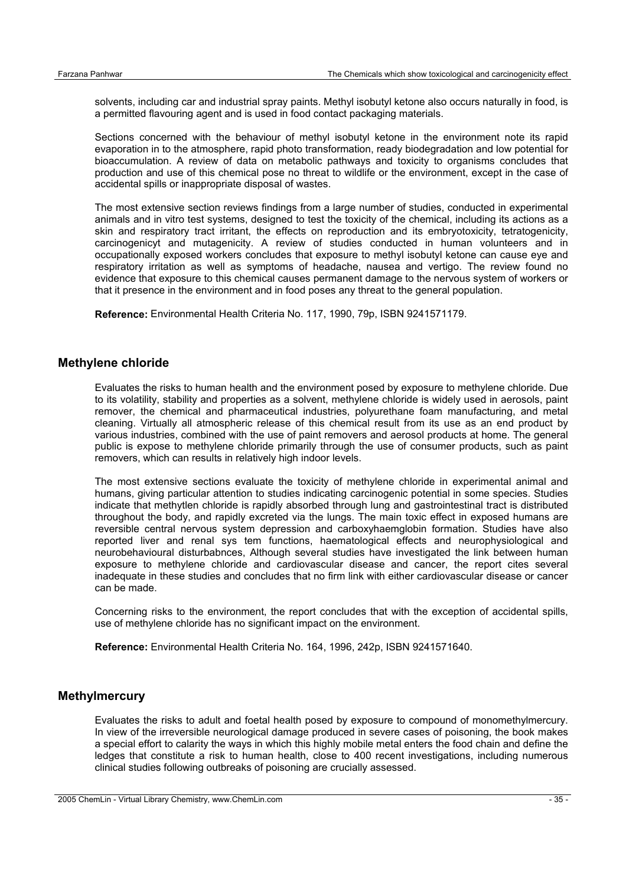solvents, including car and industrial spray paints. Methyl isobutyl ketone also occurs naturally in food, is a permitted flavouring agent and is used in food contact packaging materials.

Sections concerned with the behaviour of methyl isobutyl ketone in the environment note its rapid evaporation in to the atmosphere, rapid photo transformation, ready biodegradation and low potential for bioaccumulation. A review of data on metabolic pathways and toxicity to organisms concludes that production and use of this chemical pose no threat to wildlife or the environment, except in the case of accidental spills or inappropriate disposal of wastes.

The most extensive section reviews findings from a large number of studies, conducted in experimental animals and in vitro test systems, designed to test the toxicity of the chemical, including its actions as a skin and respiratory tract irritant, the effects on reproduction and its embryotoxicity, tetratogenicity, carcinogenicyt and mutagenicity. A review of studies conducted in human volunteers and in occupationally exposed workers concludes that exposure to methyl isobutyl ketone can cause eye and respiratory irritation as well as symptoms of headache, nausea and vertigo. The review found no evidence that exposure to this chemical causes permanent damage to the nervous system of workers or that it presence in the environment and in food poses any threat to the general population.

**Reference:** Environmental Health Criteria No. 117, 1990, 79p, ISBN 9241571179.

#### **Methylene chloride**

Evaluates the risks to human health and the environment posed by exposure to methylene chloride. Due to its volatility, stability and properties as a solvent, methylene chloride is widely used in aerosols, paint remover, the chemical and pharmaceutical industries, polyurethane foam manufacturing, and metal cleaning. Virtually all atmospheric release of this chemical result from its use as an end product by various industries, combined with the use of paint removers and aerosol products at home. The general public is expose to methylene chloride primarily through the use of consumer products, such as paint removers, which can results in relatively high indoor levels.

The most extensive sections evaluate the toxicity of methylene chloride in experimental animal and humans, giving particular attention to studies indicating carcinogenic potential in some species. Studies indicate that methytlen chloride is rapidly absorbed through lung and gastrointestinal tract is distributed throughout the body, and rapidly excreted via the lungs. The main toxic effect in exposed humans are reversible central nervous system depression and carboxyhaemglobin formation. Studies have also reported liver and renal sys tem functions, haematological effects and neurophysiological and neurobehavioural disturbabnces, Although several studies have investigated the link between human exposure to methylene chloride and cardiovascular disease and cancer, the report cites several inadequate in these studies and concludes that no firm link with either cardiovascular disease or cancer can be made.

Concerning risks to the environment, the report concludes that with the exception of accidental spills, use of methylene chloride has no significant impact on the environment.

**Reference:** Environmental Health Criteria No. 164, 1996, 242p, ISBN 9241571640.

#### **Methylmercury**

Evaluates the risks to adult and foetal health posed by exposure to compound of monomethylmercury. In view of the irreversible neurological damage produced in severe cases of poisoning, the book makes a special effort to calarity the ways in which this highly mobile metal enters the food chain and define the ledges that constitute a risk to human health, close to 400 recent investigations, including numerous clinical studies following outbreaks of poisoning are crucially assessed.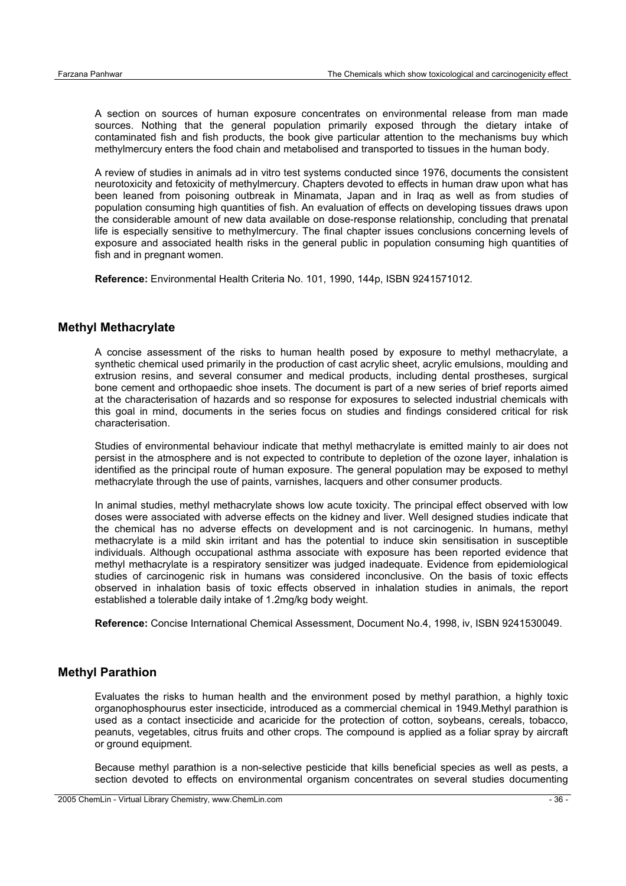A section on sources of human exposure concentrates on environmental release from man made sources. Nothing that the general population primarily exposed through the dietary intake of contaminated fish and fish products, the book give particular attention to the mechanisms buy which methylmercury enters the food chain and metabolised and transported to tissues in the human body.

A review of studies in animals ad in vitro test systems conducted since 1976, documents the consistent neurotoxicity and fetoxicity of methylmercury. Chapters devoted to effects in human draw upon what has been leaned from poisoning outbreak in Minamata, Japan and in Iraq as well as from studies of population consuming high quantities of fish. An evaluation of effects on developing tissues draws upon the considerable amount of new data available on dose-response relationship, concluding that prenatal life is especially sensitive to methylmercury. The final chapter issues conclusions concerning levels of exposure and associated health risks in the general public in population consuming high quantities of fish and in pregnant women.

**Reference:** Environmental Health Criteria No. 101, 1990, 144p, ISBN 9241571012.

#### **Methyl Methacrylate**

A concise assessment of the risks to human health posed by exposure to methyl methacrylate, a synthetic chemical used primarily in the production of cast acrylic sheet, acrylic emulsions, moulding and extrusion resins, and several consumer and medical products, including dental prostheses, surgical bone cement and orthopaedic shoe insets. The document is part of a new series of brief reports aimed at the characterisation of hazards and so response for exposures to selected industrial chemicals with this goal in mind, documents in the series focus on studies and findings considered critical for risk characterisation.

Studies of environmental behaviour indicate that methyl methacrylate is emitted mainly to air does not persist in the atmosphere and is not expected to contribute to depletion of the ozone layer, inhalation is identified as the principal route of human exposure. The general population may be exposed to methyl methacrylate through the use of paints, varnishes, lacquers and other consumer products.

In animal studies, methyl methacrylate shows low acute toxicity. The principal effect observed with low doses were associated with adverse effects on the kidney and liver. Well designed studies indicate that the chemical has no adverse effects on development and is not carcinogenic. In humans, methyl methacrylate is a mild skin irritant and has the potential to induce skin sensitisation in susceptible individuals. Although occupational asthma associate with exposure has been reported evidence that methyl methacrylate is a respiratory sensitizer was judged inadequate. Evidence from epidemiological studies of carcinogenic risk in humans was considered inconclusive. On the basis of toxic effects observed in inhalation basis of toxic effects observed in inhalation studies in animals, the report established a tolerable daily intake of 1.2mg/kg body weight.

**Reference:** Concise International Chemical Assessment, Document No.4, 1998, iv, ISBN 9241530049.

#### **Methyl Parathion**

Evaluates the risks to human health and the environment posed by methyl parathion, a highly toxic organophosphourus ester insecticide, introduced as a commercial chemical in 1949.Methyl parathion is used as a contact insecticide and acaricide for the protection of cotton, soybeans, cereals, tobacco, peanuts, vegetables, citrus fruits and other crops. The compound is applied as a foliar spray by aircraft or ground equipment.

Because methyl parathion is a non-selective pesticide that kills beneficial species as well as pests, a section devoted to effects on environmental organism concentrates on several studies documenting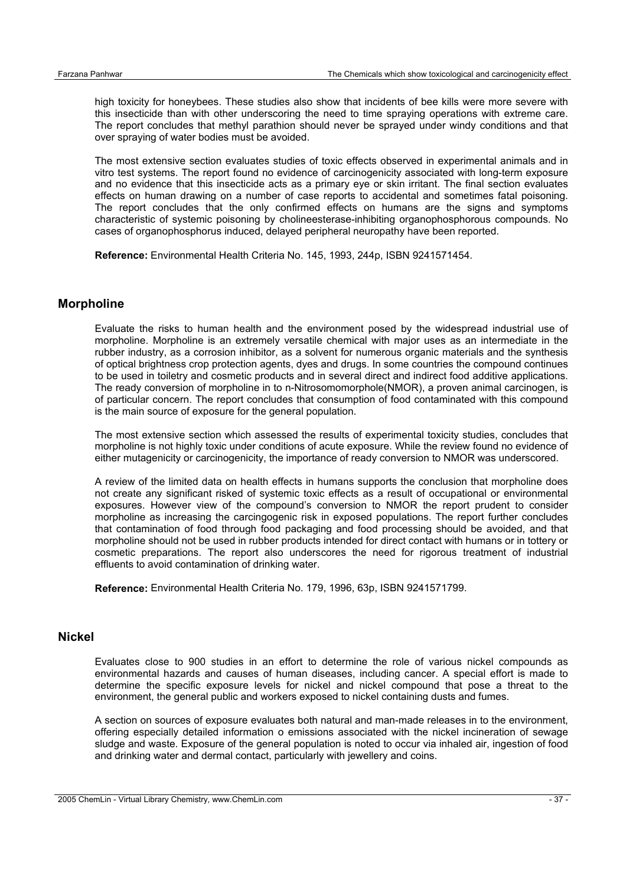high toxicity for honeybees. These studies also show that incidents of bee kills were more severe with this insecticide than with other underscoring the need to time spraying operations with extreme care. The report concludes that methyl parathion should never be sprayed under windy conditions and that over spraying of water bodies must be avoided.

The most extensive section evaluates studies of toxic effects observed in experimental animals and in vitro test systems. The report found no evidence of carcinogenicity associated with long-term exposure and no evidence that this insecticide acts as a primary eye or skin irritant. The final section evaluates effects on human drawing on a number of case reports to accidental and sometimes fatal poisoning. The report concludes that the only confirmed effects on humans are the signs and symptoms characteristic of systemic poisoning by cholineesterase-inhibiting organophosphorous compounds. No cases of organophosphorus induced, delayed peripheral neuropathy have been reported.

**Reference:** Environmental Health Criteria No. 145, 1993, 244p, ISBN 9241571454.

#### **Morpholine**

Evaluate the risks to human health and the environment posed by the widespread industrial use of morpholine. Morpholine is an extremely versatile chemical with major uses as an intermediate in the rubber industry, as a corrosion inhibitor, as a solvent for numerous organic materials and the synthesis of optical brightness crop protection agents, dyes and drugs. In some countries the compound continues to be used in toiletry and cosmetic products and in several direct and indirect food additive applications. The ready conversion of morpholine in to n-Nitrosomomorphole(NMOR), a proven animal carcinogen, is of particular concern. The report concludes that consumption of food contaminated with this compound is the main source of exposure for the general population.

The most extensive section which assessed the results of experimental toxicity studies, concludes that morpholine is not highly toxic under conditions of acute exposure. While the review found no evidence of either mutagenicity or carcinogenicity, the importance of ready conversion to NMOR was underscored.

A review of the limited data on health effects in humans supports the conclusion that morpholine does not create any significant risked of systemic toxic effects as a result of occupational or environmental exposures. However view of the compound's conversion to NMOR the report prudent to consider morpholine as increasing the carcingogenic risk in exposed populations. The report further concludes that contamination of food through food packaging and food processing should be avoided, and that morpholine should not be used in rubber products intended for direct contact with humans or in tottery or cosmetic preparations. The report also underscores the need for rigorous treatment of industrial effluents to avoid contamination of drinking water.

**Reference:** Environmental Health Criteria No. 179, 1996, 63p, ISBN 9241571799.

#### **Nickel**

Evaluates close to 900 studies in an effort to determine the role of various nickel compounds as environmental hazards and causes of human diseases, including cancer. A special effort is made to determine the specific exposure levels for nickel and nickel compound that pose a threat to the environment, the general public and workers exposed to nickel containing dusts and fumes.

A section on sources of exposure evaluates both natural and man-made releases in to the environment, offering especially detailed information o emissions associated with the nickel incineration of sewage sludge and waste. Exposure of the general population is noted to occur via inhaled air, ingestion of food and drinking water and dermal contact, particularly with jewellery and coins.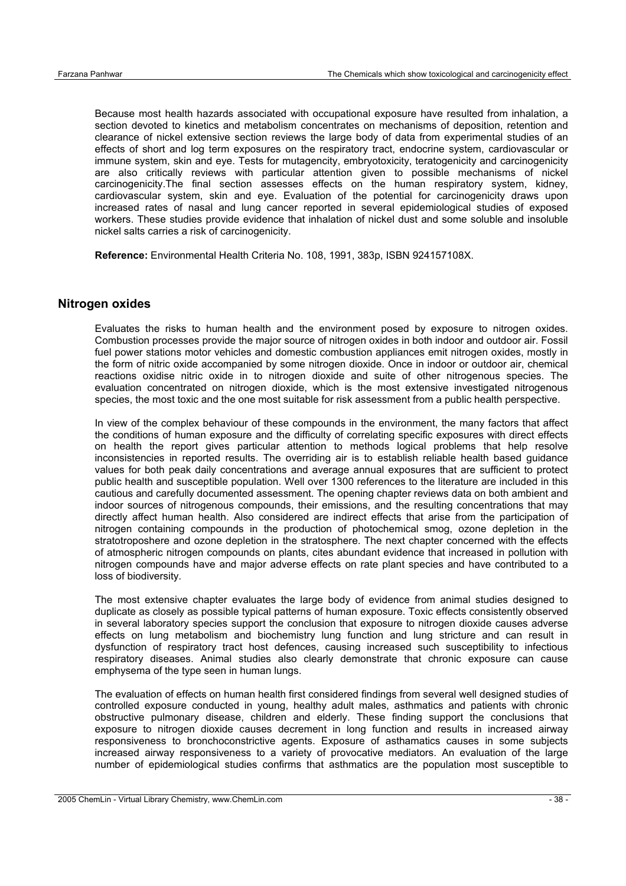Because most health hazards associated with occupational exposure have resulted from inhalation, a section devoted to kinetics and metabolism concentrates on mechanisms of deposition, retention and clearance of nickel extensive section reviews the large body of data from experimental studies of an effects of short and log term exposures on the respiratory tract, endocrine system, cardiovascular or immune system, skin and eye. Tests for mutagencity, embryotoxicity, teratogenicity and carcinogenicity are also critically reviews with particular attention given to possible mechanisms of nickel carcinogenicity.The final section assesses effects on the human respiratory system, kidney, cardiovascular system, skin and eye. Evaluation of the potential for carcinogenicity draws upon increased rates of nasal and lung cancer reported in several epidemiological studies of exposed workers. These studies provide evidence that inhalation of nickel dust and some soluble and insoluble nickel salts carries a risk of carcinogenicity.

**Reference:** Environmental Health Criteria No. 108, 1991, 383p, ISBN 924157108X.

#### **Nitrogen oxides**

Evaluates the risks to human health and the environment posed by exposure to nitrogen oxides. Combustion processes provide the major source of nitrogen oxides in both indoor and outdoor air. Fossil fuel power stations motor vehicles and domestic combustion appliances emit nitrogen oxides, mostly in the form of nitric oxide accompanied by some nitrogen dioxide. Once in indoor or outdoor air, chemical reactions oxidise nitric oxide in to nitrogen dioxide and suite of other nitrogenous species. The evaluation concentrated on nitrogen dioxide, which is the most extensive investigated nitrogenous species, the most toxic and the one most suitable for risk assessment from a public health perspective.

In view of the complex behaviour of these compounds in the environment, the many factors that affect the conditions of human exposure and the difficulty of correlating specific exposures with direct effects on health the report gives particular attention to methods logical problems that help resolve inconsistencies in reported results. The overriding air is to establish reliable health based guidance values for both peak daily concentrations and average annual exposures that are sufficient to protect public health and susceptible population. Well over 1300 references to the literature are included in this cautious and carefully documented assessment. The opening chapter reviews data on both ambient and indoor sources of nitrogenous compounds, their emissions, and the resulting concentrations that may directly affect human health. Also considered are indirect effects that arise from the participation of nitrogen containing compounds in the production of photochemical smog, ozone depletion in the stratotroposhere and ozone depletion in the stratosphere. The next chapter concerned with the effects of atmospheric nitrogen compounds on plants, cites abundant evidence that increased in pollution with nitrogen compounds have and major adverse effects on rate plant species and have contributed to a loss of biodiversity.

The most extensive chapter evaluates the large body of evidence from animal studies designed to duplicate as closely as possible typical patterns of human exposure. Toxic effects consistently observed in several laboratory species support the conclusion that exposure to nitrogen dioxide causes adverse effects on lung metabolism and biochemistry lung function and lung stricture and can result in dysfunction of respiratory tract host defences, causing increased such susceptibility to infectious respiratory diseases. Animal studies also clearly demonstrate that chronic exposure can cause emphysema of the type seen in human lungs.

The evaluation of effects on human health first considered findings from several well designed studies of controlled exposure conducted in young, healthy adult males, asthmatics and patients with chronic obstructive pulmonary disease, children and elderly. These finding support the conclusions that exposure to nitrogen dioxide causes decrement in long function and results in increased airway responsiveness to bronchoconstrictive agents. Exposure of asthamatics causes in some subjects increased airway responsiveness to a variety of provocative mediators. An evaluation of the large number of epidemiological studies confirms that asthmatics are the population most susceptible to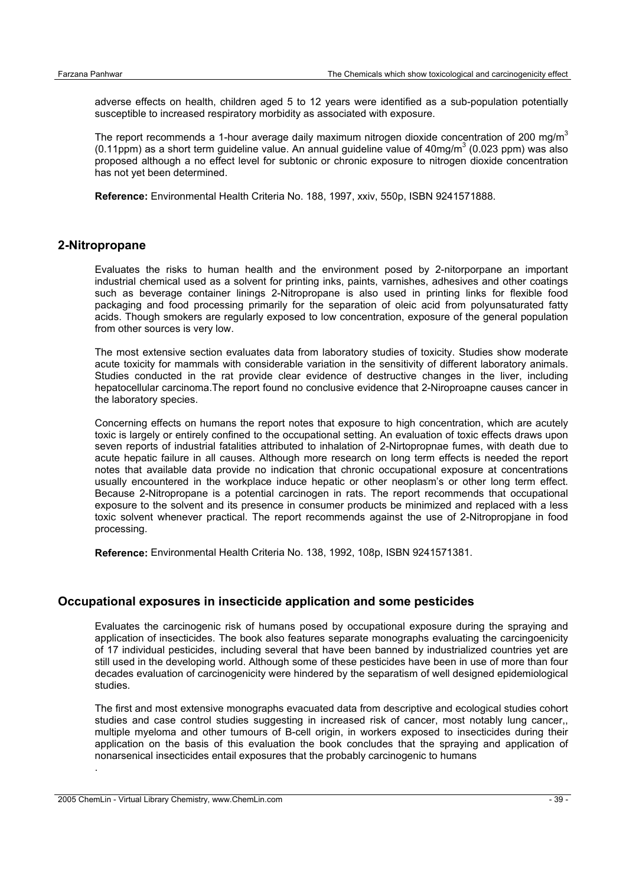adverse effects on health, children aged 5 to 12 years were identified as a sub-population potentially susceptible to increased respiratory morbidity as associated with exposure.

The report recommends a 1-hour average daily maximum nitrogen dioxide concentration of 200 mg/m<sup>3</sup>  $(0.11$ ppm) as a short term guideline value. An annual guideline value of 40mg/m<sup>3</sup> (0.023 ppm) was also proposed although a no effect level for subtonic or chronic exposure to nitrogen dioxide concentration has not yet been determined.

**Reference:** Environmental Health Criteria No. 188, 1997, xxiv, 550p, ISBN 9241571888.

#### **2-Nitropropane**

Evaluates the risks to human health and the environment posed by 2-nitorporpane an important industrial chemical used as a solvent for printing inks, paints, varnishes, adhesives and other coatings such as beverage container linings 2-Nitropropane is also used in printing links for flexible food packaging and food processing primarily for the separation of oleic acid from polyunsaturated fatty acids. Though smokers are regularly exposed to low concentration, exposure of the general population from other sources is very low.

The most extensive section evaluates data from laboratory studies of toxicity. Studies show moderate acute toxicity for mammals with considerable variation in the sensitivity of different laboratory animals. Studies conducted in the rat provide clear evidence of destructive changes in the liver, including hepatocellular carcinoma.The report found no conclusive evidence that 2-Niroproapne causes cancer in the laboratory species.

Concerning effects on humans the report notes that exposure to high concentration, which are acutely toxic is largely or entirely confined to the occupational setting. An evaluation of toxic effects draws upon seven reports of industrial fatalities attributed to inhalation of 2-Nirtopropnae fumes, with death due to acute hepatic failure in all causes. Although more research on long term effects is needed the report notes that available data provide no indication that chronic occupational exposure at concentrations usually encountered in the workplace induce hepatic or other neoplasm's or other long term effect. Because 2-Nitropropane is a potential carcinogen in rats. The report recommends that occupational exposure to the solvent and its presence in consumer products be minimized and replaced with a less toxic solvent whenever practical. The report recommends against the use of 2-Nitropropjane in food processing.

**Reference:** Environmental Health Criteria No. 138, 1992, 108p, ISBN 9241571381.

#### **Occupational exposures in insecticide application and some pesticides**

Evaluates the carcinogenic risk of humans posed by occupational exposure during the spraying and application of insecticides. The book also features separate monographs evaluating the carcingoenicity of 17 individual pesticides, including several that have been banned by industrialized countries yet are still used in the developing world. Although some of these pesticides have been in use of more than four decades evaluation of carcinogenicity were hindered by the separatism of well designed epidemiological studies.

The first and most extensive monographs evacuated data from descriptive and ecological studies cohort studies and case control studies suggesting in increased risk of cancer, most notably lung cancer,, multiple myeloma and other tumours of B-cell origin, in workers exposed to insecticides during their application on the basis of this evaluation the book concludes that the spraying and application of nonarsenical insecticides entail exposures that the probably carcinogenic to humans

.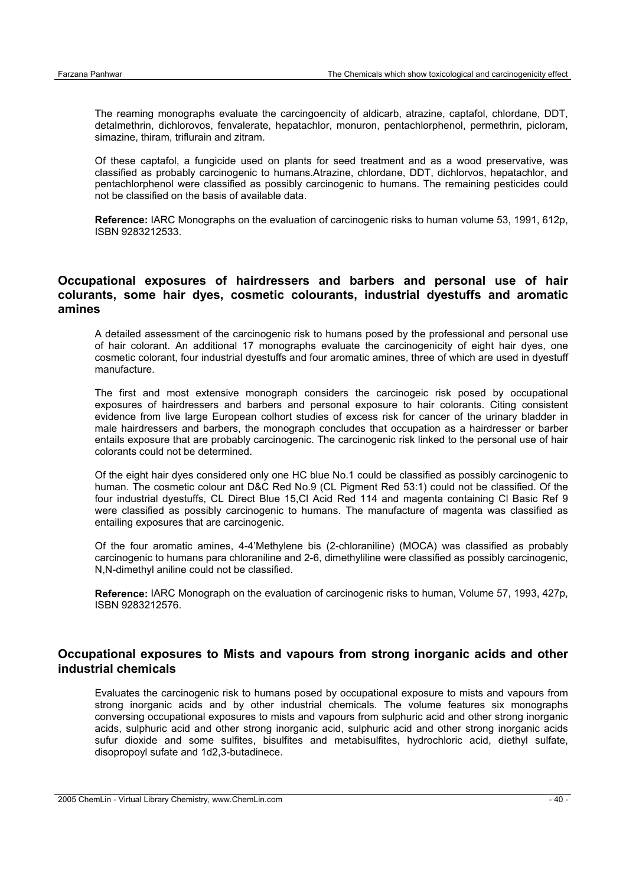The reaming monographs evaluate the carcingoencity of aldicarb, atrazine, captafol, chlordane, DDT, detalmethrin, dichlorovos, fenvalerate, hepatachlor, monuron, pentachlorphenol, permethrin, picloram, simazine, thiram, triflurain and zitram.

Of these captafol, a fungicide used on plants for seed treatment and as a wood preservative, was classified as probably carcinogenic to humans.Atrazine, chlordane, DDT, dichlorvos, hepatachlor, and pentachlorphenol were classified as possibly carcinogenic to humans. The remaining pesticides could not be classified on the basis of available data.

**Reference:** IARC Monographs on the evaluation of carcinogenic risks to human volume 53, 1991, 612p, ISBN 9283212533.

## **Occupational exposures of hairdressers and barbers and personal use of hair colurants, some hair dyes, cosmetic colourants, industrial dyestuffs and aromatic amines**

A detailed assessment of the carcinogenic risk to humans posed by the professional and personal use of hair colorant. An additional 17 monographs evaluate the carcinogenicity of eight hair dyes, one cosmetic colorant, four industrial dyestuffs and four aromatic amines, three of which are used in dyestuff manufacture.

The first and most extensive monograph considers the carcinogeic risk posed by occupational exposures of hairdressers and barbers and personal exposure to hair colorants. Citing consistent evidence from live large European colhort studies of excess risk for cancer of the urinary bladder in male hairdressers and barbers, the monograph concludes that occupation as a hairdresser or barber entails exposure that are probably carcinogenic. The carcinogenic risk linked to the personal use of hair colorants could not be determined.

Of the eight hair dyes considered only one HC blue No.1 could be classified as possibly carcinogenic to human. The cosmetic colour ant D&C Red No.9 (CL Pigment Red 53:1) could not be classified. Of the four industrial dyestuffs, CL Direct Blue 15,Cl Acid Red 114 and magenta containing Cl Basic Ref 9 were classified as possibly carcinogenic to humans. The manufacture of magenta was classified as entailing exposures that are carcinogenic.

Of the four aromatic amines, 4-4'Methylene bis (2-chloraniline) (MOCA) was classified as probably carcinogenic to humans para chloraniline and 2-6, dimethyliline were classified as possibly carcinogenic, N,N-dimethyl aniline could not be classified.

**Reference:** IARC Monograph on the evaluation of carcinogenic risks to human, Volume 57, 1993, 427p, ISBN 9283212576.

## **Occupational exposures to Mists and vapours from strong inorganic acids and other industrial chemicals**

Evaluates the carcinogenic risk to humans posed by occupational exposure to mists and vapours from strong inorganic acids and by other industrial chemicals. The volume features six monographs conversing occupational exposures to mists and vapours from sulphuric acid and other strong inorganic acids, sulphuric acid and other strong inorganic acid, sulphuric acid and other strong inorganic acids sufur dioxide and some sulfites, bisulfites and metabisulfites, hydrochloric acid, diethyl sulfate, disopropoyl sufate and 1d2,3-butadinece.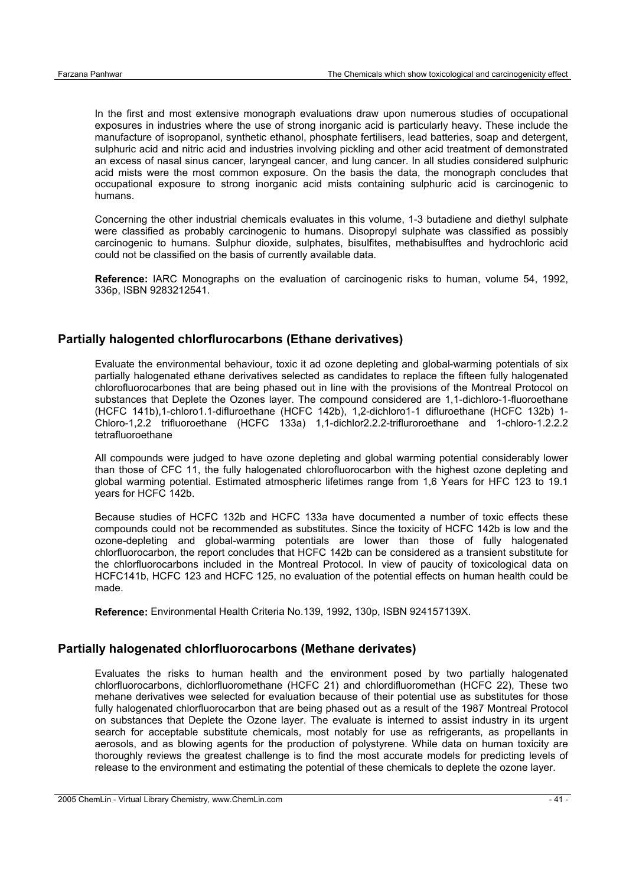In the first and most extensive monograph evaluations draw upon numerous studies of occupational exposures in industries where the use of strong inorganic acid is particularly heavy. These include the manufacture of isopropanol, synthetic ethanol, phosphate fertilisers, lead batteries, soap and detergent, sulphuric acid and nitric acid and industries involving pickling and other acid treatment of demonstrated an excess of nasal sinus cancer, laryngeal cancer, and lung cancer. In all studies considered sulphuric acid mists were the most common exposure. On the basis the data, the monograph concludes that occupational exposure to strong inorganic acid mists containing sulphuric acid is carcinogenic to humans.

Concerning the other industrial chemicals evaluates in this volume, 1-3 butadiene and diethyl sulphate were classified as probably carcinogenic to humans. Disopropyl sulphate was classified as possibly carcinogenic to humans. Sulphur dioxide, sulphates, bisulfites, methabisulftes and hydrochloric acid could not be classified on the basis of currently available data.

**Reference:** IARC Monographs on the evaluation of carcinogenic risks to human, volume 54, 1992, 336p, ISBN 9283212541.

#### **Partially halogented chlorflurocarbons (Ethane derivatives)**

Evaluate the environmental behaviour, toxic it ad ozone depleting and global-warming potentials of six partially halogenated ethane derivatives selected as candidates to replace the fifteen fully halogenated chlorofluorocarbones that are being phased out in line with the provisions of the Montreal Protocol on substances that Deplete the Ozones layer. The compound considered are 1,1-dichloro-1-fluoroethane (HCFC 141b),1-chloro1.1-difluroethane (HCFC 142b), 1,2-dichloro1-1 difluroethane (HCFC 132b) 1- Chloro-1,2.2 trifluoroethane (HCFC 133a) 1,1-dichlor2.2.2-trifluroroethane and 1-chloro-1.2.2.2 tetrafluoroethane

All compounds were judged to have ozone depleting and global warming potential considerably lower than those of CFC 11, the fully halogenated chlorofluorocarbon with the highest ozone depleting and global warming potential. Estimated atmospheric lifetimes range from 1,6 Years for HFC 123 to 19.1 years for HCFC 142b.

Because studies of HCFC 132b and HCFC 133a have documented a number of toxic effects these compounds could not be recommended as substitutes. Since the toxicity of HCFC 142b is low and the ozone-depleting and global-warming potentials are lower than those of fully halogenated chlorfluorocarbon, the report concludes that HCFC 142b can be considered as a transient substitute for the chlorfluorocarbons included in the Montreal Protocol. In view of paucity of toxicological data on HCFC141b, HCFC 123 and HCFC 125, no evaluation of the potential effects on human health could be made.

**Reference:** Environmental Health Criteria No.139, 1992, 130p, ISBN 924157139X.

#### **Partially halogenated chlorfluorocarbons (Methane derivates)**

Evaluates the risks to human health and the environment posed by two partially halogenated chlorfluorocarbons, dichlorfluoromethane (HCFC 21) and chlordifluoromethan (HCFC 22), These two mehane derivatives wee selected for evaluation because of their potential use as substitutes for those fully halogenated chlorfluorocarbon that are being phased out as a result of the 1987 Montreal Protocol on substances that Deplete the Ozone layer. The evaluate is interned to assist industry in its urgent search for acceptable substitute chemicals, most notably for use as refrigerants, as propellants in aerosols, and as blowing agents for the production of polystyrene. While data on human toxicity are thoroughly reviews the greatest challenge is to find the most accurate models for predicting levels of release to the environment and estimating the potential of these chemicals to deplete the ozone layer.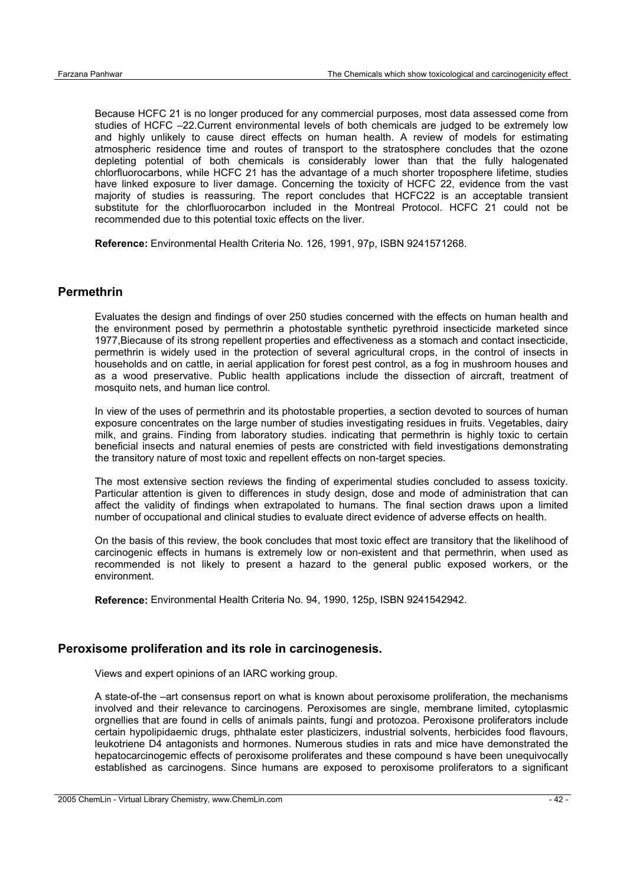Because HCFC 21 is no longer produced for any commercial purposes, most data assessed come from studies of HCFC –22.Current environmental levels of both chemicals are judged to be extremely low and highly unlikely to cause direct effects on human health. A review of models for estimating atmospheric residence time and routes of transport to the stratosphere concludes that the ozone depleting potential of both chemicals is considerably lower than that the fully halogenated chlorfluorocarbons, while HCFC 21 has the advantage of a much shorter troposphere lifetime, studies have linked exposure to liver damage. Concerning the toxicity of HCFC 22, evidence from the vast majority of studies is reassuring. The report concludes that HCFC22 is an acceptable transient substitute for the chlorfluorocarbon included in the Montreal Protocol. HCFC 21 could not be recommended due to this potential toxic effects on the liver.

**Reference:** Environmental Health Criteria No. 126, 1991, 97p, ISBN 9241571268.

#### **Permethrin**

Evaluates the design and findings of over 250 studies concerned with the effects on human health and the environment posed by permethrin a photostable synthetic pyrethroid insecticide marketed since 1977,Biecause of its strong repellent properties and effectiveness as a stomach and contact insecticide, permethrin is widely used in the protection of several agricultural crops, in the control of insects in households and on cattle, in aerial application for forest pest control, as a fog in mushroom houses and as a wood preservative. Public health applications include the dissection of aircraft, treatment of mosquito nets, and human lice control.

In view of the uses of permethrin and its photostable properties, a section devoted to sources of human exposure concentrates on the large number of studies investigating residues in fruits. Vegetables, dairy milk, and grains. Finding from laboratory studies. indicating that permethrin is highly toxic to certain beneficial insects and natural enemies of pests are constricted with field investigations demonstrating the transitory nature of most toxic and repellent effects on non-target species.

The most extensive section reviews the finding of experimental studies concluded to assess toxicity. Particular attention is given to differences in study design, dose and mode of administration that can affect the validity of findings when extrapolated to humans. The final section draws upon a limited number of occupational and clinical studies to evaluate direct evidence of adverse effects on health.

On the basis of this review, the book concludes that most toxic effect are transitory that the likelihood of carcinogenic effects in humans is extremely low or non-existent and that permethrin, when used as recommended is not likely to present a hazard to the general public exposed workers, or the environment.

**Reference:** Environmental Health Criteria No. 94, 1990, 125p, ISBN 9241542942.

#### **Peroxisome proliferation and its role in carcinogenesis.**

Views and expert opinions of an IARC working group.

A state-of-the –art consensus report on what is known about peroxisome proliferation, the mechanisms involved and their relevance to carcinogens. Peroxisomes are single, membrane limited, cytoplasmic orgnellies that are found in cells of animals paints, fungi and protozoa. Peroxisone proliferators include certain hypolipidaemic drugs, phthalate ester plasticizers, industrial solvents, herbicides food flavours, leukotriene D4 antagonists and hormones. Numerous studies in rats and mice have demonstrated the hepatocarcinogemic effects of peroxisome proliferates and these compound s have been unequivocally established as carcinogens. Since humans are exposed to peroxisome proliferators to a significant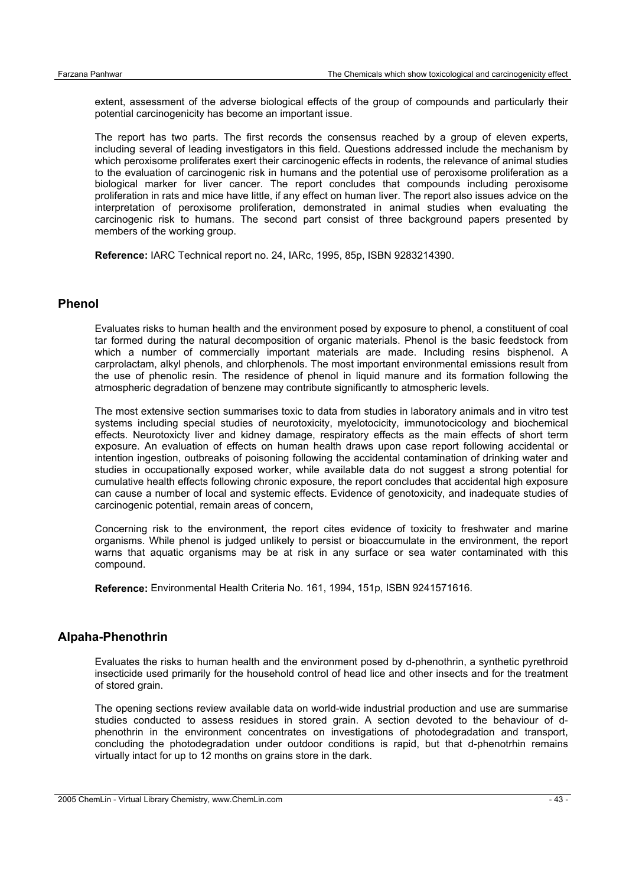extent, assessment of the adverse biological effects of the group of compounds and particularly their potential carcinogenicity has become an important issue.

The report has two parts. The first records the consensus reached by a group of eleven experts, including several of leading investigators in this field. Questions addressed include the mechanism by which peroxisome proliferates exert their carcinogenic effects in rodents, the relevance of animal studies to the evaluation of carcinogenic risk in humans and the potential use of peroxisome proliferation as a biological marker for liver cancer. The report concludes that compounds including peroxisome proliferation in rats and mice have little, if any effect on human liver. The report also issues advice on the interpretation of peroxisome proliferation, demonstrated in animal studies when evaluating the carcinogenic risk to humans. The second part consist of three background papers presented by members of the working group.

**Reference:** IARC Technical report no. 24, IARc, 1995, 85p, ISBN 9283214390.

#### **Phenol**

Evaluates risks to human health and the environment posed by exposure to phenol, a constituent of coal tar formed during the natural decomposition of organic materials. Phenol is the basic feedstock from which a number of commercially important materials are made. Including resins bisphenol. A carprolactam, alkyl phenols, and chlorphenols. The most important environmental emissions result from the use of phenolic resin. The residence of phenol in liquid manure and its formation following the atmospheric degradation of benzene may contribute significantly to atmospheric levels.

The most extensive section summarises toxic to data from studies in laboratory animals and in vitro test systems including special studies of neurotoxicity, myelotocicity, immunotocicology and biochemical effects. Neurotoxicty liver and kidney damage, respiratory effects as the main effects of short term exposure. An evaluation of effects on human health draws upon case report following accidental or intention ingestion, outbreaks of poisoning following the accidental contamination of drinking water and studies in occupationally exposed worker, while available data do not suggest a strong potential for cumulative health effects following chronic exposure, the report concludes that accidental high exposure can cause a number of local and systemic effects. Evidence of genotoxicity, and inadequate studies of carcinogenic potential, remain areas of concern,

Concerning risk to the environment, the report cites evidence of toxicity to freshwater and marine organisms. While phenol is judged unlikely to persist or bioaccumulate in the environment, the report warns that aquatic organisms may be at risk in any surface or sea water contaminated with this compound.

**Reference:** Environmental Health Criteria No. 161, 1994, 151p, ISBN 9241571616.

#### **Alpaha-Phenothrin**

Evaluates the risks to human health and the environment posed by d-phenothrin, a synthetic pyrethroid insecticide used primarily for the household control of head lice and other insects and for the treatment of stored grain.

The opening sections review available data on world-wide industrial production and use are summarise studies conducted to assess residues in stored grain. A section devoted to the behaviour of dphenothrin in the environment concentrates on investigations of photodegradation and transport, concluding the photodegradation under outdoor conditions is rapid, but that d-phenotrhin remains virtually intact for up to 12 months on grains store in the dark.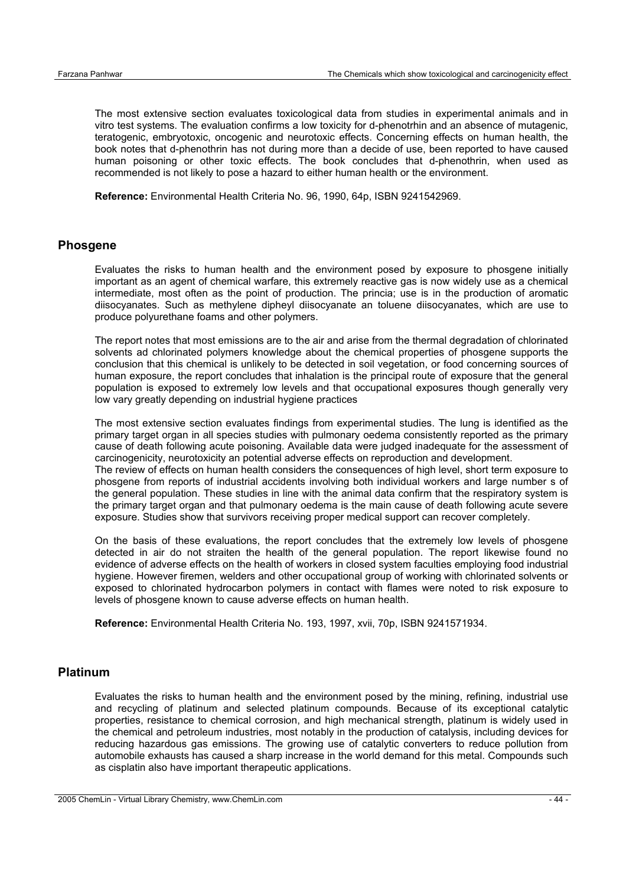The most extensive section evaluates toxicological data from studies in experimental animals and in vitro test systems. The evaluation confirms a low toxicity for d-phenotrhin and an absence of mutagenic, teratogenic, embryotoxic, oncogenic and neurotoxic effects. Concerning effects on human health, the book notes that d-phenothrin has not during more than a decide of use, been reported to have caused human poisoning or other toxic effects. The book concludes that d-phenothrin, when used as recommended is not likely to pose a hazard to either human health or the environment.

**Reference:** Environmental Health Criteria No. 96, 1990, 64p, ISBN 9241542969.

#### **Phosgene**

Evaluates the risks to human health and the environment posed by exposure to phosgene initially important as an agent of chemical warfare, this extremely reactive gas is now widely use as a chemical intermediate, most often as the point of production. The princia; use is in the production of aromatic diisocyanates. Such as methylene dipheyl diisocyanate an toluene diisocyanates, which are use to produce polyurethane foams and other polymers.

The report notes that most emissions are to the air and arise from the thermal degradation of chlorinated solvents ad chlorinated polymers knowledge about the chemical properties of phosgene supports the conclusion that this chemical is unlikely to be detected in soil vegetation, or food concerning sources of human exposure, the report concludes that inhalation is the principal route of exposure that the general population is exposed to extremely low levels and that occupational exposures though generally very low vary greatly depending on industrial hygiene practices

The most extensive section evaluates findings from experimental studies. The lung is identified as the primary target organ in all species studies with pulmonary oedema consistently reported as the primary cause of death following acute poisoning. Available data were judged inadequate for the assessment of carcinogenicity, neurotoxicity an potential adverse effects on reproduction and development. The review of effects on human health considers the consequences of high level, short term exposure to phosgene from reports of industrial accidents involving both individual workers and large number s of the general population. These studies in line with the animal data confirm that the respiratory system is the primary target organ and that pulmonary oedema is the main cause of death following acute severe exposure. Studies show that survivors receiving proper medical support can recover completely.

On the basis of these evaluations, the report concludes that the extremely low levels of phosgene detected in air do not straiten the health of the general population. The report likewise found no evidence of adverse effects on the health of workers in closed system faculties employing food industrial hygiene. However firemen, welders and other occupational group of working with chlorinated solvents or exposed to chlorinated hydrocarbon polymers in contact with flames were noted to risk exposure to levels of phosgene known to cause adverse effects on human health.

**Reference:** Environmental Health Criteria No. 193, 1997, xvii, 70p, ISBN 9241571934.

## **Platinum**

Evaluates the risks to human health and the environment posed by the mining, refining, industrial use and recycling of platinum and selected platinum compounds. Because of its exceptional catalytic properties, resistance to chemical corrosion, and high mechanical strength, platinum is widely used in the chemical and petroleum industries, most notably in the production of catalysis, including devices for reducing hazardous gas emissions. The growing use of catalytic converters to reduce pollution from automobile exhausts has caused a sharp increase in the world demand for this metal. Compounds such as cisplatin also have important therapeutic applications.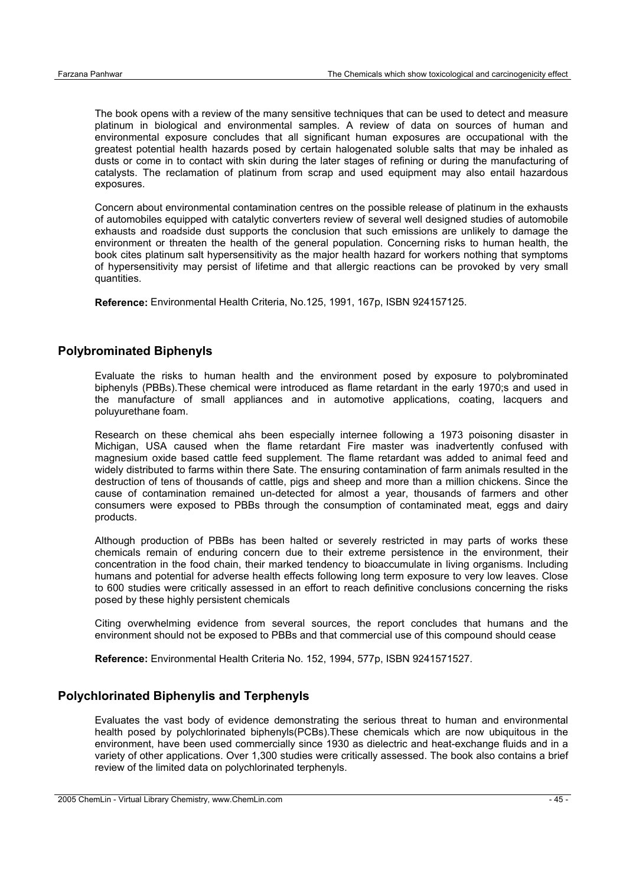The book opens with a review of the many sensitive techniques that can be used to detect and measure platinum in biological and environmental samples. A review of data on sources of human and environmental exposure concludes that all significant human exposures are occupational with the greatest potential health hazards posed by certain halogenated soluble salts that may be inhaled as dusts or come in to contact with skin during the later stages of refining or during the manufacturing of catalysts. The reclamation of platinum from scrap and used equipment may also entail hazardous exposures.

Concern about environmental contamination centres on the possible release of platinum in the exhausts of automobiles equipped with catalytic converters review of several well designed studies of automobile exhausts and roadside dust supports the conclusion that such emissions are unlikely to damage the environment or threaten the health of the general population. Concerning risks to human health, the book cites platinum salt hypersensitivity as the major health hazard for workers nothing that symptoms of hypersensitivity may persist of lifetime and that allergic reactions can be provoked by very small quantities.

**Reference:** Environmental Health Criteria, No.125, 1991, 167p, ISBN 924157125.

#### **Polybrominated Biphenyls**

Evaluate the risks to human health and the environment posed by exposure to polybrominated biphenyls (PBBs). These chemical were introduced as flame retardant in the early 1970;s and used in the manufacture of small appliances and in automotive applications, coating, lacquers and poluyurethane foam.

Research on these chemical ahs been especially internee following a 1973 poisoning disaster in Michigan, USA caused when the flame retardant Fire master was inadvertently confused with magnesium oxide based cattle feed supplement. The flame retardant was added to animal feed and widely distributed to farms within there Sate. The ensuring contamination of farm animals resulted in the destruction of tens of thousands of cattle, pigs and sheep and more than a million chickens. Since the cause of contamination remained un-detected for almost a year, thousands of farmers and other consumers were exposed to PBBs through the consumption of contaminated meat, eggs and dairy products.

Although production of PBBs has been halted or severely restricted in may parts of works these chemicals remain of enduring concern due to their extreme persistence in the environment, their concentration in the food chain, their marked tendency to bioaccumulate in living organisms. Including humans and potential for adverse health effects following long term exposure to very low leaves. Close to 600 studies were critically assessed in an effort to reach definitive conclusions concerning the risks posed by these highly persistent chemicals

Citing overwhelming evidence from several sources, the report concludes that humans and the environment should not be exposed to PBBs and that commercial use of this compound should cease

**Reference:** Environmental Health Criteria No. 152, 1994, 577p, ISBN 9241571527.

#### **Polychlorinated Biphenylis and Terphenyls**

Evaluates the vast body of evidence demonstrating the serious threat to human and environmental health posed by polychlorinated biphenyls(PCBs).These chemicals which are now ubiquitous in the environment, have been used commercially since 1930 as dielectric and heat-exchange fluids and in a variety of other applications. Over 1,300 studies were critically assessed. The book also contains a brief review of the limited data on polychlorinated terphenyls.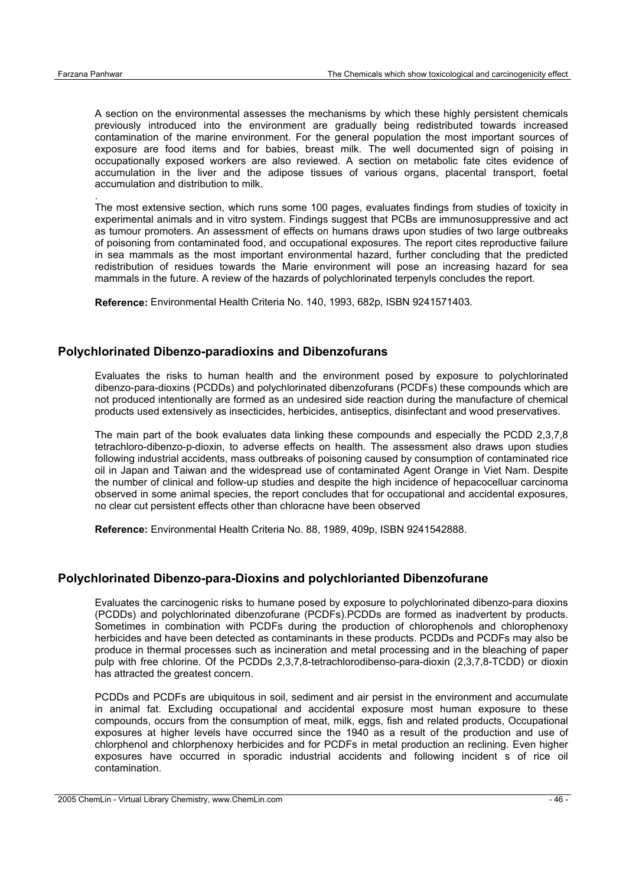.

A section on the environmental assesses the mechanisms by which these highly persistent chemicals previously introduced into the environment are gradually being redistributed towards increased contamination of the marine environment. For the general population the most important sources of exposure are food items and for babies, breast milk. The well documented sign of poising in occupationally exposed workers are also reviewed. A section on metabolic fate cites evidence of accumulation in the liver and the adipose tissues of various organs, placental transport, foetal accumulation and distribution to milk.

The most extensive section, which runs some 100 pages, evaluates findings from studies of toxicity in experimental animals and in vitro system. Findings suggest that PCBs are immunosuppressive and act as tumour promoters. An assessment of effects on humans draws upon studies of two large outbreaks of poisoning from contaminated food, and occupational exposures. The report cites reproductive failure in sea mammals as the most important environmental hazard, further concluding that the predicted redistribution of residues towards the Marie environment will pose an increasing hazard for sea mammals in the future. A review of the hazards of polychlorinated terpenyls concludes the report.

**Reference:** Environmental Health Criteria No. 140, 1993, 682p, ISBN 9241571403.

#### **Polychlorinated Dibenzo-paradioxins and Dibenzofurans**

Evaluates the risks to human health and the environment posed by exposure to polychlorinated dibenzo-para-dioxins (PCDDs) and polychlorinated dibenzofurans (PCDFs) these compounds which are not produced intentionally are formed as an undesired side reaction during the manufacture of chemical products used extensively as insecticides, herbicides, antiseptics, disinfectant and wood preservatives.

The main part of the book evaluates data linking these compounds and especially the PCDD 2,3,7,8 tetrachloro-dibenzo-p-dioxin, to adverse effects on health. The assessment also draws upon studies following industrial accidents, mass outbreaks of poisoning caused by consumption of contaminated rice oil in Japan and Taiwan and the widespread use of contaminated Agent Orange in Viet Nam. Despite the number of clinical and follow-up studies and despite the high incidence of hepacocelluar carcinoma observed in some animal species, the report concludes that for occupational and accidental exposures, no clear cut persistent effects other than chloracne have been observed

**Reference:** Environmental Health Criteria No. 88, 1989, 409p, ISBN 9241542888.

#### **Polychlorinated Dibenzo-para-Dioxins and polychlorianted Dibenzofurane**

Evaluates the carcinogenic risks to humane posed by exposure to polychlorinated dibenzo-para dioxins (PCDDs) and polychlorinated dibenzofurane (PCDFs).PCDDs are formed as inadvertent by products. Sometimes in combination with PCDFs during the production of chlorophenols and chlorophenoxy herbicides and have been detected as contaminants in these products. PCDDs and PCDFs may also be produce in thermal processes such as incineration and metal processing and in the bleaching of paper pulp with free chlorine. Of the PCDDs 2,3,7,8-tetrachlorodibenso-para-dioxin (2,3,7,8-TCDD) or dioxin has attracted the greatest concern.

PCDDs and PCDFs are ubiquitous in soil, sediment and air persist in the environment and accumulate in animal fat. Excluding occupational and accidental exposure most human exposure to these compounds, occurs from the consumption of meat, milk, eggs, fish and related products, Occupational exposures at higher levels have occurred since the 1940 as a result of the production and use of chlorphenol and chlorphenoxy herbicides and for PCDFs in metal production an reclining. Even higher exposures have occurred in sporadic industrial accidents and following incident s of rice oil contamination.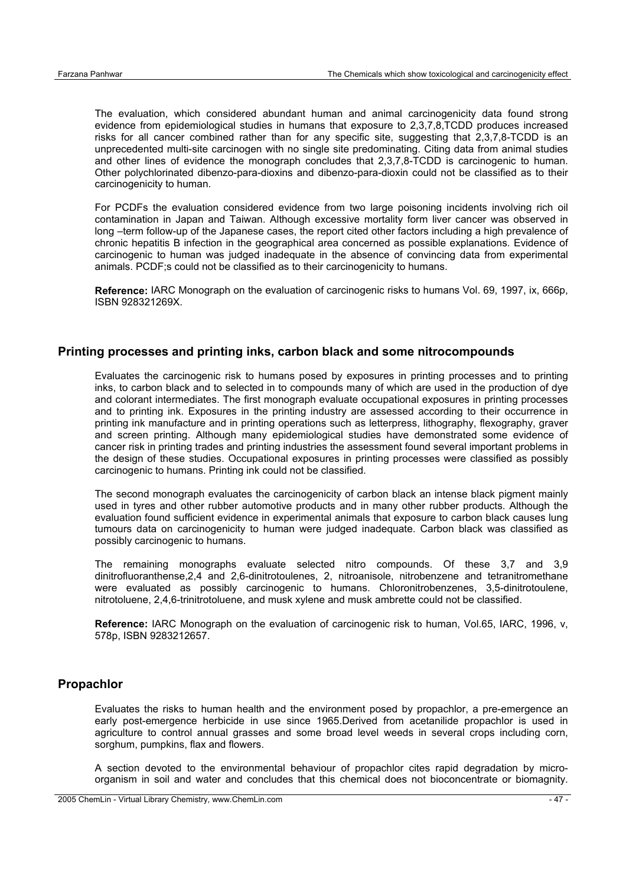The evaluation, which considered abundant human and animal carcinogenicity data found strong evidence from epidemiological studies in humans that exposure to 2,3,7,8,TCDD produces increased risks for all cancer combined rather than for any specific site, suggesting that 2,3,7,8-TCDD is an unprecedented multi-site carcinogen with no single site predominating. Citing data from animal studies and other lines of evidence the monograph concludes that 2,3,7,8-TCDD is carcinogenic to human. Other polychlorinated dibenzo-para-dioxins and dibenzo-para-dioxin could not be classified as to their carcinogenicity to human.

For PCDFs the evaluation considered evidence from two large poisoning incidents involving rich oil contamination in Japan and Taiwan. Although excessive mortality form liver cancer was observed in long –term follow-up of the Japanese cases, the report cited other factors including a high prevalence of chronic hepatitis B infection in the geographical area concerned as possible explanations. Evidence of carcinogenic to human was judged inadequate in the absence of convincing data from experimental animals. PCDF;s could not be classified as to their carcinogenicity to humans.

**Reference:** IARC Monograph on the evaluation of carcinogenic risks to humans Vol. 69, 1997, ix, 666p, ISBN 928321269X.

#### **Printing processes and printing inks, carbon black and some nitrocompounds**

Evaluates the carcinogenic risk to humans posed by exposures in printing processes and to printing inks, to carbon black and to selected in to compounds many of which are used in the production of dye and colorant intermediates. The first monograph evaluate occupational exposures in printing processes and to printing ink. Exposures in the printing industry are assessed according to their occurrence in printing ink manufacture and in printing operations such as letterpress, lithography, flexography, graver and screen printing. Although many epidemiological studies have demonstrated some evidence of cancer risk in printing trades and printing industries the assessment found several important problems in the design of these studies. Occupational exposures in printing processes were classified as possibly carcinogenic to humans. Printing ink could not be classified.

The second monograph evaluates the carcinogenicity of carbon black an intense black pigment mainly used in tyres and other rubber automotive products and in many other rubber products. Although the evaluation found sufficient evidence in experimental animals that exposure to carbon black causes lung tumours data on carcinogenicity to human were judged inadequate. Carbon black was classified as possibly carcinogenic to humans.

The remaining monographs evaluate selected nitro compounds. Of these 3,7 and 3,9 dinitrofluoranthense,2,4 and 2,6-dinitrotoulenes, 2, nitroanisole, nitrobenzene and tetranitromethane were evaluated as possibly carcinogenic to humans. Chloronitrobenzenes, 3,5-dinitrotoulene, nitrotoluene, 2,4,6-trinitrotoluene, and musk xylene and musk ambrette could not be classified.

**Reference:** IARC Monograph on the evaluation of carcinogenic risk to human, Vol.65, IARC, 1996, v, 578p, ISBN 9283212657.

#### **Propachlor**

Evaluates the risks to human health and the environment posed by propachlor, a pre-emergence an early post-emergence herbicide in use since 1965.Derived from acetanilide propachlor is used in agriculture to control annual grasses and some broad level weeds in several crops including corn, sorghum, pumpkins, flax and flowers.

A section devoted to the environmental behaviour of propachlor cites rapid degradation by microorganism in soil and water and concludes that this chemical does not bioconcentrate or biomagnity.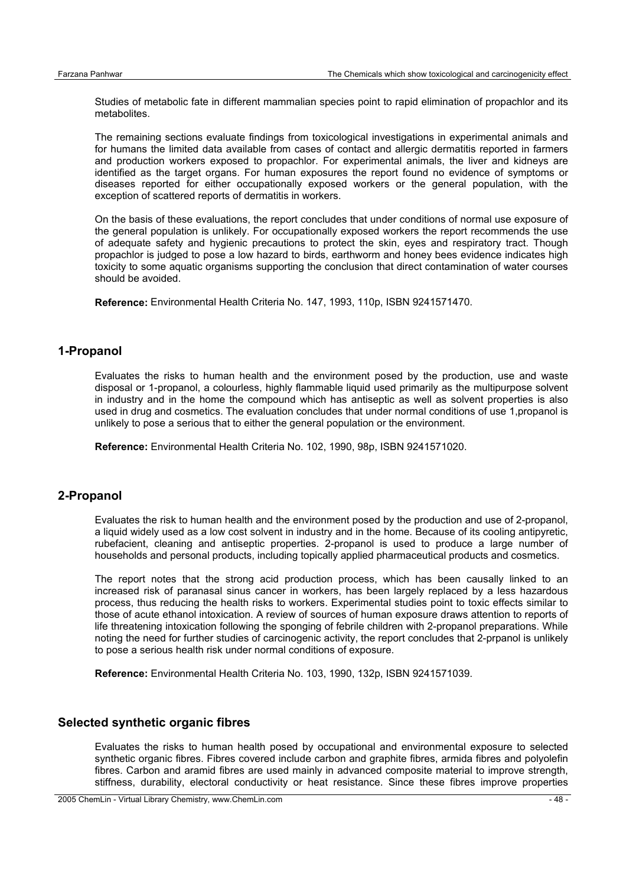Studies of metabolic fate in different mammalian species point to rapid elimination of propachlor and its metabolites.

The remaining sections evaluate findings from toxicological investigations in experimental animals and for humans the limited data available from cases of contact and allergic dermatitis reported in farmers and production workers exposed to propachlor. For experimental animals, the liver and kidneys are identified as the target organs. For human exposures the report found no evidence of symptoms or diseases reported for either occupationally exposed workers or the general population, with the exception of scattered reports of dermatitis in workers.

On the basis of these evaluations, the report concludes that under conditions of normal use exposure of the general population is unlikely. For occupationally exposed workers the report recommends the use of adequate safety and hygienic precautions to protect the skin, eyes and respiratory tract. Though propachlor is judged to pose a low hazard to birds, earthworm and honey bees evidence indicates high toxicity to some aquatic organisms supporting the conclusion that direct contamination of water courses should be avoided.

**Reference:** Environmental Health Criteria No. 147, 1993, 110p, ISBN 9241571470.

## **1-Propanol**

Evaluates the risks to human health and the environment posed by the production, use and waste disposal or 1-propanol, a colourless, highly flammable liquid used primarily as the multipurpose solvent in industry and in the home the compound which has antiseptic as well as solvent properties is also used in drug and cosmetics. The evaluation concludes that under normal conditions of use 1,propanol is unlikely to pose a serious that to either the general population or the environment.

**Reference:** Environmental Health Criteria No. 102, 1990, 98p, ISBN 9241571020.

#### **2-Propanol**

Evaluates the risk to human health and the environment posed by the production and use of 2-propanol, a liquid widely used as a low cost solvent in industry and in the home. Because of its cooling antipyretic, rubefacient, cleaning and antiseptic properties. 2-propanol is used to produce a large number of households and personal products, including topically applied pharmaceutical products and cosmetics.

The report notes that the strong acid production process, which has been causally linked to an increased risk of paranasal sinus cancer in workers, has been largely replaced by a less hazardous process, thus reducing the health risks to workers. Experimental studies point to toxic effects similar to those of acute ethanol intoxication. A review of sources of human exposure draws attention to reports of life threatening intoxication following the sponging of febrile children with 2-propanol preparations. While noting the need for further studies of carcinogenic activity, the report concludes that 2-prpanol is unlikely to pose a serious health risk under normal conditions of exposure.

**Reference:** Environmental Health Criteria No. 103, 1990, 132p, ISBN 9241571039.

#### **Selected synthetic organic fibres**

Evaluates the risks to human health posed by occupational and environmental exposure to selected synthetic organic fibres. Fibres covered include carbon and graphite fibres, armida fibres and polyolefin fibres. Carbon and aramid fibres are used mainly in advanced composite material to improve strength, stiffness, durability, electoral conductivity or heat resistance. Since these fibres improve properties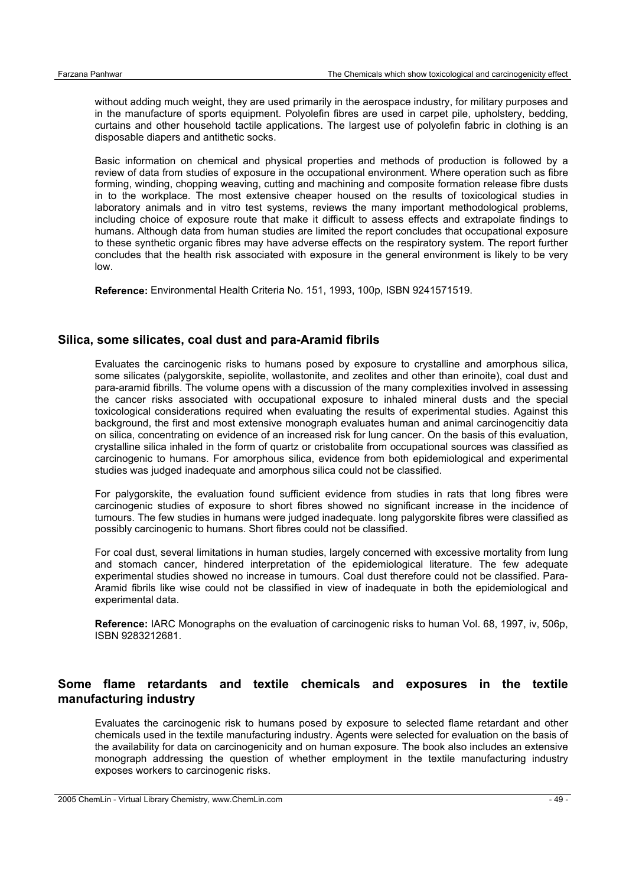without adding much weight, they are used primarily in the aerospace industry, for military purposes and in the manufacture of sports equipment. Polyolefin fibres are used in carpet pile, upholstery, bedding, curtains and other household tactile applications. The largest use of polyolefin fabric in clothing is an disposable diapers and antithetic socks.

Basic information on chemical and physical properties and methods of production is followed by a review of data from studies of exposure in the occupational environment. Where operation such as fibre forming, winding, chopping weaving, cutting and machining and composite formation release fibre dusts in to the workplace. The most extensive cheaper housed on the results of toxicological studies in laboratory animals and in vitro test systems, reviews the many important methodological problems, including choice of exposure route that make it difficult to assess effects and extrapolate findings to humans. Although data from human studies are limited the report concludes that occupational exposure to these synthetic organic fibres may have adverse effects on the respiratory system. The report further concludes that the health risk associated with exposure in the general environment is likely to be very low.

**Reference:** Environmental Health Criteria No. 151, 1993, 100p, ISBN 9241571519.

#### **Silica, some silicates, coal dust and para-Aramid fibrils**

Evaluates the carcinogenic risks to humans posed by exposure to crystalline and amorphous silica, some silicates (palygorskite, sepiolite, wollastonite, and zeolites and other than erinoite), coal dust and para-aramid fibrills. The volume opens with a discussion of the many complexities involved in assessing the cancer risks associated with occupational exposure to inhaled mineral dusts and the special toxicological considerations required when evaluating the results of experimental studies. Against this background, the first and most extensive monograph evaluates human and animal carcinogencitiy data on silica, concentrating on evidence of an increased risk for lung cancer. On the basis of this evaluation, crystalline silica inhaled in the form of quartz or cristobalite from occupational sources was classified as carcinogenic to humans. For amorphous silica, evidence from both epidemiological and experimental studies was judged inadequate and amorphous silica could not be classified.

For palygorskite, the evaluation found sufficient evidence from studies in rats that long fibres were carcinogenic studies of exposure to short fibres showed no significant increase in the incidence of tumours. The few studies in humans were judged inadequate. long palygorskite fibres were classified as possibly carcinogenic to humans. Short fibres could not be classified.

For coal dust, several limitations in human studies, largely concerned with excessive mortality from lung and stomach cancer, hindered interpretation of the epidemiological literature. The few adequate experimental studies showed no increase in tumours. Coal dust therefore could not be classified. Para-Aramid fibrils like wise could not be classified in view of inadequate in both the epidemiological and experimental data.

**Reference:** IARC Monographs on the evaluation of carcinogenic risks to human Vol. 68, 1997, iv, 506p, ISBN 9283212681.

## **Some flame retardants and textile chemicals and exposures in the textile manufacturing industry**

Evaluates the carcinogenic risk to humans posed by exposure to selected flame retardant and other chemicals used in the textile manufacturing industry. Agents were selected for evaluation on the basis of the availability for data on carcinogenicity and on human exposure. The book also includes an extensive monograph addressing the question of whether employment in the textile manufacturing industry exposes workers to carcinogenic risks.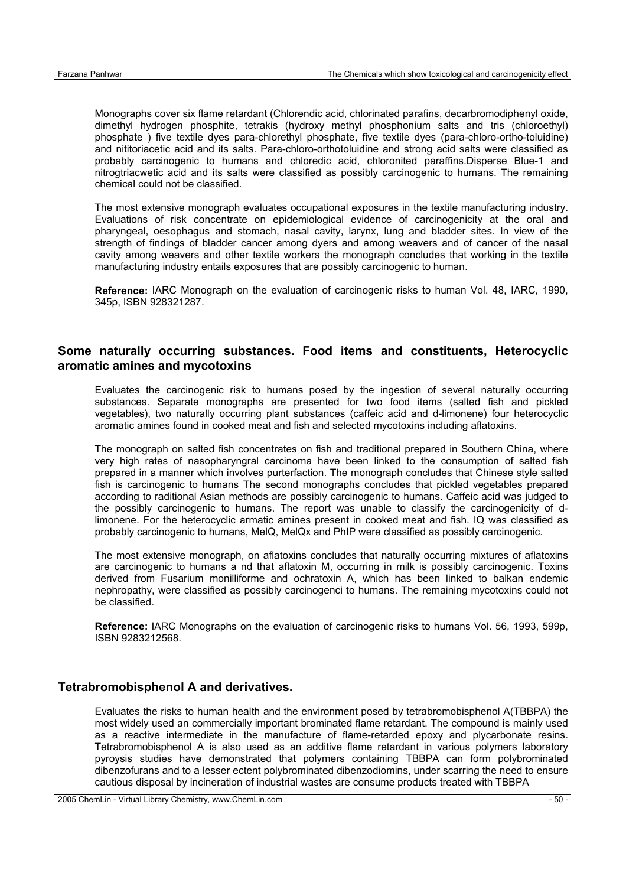Monographs cover six flame retardant (Chlorendic acid, chlorinated parafins, decarbromodiphenyl oxide, dimethyl hydrogen phosphite, tetrakis (hydroxy methyl phosphonium salts and tris (chloroethyl) phosphate ) five textile dyes para-chlorethyl phosphate, five textile dyes (para-chloro-ortho-toluidine) and nititoriacetic acid and its salts. Para-chloro-orthotoluidine and strong acid salts were classified as probably carcinogenic to humans and chloredic acid, chloronited paraffins.Disperse Blue-1 and nitrogtriacwetic acid and its salts were classified as possibly carcinogenic to humans. The remaining chemical could not be classified.

The most extensive monograph evaluates occupational exposures in the textile manufacturing industry. Evaluations of risk concentrate on epidemiological evidence of carcinogenicity at the oral and pharyngeal, oesophagus and stomach, nasal cavity, larynx, lung and bladder sites. In view of the strength of findings of bladder cancer among dyers and among weavers and of cancer of the nasal cavity among weavers and other textile workers the monograph concludes that working in the textile manufacturing industry entails exposures that are possibly carcinogenic to human.

**Reference:** IARC Monograph on the evaluation of carcinogenic risks to human Vol. 48, IARC, 1990, 345p, ISBN 928321287.

#### **Some naturally occurring substances. Food items and constituents, Heterocyclic aromatic amines and mycotoxins**

Evaluates the carcinogenic risk to humans posed by the ingestion of several naturally occurring substances. Separate monographs are presented for two food items (salted fish and pickled vegetables), two naturally occurring plant substances (caffeic acid and d-limonene) four heterocyclic aromatic amines found in cooked meat and fish and selected mycotoxins including aflatoxins.

The monograph on salted fish concentrates on fish and traditional prepared in Southern China, where very high rates of nasopharyngral carcinoma have been linked to the consumption of salted fish prepared in a manner which involves purterfaction. The monograph concludes that Chinese style salted fish is carcinogenic to humans The second monographs concludes that pickled vegetables prepared according to raditional Asian methods are possibly carcinogenic to humans. Caffeic acid was judged to the possibly carcinogenic to humans. The report was unable to classify the carcinogenicity of dlimonene. For the heterocyclic armatic amines present in cooked meat and fish. IQ was classified as probably carcinogenic to humans, MelQ, MelQx and PhIP were classified as possibly carcinogenic.

The most extensive monograph, on aflatoxins concludes that naturally occurring mixtures of aflatoxins are carcinogenic to humans a nd that aflatoxin M, occurring in milk is possibly carcinogenic. Toxins derived from Fusarium monilliforme and ochratoxin A, which has been linked to balkan endemic nephropathy, were classified as possibly carcinogenci to humans. The remaining mycotoxins could not be classified.

**Reference:** IARC Monographs on the evaluation of carcinogenic risks to humans Vol. 56, 1993, 599p, ISBN 9283212568.

#### **Tetrabromobisphenol A and derivatives.**

Evaluates the risks to human health and the environment posed by tetrabromobisphenol A(TBBPA) the most widely used an commercially important brominated flame retardant. The compound is mainly used as a reactive intermediate in the manufacture of flame-retarded epoxy and plycarbonate resins. Tetrabromobisphenol A is also used as an additive flame retardant in various polymers laboratory pyroysis studies have demonstrated that polymers containing TBBPA can form polybrominated dibenzofurans and to a lesser ectent polybrominated dibenzodiomins, under scarring the need to ensure cautious disposal by incineration of industrial wastes are consume products treated with TBBPA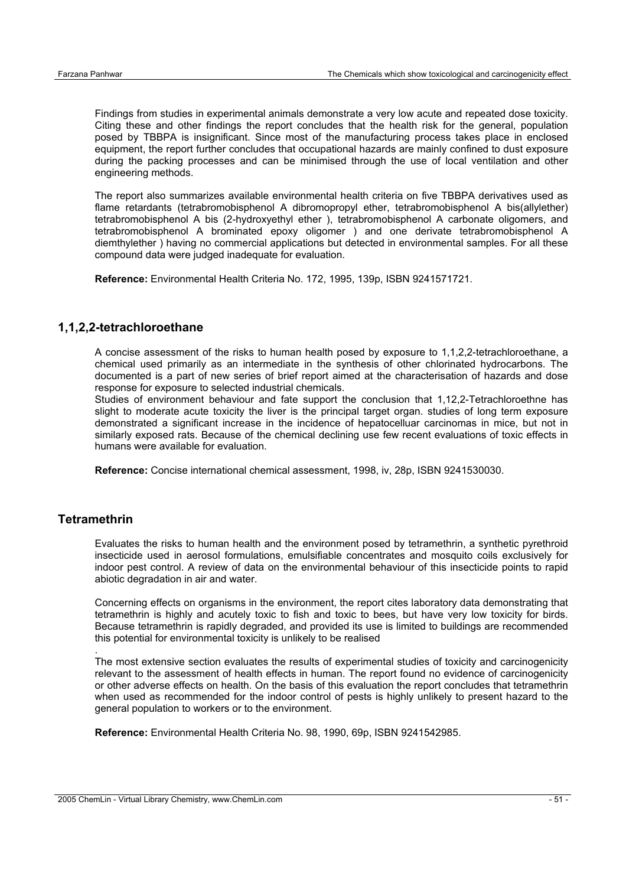Findings from studies in experimental animals demonstrate a very low acute and repeated dose toxicity. Citing these and other findings the report concludes that the health risk for the general, population posed by TBBPA is insignificant. Since most of the manufacturing process takes place in enclosed equipment, the report further concludes that occupational hazards are mainly confined to dust exposure during the packing processes and can be minimised through the use of local ventilation and other engineering methods.

The report also summarizes available environmental health criteria on five TBBPA derivatives used as flame retardants (tetrabromobisphenol A dibromopropyl ether, tetrabromobisphenol A bis(allylether) tetrabromobisphenol A bis (2-hydroxyethyl ether ), tetrabromobisphenol A carbonate oligomers, and tetrabromobisphenol A brominated epoxy oligomer ) and one derivate tetrabromobisphenol A diemthylether ) having no commercial applications but detected in environmental samples. For all these compound data were judged inadequate for evaluation.

**Reference:** Environmental Health Criteria No. 172, 1995, 139p, ISBN 9241571721.

#### **1,1,2,2-tetrachloroethane**

A concise assessment of the risks to human health posed by exposure to 1,1,2,2-tetrachloroethane, a chemical used primarily as an intermediate in the synthesis of other chlorinated hydrocarbons. The documented is a part of new series of brief report aimed at the characterisation of hazards and dose response for exposure to selected industrial chemicals.

Studies of environment behaviour and fate support the conclusion that 1,12,2-Tetrachloroethne has slight to moderate acute toxicity the liver is the principal target organ. studies of long term exposure demonstrated a significant increase in the incidence of hepatocelluar carcinomas in mice, but not in similarly exposed rats. Because of the chemical declining use few recent evaluations of toxic effects in humans were available for evaluation.

**Reference:** Concise international chemical assessment, 1998, iv, 28p, ISBN 9241530030.

## **Tetramethrin**

.

Evaluates the risks to human health and the environment posed by tetramethrin, a synthetic pyrethroid insecticide used in aerosol formulations, emulsifiable concentrates and mosquito coils exclusively for indoor pest control. A review of data on the environmental behaviour of this insecticide points to rapid abiotic degradation in air and water.

Concerning effects on organisms in the environment, the report cites laboratory data demonstrating that tetramethrin is highly and acutely toxic to fish and toxic to bees, but have very low toxicity for birds. Because tetramethrin is rapidly degraded, and provided its use is limited to buildings are recommended this potential for environmental toxicity is unlikely to be realised

The most extensive section evaluates the results of experimental studies of toxicity and carcinogenicity relevant to the assessment of health effects in human. The report found no evidence of carcinogenicity or other adverse effects on health. On the basis of this evaluation the report concludes that tetramethrin when used as recommended for the indoor control of pests is highly unlikely to present hazard to the general population to workers or to the environment.

**Reference:** Environmental Health Criteria No. 98, 1990, 69p, ISBN 9241542985.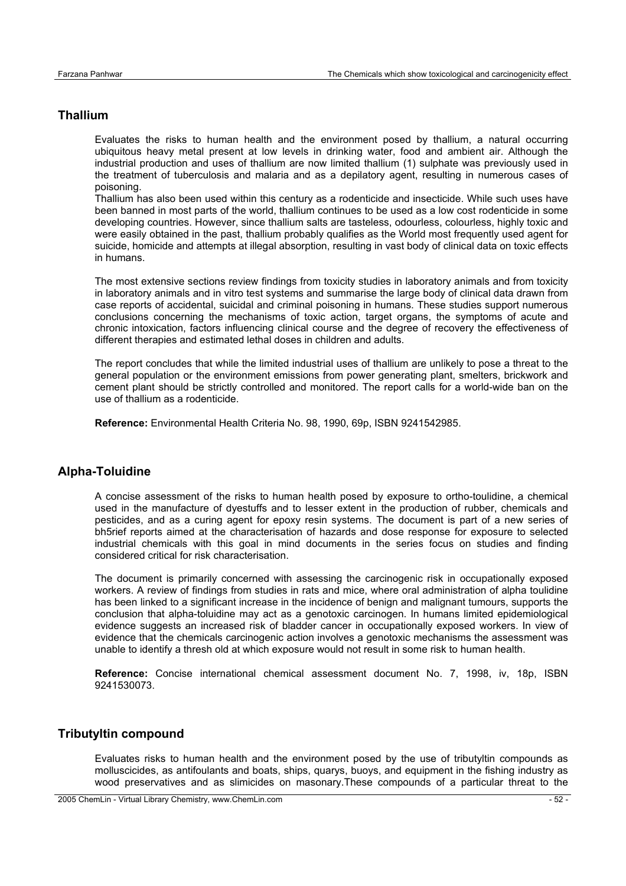## **Thallium**

Evaluates the risks to human health and the environment posed by thallium, a natural occurring ubiquitous heavy metal present at low levels in drinking water, food and ambient air. Although the industrial production and uses of thallium are now limited thallium (1) sulphate was previously used in the treatment of tuberculosis and malaria and as a depilatory agent, resulting in numerous cases of poisoning.

Thallium has also been used within this century as a rodenticide and insecticide. While such uses have been banned in most parts of the world, thallium continues to be used as a low cost rodenticide in some developing countries. However, since thallium salts are tasteless, odourless, colourless, highly toxic and were easily obtained in the past, thallium probably qualifies as the World most frequently used agent for suicide, homicide and attempts at illegal absorption, resulting in vast body of clinical data on toxic effects in humans.

The most extensive sections review findings from toxicity studies in laboratory animals and from toxicity in laboratory animals and in vitro test systems and summarise the large body of clinical data drawn from case reports of accidental, suicidal and criminal poisoning in humans. These studies support numerous conclusions concerning the mechanisms of toxic action, target organs, the symptoms of acute and chronic intoxication, factors influencing clinical course and the degree of recovery the effectiveness of different therapies and estimated lethal doses in children and adults.

The report concludes that while the limited industrial uses of thallium are unlikely to pose a threat to the general population or the environment emissions from power generating plant, smelters, brickwork and cement plant should be strictly controlled and monitored. The report calls for a world-wide ban on the use of thallium as a rodenticide.

**Reference:** Environmental Health Criteria No. 98, 1990, 69p, ISBN 9241542985.

#### **Alpha-Toluidine**

A concise assessment of the risks to human health posed by exposure to ortho-toulidine, a chemical used in the manufacture of dyestuffs and to lesser extent in the production of rubber, chemicals and pesticides, and as a curing agent for epoxy resin systems. The document is part of a new series of bh5rief reports aimed at the characterisation of hazards and dose response for exposure to selected industrial chemicals with this goal in mind documents in the series focus on studies and finding considered critical for risk characterisation.

The document is primarily concerned with assessing the carcinogenic risk in occupationally exposed workers. A review of findings from studies in rats and mice, where oral administration of alpha toulidine has been linked to a significant increase in the incidence of benign and malignant tumours, supports the conclusion that alpha-toluidine may act as a genotoxic carcinogen. In humans limited epidemiological evidence suggests an increased risk of bladder cancer in occupationally exposed workers. In view of evidence that the chemicals carcinogenic action involves a genotoxic mechanisms the assessment was unable to identify a thresh old at which exposure would not result in some risk to human health.

**Reference:** Concise international chemical assessment document No. 7, 1998, iv, 18p, ISBN 9241530073.

#### **Tributyltin compound**

Evaluates risks to human health and the environment posed by the use of tributyltin compounds as molluscicides, as antifoulants and boats, ships, quarys, buoys, and equipment in the fishing industry as wood preservatives and as slimicides on masonary.These compounds of a particular threat to the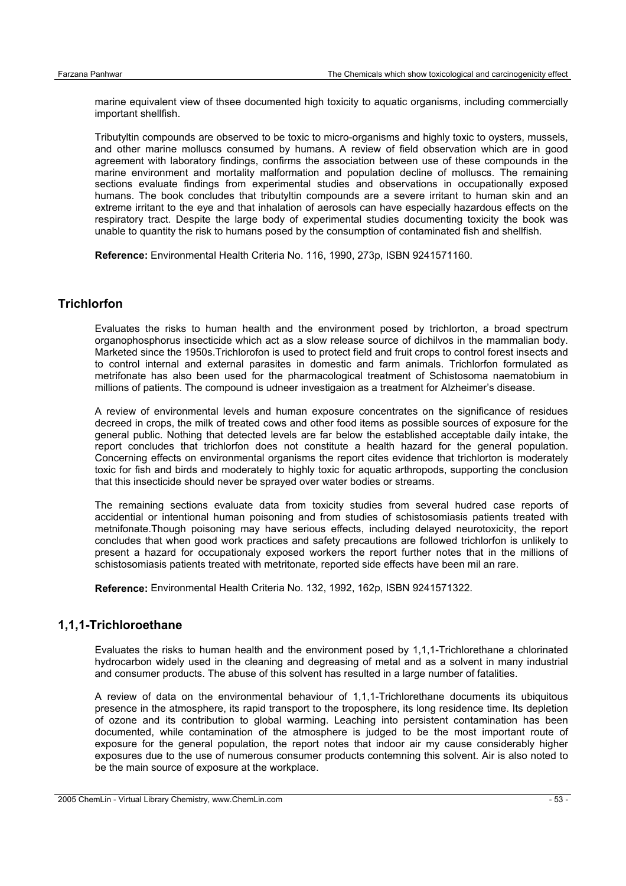marine equivalent view of thsee documented high toxicity to aquatic organisms, including commercially important shellfish.

Tributyltin compounds are observed to be toxic to micro-organisms and highly toxic to oysters, mussels, and other marine molluscs consumed by humans. A review of field observation which are in good agreement with laboratory findings, confirms the association between use of these compounds in the marine environment and mortality malformation and population decline of molluscs. The remaining sections evaluate findings from experimental studies and observations in occupationally exposed humans. The book concludes that tributyltin compounds are a severe irritant to human skin and an extreme irritant to the eye and that inhalation of aerosols can have especially hazardous effects on the respiratory tract. Despite the large body of experimental studies documenting toxicity the book was unable to quantity the risk to humans posed by the consumption of contaminated fish and shellfish.

**Reference:** Environmental Health Criteria No. 116, 1990, 273p, ISBN 9241571160.

## **Trichlorfon**

Evaluates the risks to human health and the environment posed by trichlorton, a broad spectrum organophosphorus insecticide which act as a slow release source of dichilvos in the mammalian body. Marketed since the 1950s.Trichlorofon is used to protect field and fruit crops to control forest insects and to control internal and external parasites in domestic and farm animals. Trichlorfon formulated as metrifonate has also been used for the pharmacological treatment of Schistosoma naematobium in millions of patients. The compound is udneer investigaion as a treatment for Alzheimer's disease.

A review of environmental levels and human exposure concentrates on the significance of residues decreed in crops, the milk of treated cows and other food items as possible sources of exposure for the general public. Nothing that detected levels are far below the established acceptable daily intake, the report concludes that trichlorfon does not constitute a health hazard for the general population. Concerning effects on environmental organisms the report cites evidence that trichlorton is moderately toxic for fish and birds and moderately to highly toxic for aquatic arthropods, supporting the conclusion that this insecticide should never be sprayed over water bodies or streams.

The remaining sections evaluate data from toxicity studies from several hudred case reports of accidential or intentional human poisoning and from studies of schistosomiasis patients treated with metnifonate.Though poisoning may have serious effects, including delayed neurotoxicity, the report concludes that when good work practices and safety precautions are followed trichlorfon is unlikely to present a hazard for occupationaly exposed workers the report further notes that in the millions of schistosomiasis patients treated with metritonate, reported side effects have been mil an rare.

**Reference:** Environmental Health Criteria No. 132, 1992, 162p, ISBN 9241571322.

#### **1,1,1-Trichloroethane**

Evaluates the risks to human health and the environment posed by 1,1,1-Trichlorethane a chlorinated hydrocarbon widely used in the cleaning and degreasing of metal and as a solvent in many industrial and consumer products. The abuse of this solvent has resulted in a large number of fatalities.

A review of data on the environmental behaviour of 1,1,1-Trichlorethane documents its ubiquitous presence in the atmosphere, its rapid transport to the troposphere, its long residence time. Its depletion of ozone and its contribution to global warming. Leaching into persistent contamination has been documented, while contamination of the atmosphere is judged to be the most important route of exposure for the general population, the report notes that indoor air my cause considerably higher exposures due to the use of numerous consumer products contemning this solvent. Air is also noted to be the main source of exposure at the workplace.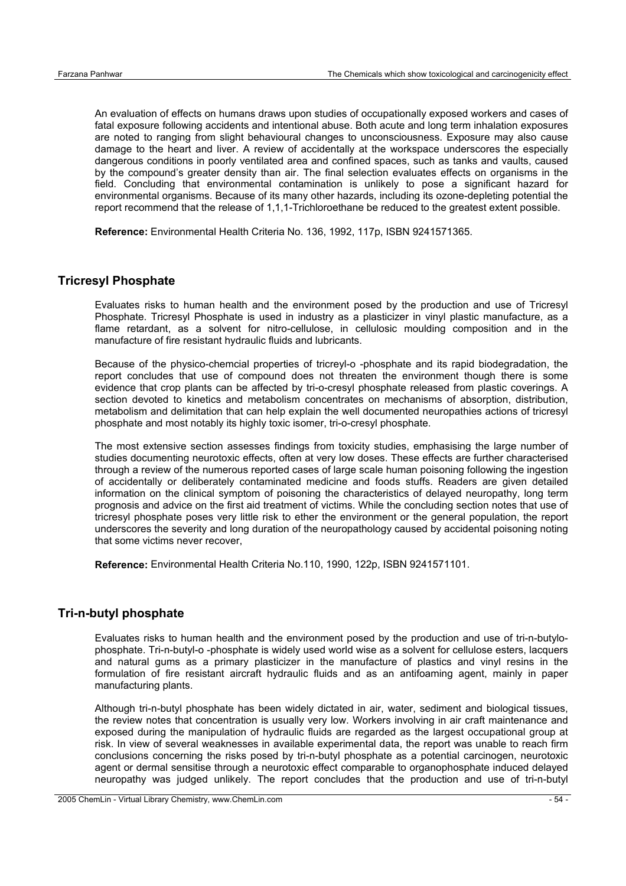An evaluation of effects on humans draws upon studies of occupationally exposed workers and cases of fatal exposure following accidents and intentional abuse. Both acute and long term inhalation exposures are noted to ranging from slight behavioural changes to unconsciousness. Exposure may also cause damage to the heart and liver. A review of accidentally at the workspace underscores the especially dangerous conditions in poorly ventilated area and confined spaces, such as tanks and vaults, caused by the compound's greater density than air. The final selection evaluates effects on organisms in the field. Concluding that environmental contamination is unlikely to pose a significant hazard for environmental organisms. Because of its many other hazards, including its ozone-depleting potential the report recommend that the release of 1,1,1-Trichloroethane be reduced to the greatest extent possible.

**Reference:** Environmental Health Criteria No. 136, 1992, 117p, ISBN 9241571365.

## **Tricresyl Phosphate**

Evaluates risks to human health and the environment posed by the production and use of Tricresyl Phosphate. Tricresyl Phosphate is used in industry as a plasticizer in vinyl plastic manufacture, as a flame retardant, as a solvent for nitro-cellulose, in cellulosic moulding composition and in the manufacture of fire resistant hydraulic fluids and lubricants.

Because of the physico-chemcial properties of tricreyl-o -phosphate and its rapid biodegradation, the report concludes that use of compound does not threaten the environment though there is some evidence that crop plants can be affected by tri-o-cresyl phosphate released from plastic coverings. A section devoted to kinetics and metabolism concentrates on mechanisms of absorption, distribution, metabolism and delimitation that can help explain the well documented neuropathies actions of tricresyl phosphate and most notably its highly toxic isomer, tri-o-cresyl phosphate.

The most extensive section assesses findings from toxicity studies, emphasising the large number of studies documenting neurotoxic effects, often at very low doses. These effects are further characterised through a review of the numerous reported cases of large scale human poisoning following the ingestion of accidentally or deliberately contaminated medicine and foods stuffs. Readers are given detailed information on the clinical symptom of poisoning the characteristics of delayed neuropathy, long term prognosis and advice on the first aid treatment of victims. While the concluding section notes that use of tricresyl phosphate poses very little risk to ether the environment or the general population, the report underscores the severity and long duration of the neuropathology caused by accidental poisoning noting that some victims never recover,

**Reference:** Environmental Health Criteria No.110, 1990, 122p, ISBN 9241571101.

#### **Tri-n-butyl phosphate**

Evaluates risks to human health and the environment posed by the production and use of tri-n-butylophosphate. Tri-n-butyl-o -phosphate is widely used world wise as a solvent for cellulose esters, lacquers and natural gums as a primary plasticizer in the manufacture of plastics and vinyl resins in the formulation of fire resistant aircraft hydraulic fluids and as an antifoaming agent, mainly in paper manufacturing plants.

Although tri-n-butyl phosphate has been widely dictated in air, water, sediment and biological tissues, the review notes that concentration is usually very low. Workers involving in air craft maintenance and exposed during the manipulation of hydraulic fluids are regarded as the largest occupational group at risk. In view of several weaknesses in available experimental data, the report was unable to reach firm conclusions concerning the risks posed by tri-n-butyl phosphate as a potential carcinogen, neurotoxic agent or dermal sensitise through a neurotoxic effect comparable to organophosphate induced delayed neuropathy was judged unlikely. The report concludes that the production and use of tri-n-butyl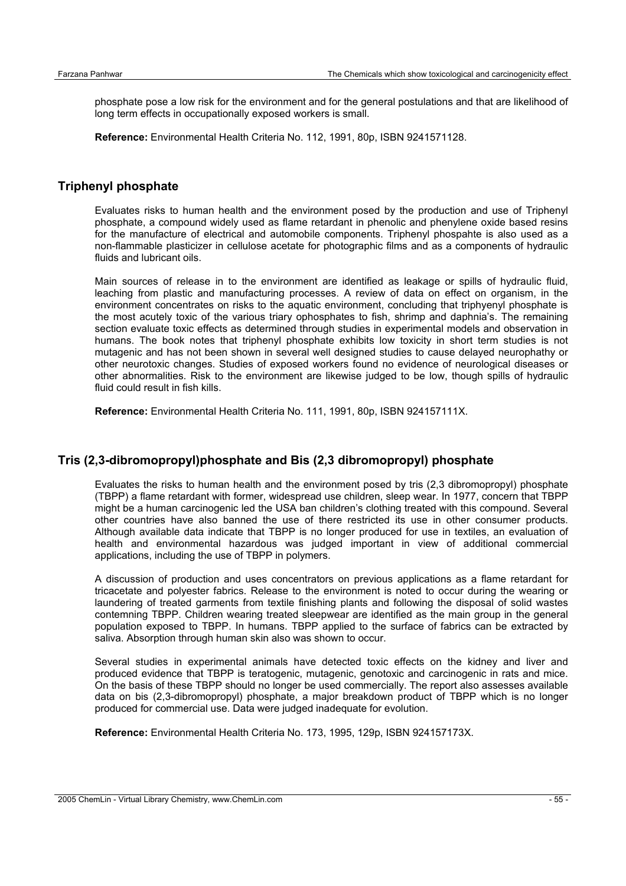phosphate pose a low risk for the environment and for the general postulations and that are likelihood of long term effects in occupationally exposed workers is small.

**Reference:** Environmental Health Criteria No. 112, 1991, 80p, ISBN 9241571128.

#### **Triphenyl phosphate**

Evaluates risks to human health and the environment posed by the production and use of Triphenyl phosphate, a compound widely used as flame retardant in phenolic and phenylene oxide based resins for the manufacture of electrical and automobile components. Triphenyl phospahte is also used as a non-flammable plasticizer in cellulose acetate for photographic films and as a components of hydraulic fluids and lubricant oils.

Main sources of release in to the environment are identified as leakage or spills of hydraulic fluid, leaching from plastic and manufacturing processes. A review of data on effect on organism, in the environment concentrates on risks to the aquatic environment, concluding that triphyenyl phosphate is the most acutely toxic of the various triary ophosphates to fish, shrimp and daphnia's. The remaining section evaluate toxic effects as determined through studies in experimental models and observation in humans. The book notes that triphenyl phosphate exhibits low toxicity in short term studies is not mutagenic and has not been shown in several well designed studies to cause delayed neurophathy or other neurotoxic changes. Studies of exposed workers found no evidence of neurological diseases or other abnormalities. Risk to the environment are likewise judged to be low, though spills of hydraulic fluid could result in fish kills.

**Reference:** Environmental Health Criteria No. 111, 1991, 80p, ISBN 924157111X.

## **Tris (2,3-dibromopropyl)phosphate and Bis (2,3 dibromopropyl) phosphate**

Evaluates the risks to human health and the environment posed by tris (2,3 dibromopropyl) phosphate (TBPP) a flame retardant with former, widespread use children, sleep wear. In 1977, concern that TBPP might be a human carcinogenic led the USA ban children's clothing treated with this compound. Several other countries have also banned the use of there restricted its use in other consumer products. Although available data indicate that TBPP is no longer produced for use in textiles, an evaluation of health and environmental hazardous was judged important in view of additional commercial applications, including the use of TBPP in polymers.

A discussion of production and uses concentrators on previous applications as a flame retardant for tricacetate and polyester fabrics. Release to the environment is noted to occur during the wearing or laundering of treated garments from textile finishing plants and following the disposal of solid wastes contemning TBPP. Children wearing treated sleepwear are identified as the main group in the general population exposed to TBPP. In humans. TBPP applied to the surface of fabrics can be extracted by saliva. Absorption through human skin also was shown to occur.

Several studies in experimental animals have detected toxic effects on the kidney and liver and produced evidence that TBPP is teratogenic, mutagenic, genotoxic and carcinogenic in rats and mice. On the basis of these TBPP should no longer be used commercially. The report also assesses available data on bis (2,3-dibromopropyl) phosphate, a major breakdown product of TBPP which is no longer produced for commercial use. Data were judged inadequate for evolution.

**Reference:** Environmental Health Criteria No. 173, 1995, 129p, ISBN 924157173X.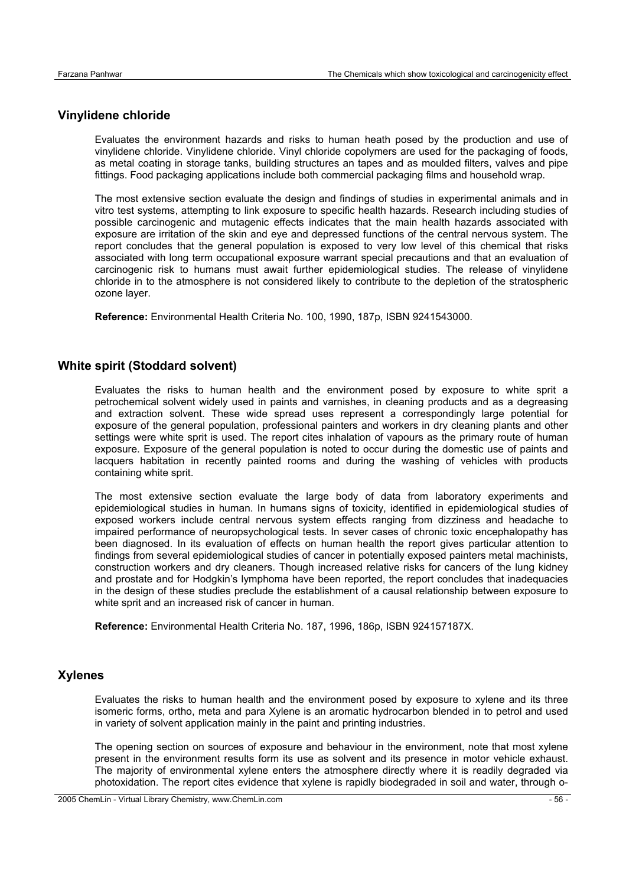## **Vinylidene chloride**

Evaluates the environment hazards and risks to human heath posed by the production and use of vinylidene chloride. Vinylidene chloride. Vinyl chloride copolymers are used for the packaging of foods, as metal coating in storage tanks, building structures an tapes and as moulded filters, valves and pipe fittings. Food packaging applications include both commercial packaging films and household wrap.

The most extensive section evaluate the design and findings of studies in experimental animals and in vitro test systems, attempting to link exposure to specific health hazards. Research including studies of possible carcinogenic and mutagenic effects indicates that the main health hazards associated with exposure are irritation of the skin and eye and depressed functions of the central nervous system. The report concludes that the general population is exposed to very low level of this chemical that risks associated with long term occupational exposure warrant special precautions and that an evaluation of carcinogenic risk to humans must await further epidemiological studies. The release of vinylidene chloride in to the atmosphere is not considered likely to contribute to the depletion of the stratospheric ozone layer.

**Reference:** Environmental Health Criteria No. 100, 1990, 187p, ISBN 9241543000.

#### **White spirit (Stoddard solvent)**

Evaluates the risks to human health and the environment posed by exposure to white sprit a petrochemical solvent widely used in paints and varnishes, in cleaning products and as a degreasing and extraction solvent. These wide spread uses represent a correspondingly large potential for exposure of the general population, professional painters and workers in dry cleaning plants and other settings were white sprit is used. The report cites inhalation of vapours as the primary route of human exposure. Exposure of the general population is noted to occur during the domestic use of paints and lacquers habitation in recently painted rooms and during the washing of vehicles with products containing white sprit.

The most extensive section evaluate the large body of data from laboratory experiments and epidemiological studies in human. In humans signs of toxicity, identified in epidemiological studies of exposed workers include central nervous system effects ranging from dizziness and headache to impaired performance of neuropsychological tests. In sever cases of chronic toxic encephalopathy has been diagnosed. In its evaluation of effects on human health the report gives particular attention to findings from several epidemiological studies of cancer in potentially exposed painters metal machinists, construction workers and dry cleaners. Though increased relative risks for cancers of the lung kidney and prostate and for Hodgkin's lymphoma have been reported, the report concludes that inadequacies in the design of these studies preclude the establishment of a causal relationship between exposure to white sprit and an increased risk of cancer in human.

**Reference:** Environmental Health Criteria No. 187, 1996, 186p, ISBN 924157187X.

#### **Xylenes**

Evaluates the risks to human health and the environment posed by exposure to xylene and its three isomeric forms, ortho, meta and para Xylene is an aromatic hydrocarbon blended in to petrol and used in variety of solvent application mainly in the paint and printing industries.

The opening section on sources of exposure and behaviour in the environment, note that most xylene present in the environment results form its use as solvent and its presence in motor vehicle exhaust. The majority of environmental xylene enters the atmosphere directly where it is readily degraded via photoxidation. The report cites evidence that xylene is rapidly biodegraded in soil and water, through o